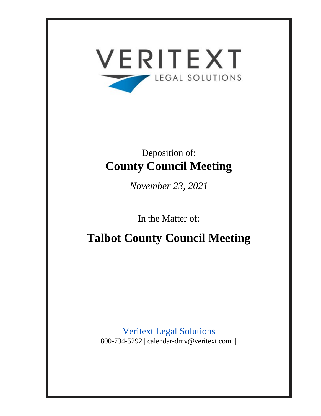

# Deposition of: **County Council Meeting**

*November 23, 2021*

In the Matter of:

**Talbot County Council Meeting**

Veritext Legal Solutions 800-734-5292 | calendar-dmv@veritext.com |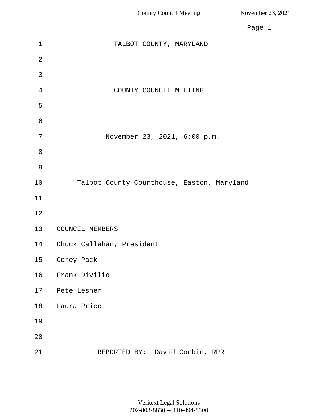<span id="page-1-0"></span>

| Page 1                                     |
|--------------------------------------------|
| TALBOT COUNTY, MARYLAND                    |
|                                            |
|                                            |
| COUNTY COUNCIL MEETING                     |
|                                            |
|                                            |
| November 23, 2021, 6:00 p.m.               |
|                                            |
|                                            |
| Talbot County Courthouse, Easton, Maryland |
|                                            |
|                                            |
| COUNCIL MEMBERS:                           |
| Chuck Callahan, President                  |
| Corey Pack                                 |
| Frank Divilio                              |
| Pete Lesher                                |
| Laura Price                                |
|                                            |
|                                            |
| REPORTED BY: David Corbin, RPR             |
|                                            |
|                                            |
|                                            |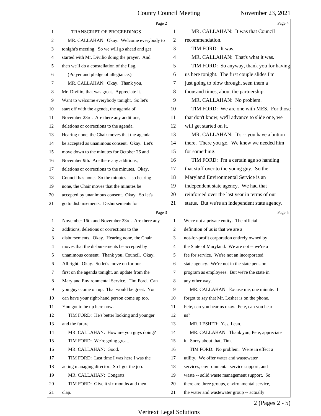<span id="page-2-0"></span>

|                | Page 2                                          |                | Page 4                                          |
|----------------|-------------------------------------------------|----------------|-------------------------------------------------|
| 1              | <b>TRANSCRIPT OF PROCEEDINGS</b>                | 1              | MR. CALLAHAN: It was that Council               |
| 2              | MR. CALLAHAN: Okay. Welcome everybody to        | 2              | recommendation.                                 |
| 3              | tonight's meeting. So we will go ahead and get  | 3              | TIM FORD: It was.                               |
| 4              | started with Mr. Divilio doing the prayer. And  | 4              | MR. CALLAHAN: That's what it was.               |
| 5              | then we'll do a constellation of the flag.      | 5              | TIM FORD: So anyway, thank you for having       |
| 6              | (Prayer and pledge of allegiance.)              | 6              | us here tonight. The first couple slides I'm    |
| 7              | MR. CALLAHAN: Okay. Thank you,                  | 7              | just going to blow through, seen them a         |
| 8              | Mr. Divilio, that was great. Appreciate it.     | 8              | thousand times, about the partnership.          |
| 9              | Want to welcome everybody tonight. So let's     | 9              | MR. CALLAHAN: No problem.                       |
| 10             | start off with the agenda, the agenda of        | 10             | TIM FORD: We are one with MES. For those        |
| 11             | November 23rd. Are there any additions,         | 11             | that don't know, we'll advance to slide one, we |
| 12             | deletions or corrections to the agenda.         | 12             | will get started on it.                         |
| 13             | Hearing none, the Chair moves that the agenda   | 13             | MR. CALLAHAN: It's -- you have a button         |
| 14             | be accepted as unanimous consent. Okay. Let's   | 14             | there. There you go. We knew we needed him      |
| 15             | move down to the minutes for October 26 and     | 15             | for something.                                  |
| 16             | November 9th. Are there any additions,          | 16             | TIM FORD: I'm a certain age so handing          |
| 17             | deletions or corrections to the minutes. Okay.  | 17             | that stuff over to the young guy. So the        |
| 18             | Council has none. So the minutes -- so hearing  | 18             | Maryland Environmental Service is an            |
| 19             | none, the Chair moves that the minutes be       | 19             | independent state agency. We had that           |
| 20             | accepted by unanimous consent. Okay. So let's   | 20             | reinforced over the last year in terms of our   |
| 21             | go to disbursements. Disbursements for          | 21             | status. But we're an independent state agency.  |
|                |                                                 |                |                                                 |
|                | Page 3                                          |                | Page 5                                          |
| $\mathbf{1}$   | November 16th and November 23rd. Are there any  | 1              | We're not a private entity. The official        |
| 2              | additions, deletions or corrections to the      | $\overline{2}$ | definition of us is that we are a               |
| 3              | disbursements. Okay. Hearing none, the Chair    | 3              | not-for-profit corporation entirely owned by    |
| $\overline{4}$ | moves that the disbursements be accepted by     | $\overline{4}$ | the State of Maryland. We are not -- we're a    |
| 5              | unanimous consent. Thank you, Council. Okay.    | 5              | fee for service. We're not an incorporated      |
| 6              | All right. Okay. So let's move on for our       | 6              | state agency. We're not in the state pension    |
| 7              | first on the agenda tonight, an update from the | 7              | program as employees. But we're the state in    |
| 8              | Maryland Environmental Service. Tim Ford. Can   | 8              | any other way.                                  |
| 9              | you guys come on up. That would be great. You   | 9              | MR. CALLAHAN: Excuse me, one minute. I          |
| 10             | can have your right-hand person come up too.    | 10             | forgot to say that Mr. Lesher is on the phone.  |
| 11             | You got to be up here now.                      | 11             | Pete, can you hear us okay. Pete, can you hear  |
| 12             | TIM FORD: He's better looking and younger       | 12             | us?                                             |
| 13             | and the future.                                 | 13             | MR. LESHER: Yes, I can.                         |
| 14             | MR. CALLAHAN: How are you guys doing?           | 14             | MR. CALLAHAN: Thank you, Pete, appreciate       |
| 15             | TIM FORD: We're going great.                    | 15             | it. Sorry about that, Tim.                      |
| 16             | MR. CALLAHAN: Good.                             | 16             | TIM FORD: No problem. We're in effect a         |
| 17             | TIM FORD: Last time I was here I was the        | 17             | utility. We offer water and wastewater          |
| 18             | acting managing director. So I got the job.     | 18             | services, environmental service support, and    |
| 19             | MR. CALLAHAN: Congrats.                         | 19             | waste -- solid waste management support. So     |
| 20             | TIM FORD: Give it six months and then           | 20             | there are three groups, environmental service,  |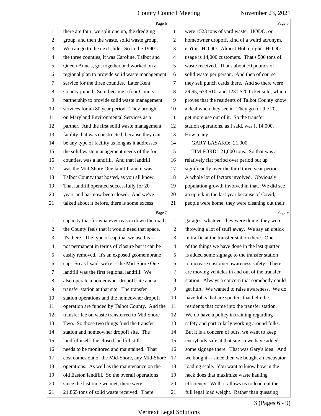<span id="page-3-0"></span>

|                | Page 6                                          |                | Page 8                                             |
|----------------|-------------------------------------------------|----------------|----------------------------------------------------|
| 1              | there are four, we split one up, the dredging   | 1              | were 1523 tons of yard waste. HODO, or             |
| 2              | group, and then the waste, solid waste group.   | $\overline{2}$ | homeowner dropoff, kind of a weird acronym,        |
| 3              | We can go to the next slide. So in the 1990's   | 3              | isn't it. HODO. Almost Hobo, right. HODO           |
| 4              | the three counties, it was Caroline, Talbot and | $\overline{4}$ | usage is 14,000 customers. That's 500 tons of      |
| 5              | Queen Anne's, got together and worked on a      | 5              | waste received. That's about 70 pounds of          |
| 6              | regional plan to provide solid waste management | 6              | solid waste per person. And then of course         |
| 7              | service for the three counties. Later Kent      | 7              | they sell punch cards there. And so there were     |
| 8              | County joined. So it became a four County       | $\,8$          | 29 \$5, 673 \$10, and 1231 \$20 ticket sold, which |
| 9              | partnership to provide solid waste management   | 9              | proves that the residents of Talbot County know    |
| 10             | services for an 80 year period. They brought    | 10             | a deal when they see it. They go for the 20,       |
| 11             | on Maryland Environmental Services as a         | 11             | get more use out of it. So the transfer            |
| 12             | partner. And the first solid waste management   | 12             | station operations, as I said, was it 14,000.      |
| 13             | facility that was constructed, because they can | 13             | How many.                                          |
| 14             | be any type of facility as long as it addresses | 14             | GARY LASAKO: 21,000.                               |
| 15             | the solid waste management needs of the four    | 15             | TIM FORD: 21,000 tons. So that was a               |
| 16             | counties, was a landfill. And that landfill     | 16             | relatively flat period over period but up          |
| 17             | was the Mid-Shore One landfill and it was       | 17             | significantly over the third three year period.    |
| 18             | Talbot County that hosted, as you all know.     | 18             | A whole lot of factors involved. Obviously         |
| 19             | That landfill operated successfully for 20      | 19             | population growth involved in that. We did see     |
| 20             | years and has now been closed. And we've        | 20             | an uptick in the last year because of Covid,       |
| 21             | talked about it before, there is some excess    | 21             | people were home, they were cleaning out their     |
|                |                                                 |                |                                                    |
|                | Page 7                                          |                | Page 9                                             |
| 1              | capacity that for whatever reason down the road | 1              | garages, whatever they were doing, they were       |
| 2              | the County feels that it would need that space, | $\overline{c}$ | throwing a lot of stuff away. We say an uptick     |
| 3              | it's there. The type of cap that we used is --  | 3              | in traffic at the transfer station there. One      |
| $\overline{4}$ | not permanent in terms of closure but it can be | $\overline{4}$ | of the things we have done in the last quarter     |
| 5              | easily removed. It's an exposed geomembrane     | 5              | is added some signage to the transfer station      |
| 6              | cap. So as I said, we're -- the Mid-Shore One   | 6              | to increase customer awareness safety. There       |
| 7              | landfill was the first regional landfill. We    | 7              | are moving vehicles in and out of the transfer     |
| 8              | also operate a homeowner dropoff site and a     | 8              | station. Always a concern that somebody could      |
| 9              | transfer station at that site. The transfer     | 9              | get hurt. We wanted to raise awareness. We do      |
| 10             | station operations and the homeowner dropoff    | 10             | have folks that are spotters that help the         |
| 11             | operation are funded by Talbot County. And the  | 11             | residents that come into the transfer station.     |
| 12             | transfer fee on waste transferred to Mid Shore  | 12             | We do have a policy in training regarding          |
| 13             | Two. So those two things fund the transfer      | 13             | safety and particularly working around folks.      |
| 14             | station and homeowner dropoff site. The         | 14             | But it is a concern of ours, we want to keep       |
| 15             | landfill itself, the closed landfill still      | 15             | everybody safe at that site so we have added       |
| 16             | needs to be monitored and maintained. That      | 16             | some signage there. That was Gary's idea. And      |
| 17             | cost comes out of the Mid-Shore, any Mid-Shore  | 17             | we bought -- since then we bought an excavator     |
| 18             | operations. As well as the maintenance on the   | 18             | loading scale. You want to know how in the         |
| 19             | old Easton landfill. So the overall operations  | 19             | heck does that maximize waste hauling              |
| 20             | since the last time we met, there were          | 20             | efficiency. Well, it allows us to load out the     |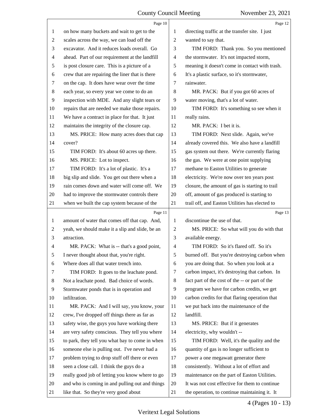<span id="page-4-0"></span>

|                | Page 10                                         |                | Page 12                                         |
|----------------|-------------------------------------------------|----------------|-------------------------------------------------|
| 1              | on how many buckets and wait to get to the      | 1              | directing traffic at the transfer site. I just  |
| $\overline{2}$ | scales across the way, we can load off the      | $\overline{2}$ | wanted to say that.                             |
| 3              | excavator. And it reduces loads overall. Go     | 3              | TIM FORD: Thank you. So you mentioned           |
| 4              | ahead. Part of our requirement at the landfill  | 4              | the stormwater. It's not impacted storm,        |
| 5              | is post closure care. This is a picture of a    | 5              | meaning it doesn't come in contact with trash.  |
| 6              | crew that are repairing the liner that is there | 6              | It's a plastic surface, so it's stormwater,     |
| 7              | on the cap. It does have wear over the time     | 7              | rainwater.                                      |
| 8              | each year, so every year we come to do an       | 8              | MR. PACK: But if you got 60 acres of            |
| 9              | inspection with MDE. And any slight tears or    | 9              | water moving, that's a lot of water.            |
| 10             | repairs that are needed we make those repairs.  | 10             | TIM FORD: It's something so see when it         |
| 11             | We have a contract in place for that. It just   | 11             | really rains.                                   |
| 12             | maintains the integrity of the closure cap.     | 12             | MR. PACK: I bet it is.                          |
| 13             | MS. PRICE: How many acres does that cap         | 13             | TIM FORD: Next slide. Again, we've              |
| 14             | cover?                                          | 14             | already covered this. We also have a landfill   |
| 15             | TIM FORD: It's about 60 acres up there.         | 15             | gas system out there. We're currently flaring   |
| 16             | MS. PRICE: Lot to inspect.                      | 16             | the gas. We were at one point supplying         |
| 17             | TIM FORD: It's a lot of plastic. It's a         | 17             | methane to Easton Utilities to generate         |
| 18             | big slip and slide. You get out there when a    | 18             | electricity. We're now over ten years post      |
| 19             | rain comes down and water will come off. We     | 19             | closure, the amount of gas is starting to trail |
| 20             | had to improve the stormwater controls there    | 20             | off, amount of gas produced is starting to      |
| 21             | when we built the cap system because of the     | 21             | trail off, and Easton Utilities has elected to  |
|                |                                                 |                |                                                 |
|                | Page 11                                         |                | Page 13                                         |
| 1              | amount of water that comes off that cap. And,   | 1              | discontinue the use of that.                    |
| 2              | yeah, we should make it a slip and slide, be an | 2              | MS. PRICE: So what will you do with that        |
| 3              | attraction.                                     | 3              | available energy.                               |
| 4              | MR. PACK: What is -- that's a good point,       | 4              | TIM FORD: So it's flared off. So it's           |
| 5              | I never thought about that, you're right.       | 5              | burned off. But you're destroying carbon when   |
| 6              | Where does all that water trench into.          | 6              | you are doing that. So when you look at a       |
| 7              | TIM FORD: It goes to the leachate pond.         | 7              | carbon impact, it's destroying that carbon. In  |
| 8              | Not a leachate pond. Bad choice of words.       | 8              | fact part of the cost of the -- or part of the  |
| 9              | Stormwater ponds that is in operation and       | 9              | program we have for carbon credits, we get      |
| 10             | infiltration.                                   | 10             | carbon credits for that flaring operation that  |
| 11             | MR. PACK: And I will say, you know, your        | 11             | we put back into the maintenance of the         |
| 12             | crew, I've dropped off things there as far as   | 12             | landfill.                                       |
| 13             | safety wise, the guys you have working there    | 13             | MS. PRICE: But if it generates                  |
| 14             | are very safety conscious. They tell you where  | 14             | electricity, why wouldn't --                    |
| 15             | to park, they tell you what bay to come in when | 15             | TIM FORD: Well, it's the quality and the        |
| 16             | someone else is pulling out. I've never had a   | 16             | quantity of gas is no longer sufficient to      |
| 17             | problem trying to drop stuff off there or even  | 17             | power a one megawatt generator there            |
| 18             | seen a close call. I think the guys do a        | 18             | consistently. Without a lot of effort and       |
| 19             | really good job of letting you know where to go | 19             | maintenance on the part of Easton Utilities.    |
| 20             | and who is coming in and pulling out and things | 20             | It was not cost effective for them to continue  |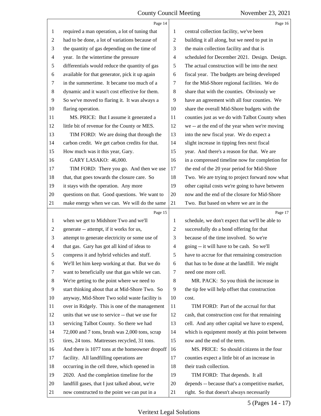<span id="page-5-0"></span>

|                | Page 14                                         |                          | Page 16                                         |
|----------------|-------------------------------------------------|--------------------------|-------------------------------------------------|
| 1              | required a man operation, a lot of tuning that  | 1                        | central collection facility, we've been         |
| 2              | had to be done, a lot of variations because of  | $\overline{c}$           | building it all along, but we need to put in    |
| 3              | the quantity of gas depending on the time of    | 3                        | the main collection facility and that is        |
| 4              | year. In the wintertime the pressure            | $\overline{\mathcal{A}}$ | scheduled for December 2021. Design. Design.    |
| 5              | differentials would reduce the quantity of gas  | 5                        | The actual construction will be into the next   |
| 6              | available for that generator, pick it up again  | 6                        | fiscal year. The budgets are being developed    |
| 7              | in the summertime. It became too much of a      | 7                        | for the Mid-Shore regional facilities. We do    |
| 8              | dynamic and it wasn't cost effective for them.  | 8                        | share that with the counties. Obviously we      |
| 9              | So we've moved to flaring it. It was always a   | 9                        | have an agreement with all four counties. We    |
| 10             | flaring operation.                              | 10                       | share the overall Mid-Shore budgets with the    |
| 11             | MS. PRICE: But I assume it generated a          | 11                       | counties just as we do with Talbot County when  |
| 12             | little bit of revenue for the County or MES.    | 12                       | we -- at the end of the year when we're moving  |
| 13             | TIM FORD: We are doing that through the         | 13                       | into the new fiscal year. We do expect a        |
| 14             | carbon credit. We get carbon credits for that.  | 14                       | slight increase in tipping fees next fiscal     |
| 15             | How much was it this year, Gary.                | 15                       | year. And there's a reason for that. We are     |
| 16             | GARY LASAKO: 46,000.                            | 16                       | in a compressed timeline now for completion for |
| 17             | TIM FORD: There you go. And then we use         | 17                       | the end of the 20 year period for Mid-Shore     |
| 18             | that, that goes towards the closure care. So    | 18                       | Two. We are trying to project forward now what  |
| 19             | it stays with the operation. Any more           | 19                       | other capital costs we're going to have between |
| 20             | questions on that. Good questions. We want to   | 20                       | now and the end of the closure for Mid-Shore    |
| 21             | make energy when we can. We will do the same    | 21                       | Two. But based on where we are in the           |
|                |                                                 |                          |                                                 |
|                | Page 15                                         |                          | Page 17                                         |
| $\mathbf{1}$   | when we get to Midshore Two and we'll           | $\mathbf{1}$             | schedule, we don't expect that we'll be able to |
| 2              | generate -- attempt, if it works for us,        | 2                        | successfully do a bond offering for that        |
| 3              | attempt to generate electricity or some use of  | 3                        | because of the time involved. So we're          |
| $\overline{4}$ | that gas. Gary has got all kind of ideas to     | $\overline{\mathcal{A}}$ | going -- it will have to be cash. So we'll      |
| 5              | compress it and hybrid vehicles and stuff.      | 5                        | have to accrue for that remaining construction  |
| 6              | We'll let him keep working at that. But we do   | 6                        | that has to be done at the landfill. We might   |
| 7              | want to beneficially use that gas while we can. | 7                        | need one more cell.                             |
| 8              | We're getting to the point where we need to     | 8                        | MR. PACK: So you think the increase in          |
| 9              | start thinking about that at Mid-Shore Two. So  | 9                        | the tip fee will help offset that construction  |
| 10             | anyway, Mid-Shore Two solid waste facility is   | 10                       | cost.                                           |
| 11             | over in Ridgely. This is one of the management  | 11                       | TIM FORD: Part of the accrual for that          |
| 12             | units that we use to service -- that we use for | 12                       | cash, that construction cost for that remaining |
| 13             | servicing Talbot County. So there we had        | 13                       | cell. And any other capital we have to expend,  |
| 14             | 72,000 and 7 tons, brush was 2,000 tons, scrap  | 14                       | which is equipment mostly at this point between |
| 15             | tires, 24 tons. Mattresses recycled, 31 tons.   | 15                       | now and the end of the term.                    |
| 16             | And there is 1077 tons at the homeowner dropoff | 16                       | MS. PRICE: So should citizens in the four       |
| 17             | facility. All landfilling operations are        | 17                       | counties expect a little bit of an increase in  |
| 18             | occurring in the cell three, which opened in    | 18                       | their trash collection.                         |
| 19             | 2020. And the completion timeline for the       | 19                       | TIM FORD: That depends. It all                  |
| 20             | landfill gases, that I just talked about, we're | 20                       | depends -- because that's a competitive market, |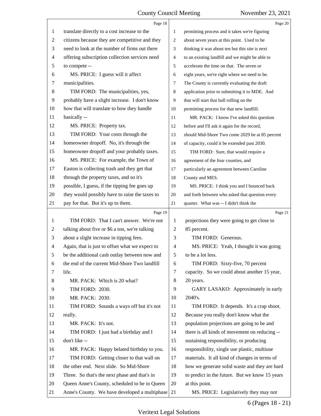<span id="page-6-0"></span>

|                | Page 18                                                                                           |    | Page 20                                         |
|----------------|---------------------------------------------------------------------------------------------------|----|-------------------------------------------------|
| 1              | translate directly to a cost increase to the                                                      | 1  | permitting process and it takes we're figuring  |
| $\overline{2}$ | citizens because they are competitive and they                                                    | 2  | about seven years at this point. Used to be     |
| 3              | need to look at the number of firms out there                                                     | 3  | thinking it was about ten but this site is next |
| 4              | offering subscription collection services need                                                    | 4  | to an existing landfill and we might be able to |
| 5              | to compete --                                                                                     | 5  | accelerate the time on that. The seven or       |
| 6              | MS. PRICE: I guess will it affect                                                                 | 6  | eight years, we're right where we need to be.   |
| 7              | municipalities.                                                                                   | 7  | The County is currently evaluating the draft    |
| 8              | TIM FORD: The municipalities, yes,                                                                | 8  | application prior to submitting it to MDE. And  |
| 9              | probably have a slight increase. I don't know                                                     | 9  | that will start that ball rolling on the        |
| 10             | how that will translate to how they handle                                                        | 10 | permitting process for that new landfill.       |
| 11             | basically --                                                                                      | 11 | MR. PACK: I know I've asked this question       |
| 12             | MS. PRICE: Property tax.                                                                          | 12 | before and I'll ask it again for the record,    |
| 13             | TIM FORD: Your costs through the                                                                  | 13 | should Mid-Shore Two come 2029 be at 85 percent |
| 14             | homeowner dropoff. No, it's through the                                                           | 14 | of capacity, could it be extended past 2030.    |
| 15             | homeowner dropoff and your probably taxes.                                                        | 15 | TIM FORD: Sure, that would require a            |
| 16             | MS. PRICE: For example, the Town of                                                               | 16 | agreement of the four counties, and             |
| 17             | Easton is collecting trash and they get that                                                      | 17 | particularly an agreement between Caroline      |
| 18             | through the property taxes, and so it's                                                           | 18 | County and MES.                                 |
| 19             | possible, I guess, if the tipping fee goes up                                                     | 19 | MS. PRICE: I think you and I bounced back       |
| 20             | they would possibly have to raise the taxes to                                                    | 20 | and forth between who asked that question every |
| 21             | pay for that. But it's up to them.                                                                | 21 | quarter. What was -- I didn't think the         |
|                | Page 19                                                                                           |    | Page 21                                         |
|                |                                                                                                   |    |                                                 |
| $\mathbf{1}$   | TIM FORD: That I can't answer. We're not                                                          | 1  | projections they were going to get close to     |
| 2              | talking about five or \$6 a ton, we're talking                                                    | 2  | 85 percent.                                     |
| 3              | about a slight increase in tipping fees.                                                          | 3  | TIM FORD: Generous.                             |
| 4              | Again, that is just to offset what we expect to                                                   | 4  | MS. PRICE: Yeah, I thought it was going         |
| 5              | be the additional cash outlay between now and                                                     | 5  | to be a lot less.                               |
| 6              | the end of the current Mid-Shore Two landfill                                                     | 6  | TIM FORD: Sixty-five, 70 percent                |
| 7              | life.                                                                                             | 7  | capacity. So we could about another 15 year,    |
| 8              | MR. PACK: Which is 20 what?                                                                       | 8  | 20 years.                                       |
| 9              | TIM FORD: 2030.                                                                                   | 9  | GARY LASAKO: Approximately in early             |
| 10             | MR. PACK: 2030.                                                                                   | 10 | 2040's.                                         |
| 11             | TIM FORD: Sounds a ways off but it's not                                                          | 11 | TIM FORD: It depends. It's a crap shoot.        |
| 12             | really.                                                                                           | 12 | Because you really don't know what the          |
| 13             | MR. PACK: It's not.                                                                               | 13 | population projections are going to be and      |
| 14             | TIM FORD: I just had a birthday and I                                                             | 14 | there is all kinds of movement on reducing --   |
| 15             | don't like --                                                                                     | 15 | sustaining responsibility, or producing         |
| 16             | MR. PACK: Happy belated birthday to you.                                                          | 16 | responsibility, single use plastic, multiuse    |
| 17             | TIM FORD: Getting closer to that wall on                                                          | 17 | materials. It all kind of changes in terms of   |
| 18             | the other end. Next slide. So Mid-Shore                                                           | 18 | how we generate solid waste and they are hard   |
| 19             | Three. So that's the next phase and that's in                                                     | 19 | to predict in the future. But we know 15 years  |
| 20             | Queen Anne's County, scheduled to be in Queen<br>Anne's County. We have developed a multiphase 21 | 20 | at this point.                                  |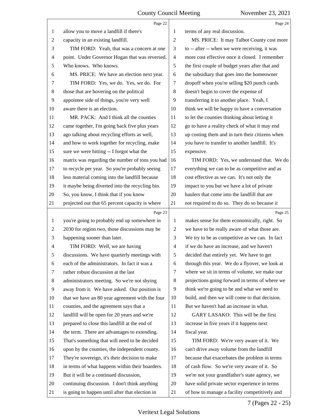<span id="page-7-0"></span>

|                | Page 22                                         |                | Page 24                                         |
|----------------|-------------------------------------------------|----------------|-------------------------------------------------|
| 1              | allow you to move a landfill if there's         | 1              | terms of any real discussion.                   |
| $\overline{c}$ | capacity in an existing landfill.               | $\overline{2}$ | MS. PRICE: It may Talbot County cost more       |
| 3              | TIM FORD: Yeah, that was a concern at one       | 3              | to -- after -- when we were receiving, it was   |
| 4              | point. Under Governor Hogan that was reversed.  | 4              | more cost effective once it closed. I remember  |
| 5              | Who knows. Who knows.                           | 5              | the first couple of budget years after that and |
| 6              | MS. PRICE: We have an election next year.       | 6              | the subsidiary that goes into the homeowner     |
| 7              | TIM FORD: Yes, we do. Yes, we do. For           | 7              | dropoff when you're selling \$20 punch cards    |
| 8              | those that are hovering on the political        | 8              | doesn't begin to cover the expense of           |
| 9              | appointee side of things, you're very well      | 9              | transferring it to another place. Yeah, I       |
| 10             | aware there is an election.                     | 10             | think we will be happy to have a conversation   |
| 11             | MR. PACK: And I think all the counties          | 11             | to let the counties thinking about letting it   |
| 12             | came together, I'm going back five plus years   | 12             | go to have a reality check of what it may end   |
| 13             | ago talking about recycling efforts as well,    | 13             | up costing them and in turn their citizens when |
| 14             | and how to work together for recycling, make    | 14             | you have to transfer to another landfill. It's  |
| 15             | sure we were hitting -- I forgot what the       | 15             | expensive.                                      |
| 16             | matrix was regarding the number of tons you had | 16             | TIM FORD: Yes, we understand that. We do        |
| 17             | to recycle per year. So you're probably seeing  | 17             | everything we can to be as competitive and as   |
| 18             | less material coming into the landfill because  | 18             | cost effective as we can. It's not only the     |
| 19             | it maybe being diverted into the recycling bin. | 19             | impact to you but we have a lot of private      |
| 20             | So, you know, I think that if you know          | 20             | haulers that come into the landfill that are    |
| 21             | projected out that 65 percent capacity is where | 21             | not required to do so. They do so because it    |
|                |                                                 |                |                                                 |
|                | Page 23                                         |                | Page 25                                         |
| 1              | you're going to probably end up somewhere in    | 1              | makes sense for them economically, right. So    |
| 2              | 2030 for region two, those discussions may be   | $\overline{c}$ | we have to be really aware of what those are.   |
| 3              | happening sooner than later.                    | 3              | We try to be as competitive as we can. In fact  |
| 4              | TIM FORD: Well, we are having                   | $\overline{4}$ | if we do have an increase, and we haven't       |
| 5              | discussions. We have quarterly meetings with    | 5              | decided that entirely yet. We have to get       |
| 6              | each of the administrators. In fact it was a    | 6              | through this year. We do a flyover, we look at  |
| 7              | rather robust discussion at the last            | 7              | where we sit in terms of volume, we make our    |
| 8              | administrators meeting. So we're not shying     | 8              | projections going forward in terms of where we  |
| 9              | away from it. We have asked. Our position is    | 9              | think we're going to be and what we need to     |
| 10             | that we have an 80 year agreement with the four | 10             | build, and then we will come to that decision.  |
| 11             | counties, and the agreement says that a         | 11             | But we haven't had an increase in what.         |
| 12             | landfill will be open for 20 years and we're    | 12             | GARY LASAKO: This will be the first             |
| 13             | prepared to close this landfill at the end of   | 13             | increase in five years if it happens next       |
| 14             | the term. There are advantages to extending.    | 14             | fiscal year.                                    |
| 15             | That's something that will need to be decided   | 15             | TIM FORD: We're very aware of it. We            |
| 16             | upon by the counties, the independent county.   | 16             | can't drive away volume from the landfill       |
| 17             | They're sovereign, it's their decision to make  | 17             | because that exacerbates the problem in terms   |
| 18             | in terms of what happens within their boarders. | 18             | of cash flow. So we're very aware of it. So     |
| 19             | But it will be a continued discussion,          | 19             | we're not your grandfather's state agency, we   |
| 20             | continuing discussion. I don't think anything   | 20             | have solid private sector experience in terms   |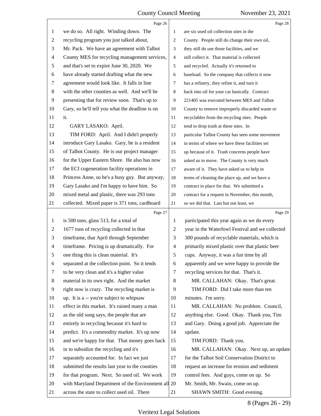<span id="page-8-0"></span>

|                | Page 26                                            |                          | Page 28                                         |
|----------------|----------------------------------------------------|--------------------------|-------------------------------------------------|
| 1              | we do so. All right. Winding down. The             | 1                        | are six used oil collection sites in the        |
| $\overline{c}$ | recycling program you just talked about,           | $\overline{c}$           | County. People still do change their own oil,   |
| 3              | Mr. Pack. We have an agreement with Talbot         | 3                        | they still do use those facilities, and we      |
| 4              | County MES for recycling management services,      | $\overline{4}$           | still collect it. That material is collected    |
| 5              | and that's set to expire June 30, 2020. We         | 5                        | and recycled. Actually it's returned to         |
| 6              | have already started drafting what the new         | 6                        | baseload. So the company that collects it now   |
| 7              | agreement would look like. It falls in line        | 7                        | has a refinery, they refine it, and turn it     |
| $\,8\,$        | with the other counties as well. And we'll be      | 8                        | back into oil for your car basically. Contract  |
| 9              | presenting that for review soon. That's up to      | 9                        | 221405 was executed between MES and Talbot      |
| 10             | Gary, so he'll tell you what the deadline is on    | 10                       | County to remove improperly discarded waste or  |
| 11             | it.                                                | 11                       | recyclables from the recycling sites. People    |
| 12             | GARY LASAKO: April.                                | 12                       | tend to drop trash at these sites. In           |
| 13             | TIM FORD: April. And I didn't properly             | 13                       | particular Talbot County has seen some movement |
| 14             | introduce Gary Lasako. Gary, he is a resident      | 14                       | in terms of where we have these facilities set  |
| 15             | of Talbot County. He is our project manager        | 15                       | up because of it. Trash concerns people have    |
| 16             | for the Upper Eastern Shore. He also has now       | 16                       | asked us to move. The County is very much       |
| 17             | the ECI cogeneration facility operations in        | 17                       | aware of it. They have asked us to help in      |
| 18             | Princess Anne, so he's a busy guy. But anyway,     | 18                       | terms of cleaning the place up, and we have a   |
| 19             | Gary Lasako and I'm happy to have him. So          | 19                       | contract in place for that. We submitted a      |
| 20             | mixed metal and plastic, there was 293 tons        | 20                       | contract for a request in November, this month, |
| 21             | collected. Mixed paper is 371 tons, cardboard      | 21                       | so we did that. Last but not least, we          |
|                |                                                    |                          |                                                 |
|                | Page 27                                            |                          | Page 29                                         |
| $\mathbf{1}$   | is 500 tons, glass 513, for a total of             | 1                        | participated this year again as we do every     |
| $\overline{c}$ | 1677 tons of recycling collected in that           | $\overline{c}$           | year in the Waterfowl Festival and we collected |
| 3              | timeframe, that April through September            | 3                        | 300 pounds of recyclable materials, which is    |
| $\overline{4}$ | timeframe. Pricing is up dramatically. For         | $\overline{\mathcal{A}}$ | primarily mixed plastic over that plastic beer  |
| 5              | one thing this is clean material. It's             | 5                        | cups. Anyway, it was a fun time by all          |
| 6              | separated at the collection point. So it tends     | 6                        | apparently and we were happy to provide the     |
| 7              | to be very clean and it's a higher value           | 7                        | recycling services for that. That's it.         |
| 8              | material in its own right. And the market          | 8                        | MR. CALLAHAN: Okay. That's great.               |
| 9              | right now is crazy. The recycling market is        | 9                        | TIM FORD: Did I take more than ten              |
| 10             | up. It is a -- you're subject to whipsaw           | 10                       | minutes. I'm sorry.                             |
| 11             | effect in this market. It's ruined many a man      | 11                       | MR. CALLAHAN: No problem. Council,              |
| 12             | as the old song says, the people that are          | 12                       | anything else. Good. Okay. Thank you, Tim       |
| 13             | entirely in recycling because it's hard to         | 13                       | and Gary. Doing a good job. Appreciate the      |
| 14             | predict. It's a commodity market. It's up now      | 14                       | update.                                         |
| 15             | and we're happy for that. That money goes back     | 15                       | TIM FORD: Thank you.                            |
| 16             | in to subsidize the recycling and it's             | 16                       | MR. CALLAHAN: Okay. Next up, an update          |
| 17             | separately accounted for. In fact we just          | 17                       | for the Talbot Soil Conservation District to    |
| 18             | submitted the results last year to the counties    | 18                       | request an increase for erosion and sediment    |
| 19             | for that program. Next. So used oil. We work       | 19                       | control fees. And guys, come on up. So          |
| 20             | with Maryland Department of the Environment all 20 |                          | Mr. Smith, Mr. Swain, come on up.               |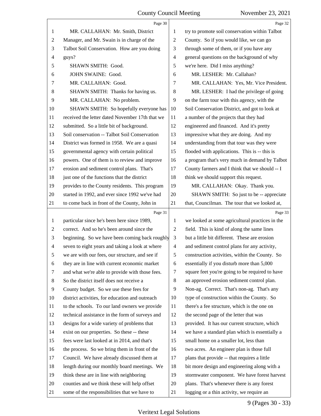<span id="page-9-0"></span>

|                | Page 30                                         |                          | Page 32                                         |
|----------------|-------------------------------------------------|--------------------------|-------------------------------------------------|
| $\mathbf{1}$   | MR. CALLAHAN: Mr. Smith, District               | 1                        | try to promote soil conservation within Talbot  |
| $\overline{c}$ | Manager, and Mr. Swain is in charge of the      | $\overline{c}$           | County. So if you would like, we can go         |
| 3              | Talbot Soil Conservation. How are you doing     | 3                        | through some of them, or if you have any        |
| $\overline{4}$ | guys?                                           | $\overline{\mathcal{A}}$ | general questions on the background of why      |
| 5              | SHAWN SMITH: Good.                              | 5                        | we're here. Did I miss anything?                |
| 6              | JOHN SWAINE: Good.                              | 6                        | MR. LESHER: Mr. Callahan?                       |
| 7              | MR. CALLAHAN: Good.                             | 7                        | MR. CALLAHAN: Yes, Mr. Vice President.          |
| 8              | SHAWN SMITH: Thanks for having us.              | 8                        | MR. LESHER: I had the privilege of going        |
| 9              | MR. CALLAHAN: No problem.                       | 9                        | on the farm tour with this agency, with the     |
| 10             | SHAWN SMITH: So hopefully everyone has          | 10                       | Soil Conservation District, and got to look at  |
| 11             | received the letter dated November 17th that we | 11                       | a number of the projects that they had          |
| 12             | submitted. So a little bit of background.       | 12                       | engineered and financed. And it's pretty        |
| 13             | Soil conservation -- Talbot Soil Conservation   | 13                       | impressive what they are doing. And my          |
| 14             | District was formed in 1958. We are a quasi     | 14                       | understanding from that tour was they were      |
| 15             | governmental agency with certain political      | 15                       | flooded with applications. This is -- this is   |
| 16             | powers. One of them is to review and improve    | 16                       | a program that's very much in demand by Talbot  |
| 17             | erosion and sediment control plans. That's      | 17                       | County farmers and I think that we should -- I  |
| 18             | just one of the functions that the district     | 18                       | think we should support this request.           |
| 19             | provides to the County residents. This program  | 19                       | MR. CALLAHAN: Okay. Thank you.                  |
| $20\,$         | started in 1992, and ever since 1992 we've had  | 20                       | SHAWN SMITH: So just to be -- appreciate        |
| 21             | to come back in front of the County, John in    | 21                       | that, Councilman. The tour that we looked at,   |
|                | Page 31                                         |                          | Page 33                                         |
| $\mathbf{1}$   | particular since he's been here since 1989,     | 1                        | we looked at some agricultural practices in the |
| $\sqrt{2}$     | correct. And so he's been around since the      | $\sqrt{2}$               | field. This is kind of along the same lines     |
| 3              | beginning. So we have been coming back roughly  | 3                        | but a little bit different. These are erosion   |
| $\overline{4}$ | seven to eight years and taking a look at where | $\overline{4}$           |                                                 |
|                |                                                 |                          | and sediment control plans for any activity,    |
| 5              | we are with our fees, our structure, and see if | $\sqrt{5}$               | construction activities, within the County. So  |
| 6              | they are in line with current economic market   | 6                        | essentially if you disturb more than 5,000      |
| 7              | and what we're able to provide with those fees. | 7                        | square feet you're going to be required to have |
| 8              | So the district itself does not receive a       | 8                        | an approved erosion sediment control plan.      |
| 9              | County budget. So we use these fees for         | 9                        | Non-ag. Correct. That's non-ag. That's any      |
| 10             | district activities, for education and outreach | 10                       | type of construction within the County. So      |
| 11             | to the schools. To our land owners we provide   | 11                       | there's a fee structure, which is the one on    |
| 12             | technical assistance in the form of surveys and | 12                       | the second page of the letter that was          |
| 13             | designs for a wide variety of problems that     | 13                       | provided. It has our current structure, which   |
| 14             | exist on our properties. So these -- these      | 14                       | we have a standard plan which is essentially a  |
| 15             | fees were last looked at in 2014, and that's    | 15                       | small home on a smaller lot, less than          |
| 16             | the process. So we bring them in front of the   | 16                       | two acres. An engineer plan is those full       |
| 17             | Council. We have already discussed them at      | 17                       | plans that provide -- that requires a little    |
| 18             | length during our monthly board meetings. We    | 18                       | bit more design and engineering along with a    |
| 19             | think these are in line with neighboring        | 19                       | stormwater component. We have forest harvest    |
| 20             | counties and we think these will help offset    | 20                       | plans. That's whenever there is any forest      |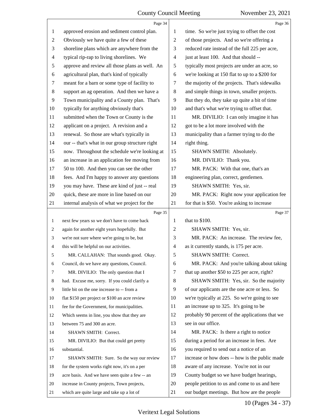<span id="page-10-0"></span>

|    | Page 34                                         |    | Page 36                                         |
|----|-------------------------------------------------|----|-------------------------------------------------|
| 1  | approved erosion and sediment control plan.     | 1  | time. So we're just trying to offset the cost   |
| 2  | Obviously we have quite a few of these          | 2  | of those projects. And so we're offering a      |
| 3  | shoreline plans which are anywhere from the     | 3  | reduced rate instead of the full 225 per acre,  |
| 4  | typical rip-rap to living shorelines. We        | 4  | just at least 100. And that should --           |
| 5  | approve and review all those plans as well. An  | 5  | typically most projects are under an acre, so   |
| 6  | agricultural plan, that's kind of typically     | 6  | we're looking at 150 flat to up to a \$200 for  |
| 7  | meant for a barn or some type of facility to    | 7  | the majority of the projects. That's sidewalks  |
| 8  | support an ag operation. And then we have a     | 8  | and simple things in town, smaller projects.    |
| 9  | Town municipality and a County plan. That's     | 9  | But they do, they take up quite a bit of time   |
| 10 | typically for anything obviously that's         | 10 | and that's what we're trying to offset that.    |
| 11 | submitted when the Town or County is the        | 11 | MR. DIVILIO: I can only imagine it has          |
| 12 | applicant on a project. A revision and a        | 12 | got to be a lot more involved with the          |
| 13 | renewal. So those are what's typically in       | 13 | municipality than a farmer trying to do the     |
| 14 | our -- that's what in our group structure right | 14 | right thing.                                    |
| 15 | now. Throughout the schedule we're looking at   | 15 | SHAWN SMITH: Absolutely.                        |
| 16 | an increase in an application fee moving from   | 16 | MR. DIVILIO: Thank you.                         |
| 17 | 50 to 100. And then you can see the other       | 17 | MR. PACK: With that one, that's an              |
| 18 | fees. And I'm happy to answer any questions     | 18 | engineering plan, correct, gentlemen.           |
| 19 | you may have. These are kind of just -- real    | 19 | SHAWN SMITH: Yes, sir.                          |
| 20 | quick, these are more in line based on our      | 20 | MR. PACK: Right now your application fee        |
| 21 | internal analysis of what we project for the    | 21 | for that is \$50. You're asking to increase     |
|    |                                                 |    |                                                 |
|    | Page 35                                         |    | Page 37                                         |
| 1  | next few years so we don't have to come back    | 1  | that to \$100.                                  |
| 2  | again for another eight years hopefully. But    | 2  | SHAWN SMITH: Yes, sir.                          |
| 3  | we're not sure where we're going to be, but     | 3  | MR. PACK: An increase. The review fee,          |
| 4  | this will be helpful on our activities.         | 4  | as it currently stands, is 175 per acre.        |
| 5  | MR. CALLAHAN: That sounds good. Okay            | 5  | <b>SHAWN SMITH: Correct.</b>                    |
| 6  | Council, do we have any questions, Council.     | 6  | MR. PACK: And you're talking about taking       |
| 7  | MR. DIVILIO: The only question that I           | 7  | that up another \$50 to 225 per acre, right?    |
| 8  | had. Excuse me, sorry. If you could clarify a   | 8  | SHAWN SMITH: Yes, sir. So the majority          |
| 9  | little bit on the one increase to -- from a     | 9  | of our applicants are the one acre or less. So  |
| 10 | flat \$150 per project or \$100 an acre review  | 10 | we're typically at 225. So we're going to see   |
| 11 | fee for the Government, for municipalities.     | 11 | an increase up to 325. It's going to be         |
| 12 | Which seems in line, you show that they are     | 12 | probably 90 percent of the applications that we |
| 13 | between 75 and 300 an acre.                     | 13 | see in our office.                              |
| 14 | SHAWN SMITH: Correct.                           | 14 | MR. PACK: Is there a right to notice            |
| 15 | MR. DIVILIO: But that could get pretty          | 15 | during a period for an increase in fees. Are    |
| 16 | substantial.                                    | 16 | you required to send out a notice of an         |
| 17 | SHAWN SMITH: Sure. So the way our review        | 17 | increase or how does -- how is the public made  |
| 18 | for the system works right now, it's on a per   | 18 | aware of any increase. You're not in our        |
| 19 | acre basis. And we have seen quite a few -- an  | 19 | County budget so we have budget hearings,       |
| 20 | increase in County projects, Town projects,     | 20 | people petition to us and come to us and here   |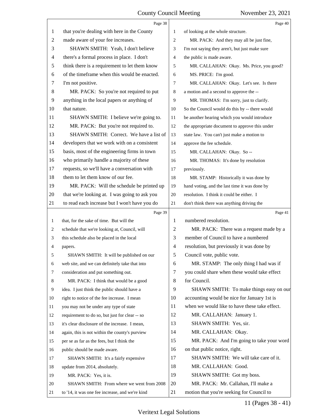<span id="page-11-0"></span>

|                | Page 38                                        |                          | Page 40                                        |
|----------------|------------------------------------------------|--------------------------|------------------------------------------------|
| 1              | that you're dealing with here in the County    | 1                        | of looking at the whole structure.             |
| $\overline{c}$ | made aware of your fee increases.              | 2                        | MR. PACK: And they may all be just fine,       |
| 3              | SHAWN SMITH: Yeah, I don't believe             | 3                        | I'm not saying they aren't, but just make sure |
| 4              | there's a formal process in place. I don't     | 4                        | the public is made aware.                      |
| 5              | think there is a requirement to let them know  | 5                        | MR. CALLAHAN: Okay. Ms. Price, you good?       |
| 6              | of the timeframe when this would be enacted.   | 6                        | MS. PRICE: I'm good.                           |
| 7              | I'm not positive.                              | 7                        | MR. CALLAHAN: Okay. Let's see. Is there        |
| 8              | MR. PACK: So you're not required to put        | 8                        | a motion and a second to approve the --        |
| 9              | anything in the local papers or anything of    | 9                        | MR. THOMAS: I'm sorry, just to clarify.        |
| 10             | that nature.                                   | 10                       | So the Council would do this by -- there would |
| 11             | SHAWN SMITH: I believe we're going to.         | 11                       | be another hearing which you would introduce   |
| 12             | MR. PACK: But you're not required to.          | 12                       | the appropriate document to approve this under |
| 13             | SHAWN SMITH: Correct. We have a list of        | 13                       | state law. You can't just make a motion to     |
| 14             | developers that we work with on a consistent   | 14                       | approve the fee schedule.                      |
| 15             | basis, most of the engineering firms in town   | 15                       | MR. CALLAHAN: Okay. So --                      |
| 16             | who primarily handle a majority of these       | 16                       | MR. THOMAS: It's done by resolution            |
| 17             | requests, so we'll have a conversation with    | 17                       | previously.                                    |
| 18             | them to let them know of our fee.              | 18                       | MR. STAMP: Historically it was done by         |
| 19             | MR. PACK: Will the schedule be printed up      | 19                       | hand voting, and the last time it was done by  |
| 20             | that we're looking at. I was going to ask you  | 20                       | resolution. I think it could be either. I      |
| 21             | to read each increase but I won't have you do  | 21                       | don't think there was anything driving the     |
|                |                                                |                          |                                                |
|                | Page 39                                        |                          | Page 41                                        |
| 1              | that, for the sake of time. But will the       | 1                        | numbered resolution.                           |
| 2              | schedule that we're looking at, Council, will  | 2                        | MR. PACK: There was a request made by a        |
| 3              | this schedule also be placed in the local      | 3                        | member of Council to have a numbered           |
| 4              | papers.                                        | $\overline{\mathcal{A}}$ | resolution, but previously it was done by      |
| 5              | SHAWN SMITH: It will be published on our       | 5                        | Council vote, public vote.                     |
| 6              | web site, and we can definitely take that into | 6                        | MR. STAMP: The only thing I had was if         |
| 7              | consideration and put something out.           | 7                        | you could share when these would take effect   |
| 8              | MR. PACK: I think that would be a good         | 8                        | for Council.                                   |
| 9              | idea. I just think the public should have a    | 9                        | SHAWN SMITH: To make things easy on our        |
| 10             | right to notice of the fee increase. I mean    | 10                       | accounting would be nice for January 1st is    |
| 11             | you may not be under any type of state         | 11                       | when we would like to have these take effect.  |
| 12             | requirement to do so, but just for clear -- so | 12                       | MR. CALLAHAN: January 1.                       |
| 13             | it's clear disclosure of the increase. I mean, | 13                       | SHAWN SMITH: Yes, sir.                         |
| 14             | again, this is not within the county's purview | 14                       | MR. CALLAHAN: Okay.                            |
| 15             | per se as far as the fees, but I think the     | 15                       | MR. PACK: And I'm going to take your word      |
| 16             | public should be made aware.                   | 16                       | on that public notice, right.                  |
| 17             | SHAWN SMITH: It's a fairly expensive           | 17                       | SHAWN SMITH: We will take care of it.          |
| 18             | update from 2014, absolutely.                  | 18                       | MR. CALLAHAN: Good.                            |
| 19             | MR. PACK: Yes, it is.                          | 19                       | SHAWN SMITH: Got my boss.                      |
| 20             | SHAWN SMITH: From where we went from 2008      | 20                       | MR. PACK: Mr. Callahan, I'll make a            |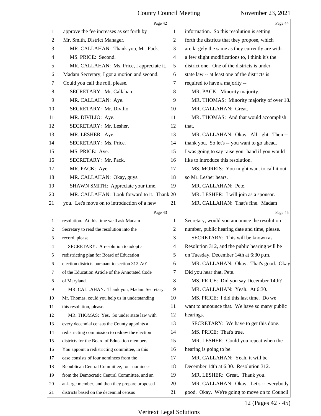<span id="page-12-0"></span>

|    | Page 42                                         |       | Page 44                                         |
|----|-------------------------------------------------|-------|-------------------------------------------------|
| 1  | approve the fee increases as set forth by       | 1     | information. So this resolution is setting      |
| 2  | Mr. Smith, District Manager.                    | 2     | forth the districts that they propose, which    |
| 3  | MR. CALLAHAN: Thank you, Mr. Pack.              | 3     | are largely the same as they currently are with |
| 4  | MS. PRICE: Second.                              | 4     | a few slight modifications to, I think it's the |
| 5  | MR. CALLAHAN: Ms. Price, I appreciate it.       | 5     | district one. One of the districts is under     |
| 6  | Madam Secretary, I got a motion and second.     | 6     | state law -- at least one of the districts is   |
| 7  | Could you call the roll, please.                | 7     | required to have a majority --                  |
| 8  | SECRETARY: Mr. Callahan.                        | $\,8$ | MR. PACK: Minority majority.                    |
| 9  | MR. CALLAHAN: Aye.                              | 9     | MR. THOMAS: Minority majority of over 18.       |
| 10 | SECRETARY: Mr. Divilio.                         | 10    | MR. CALLAHAN: Great.                            |
| 11 | MR. DIVILIO: Aye.                               | 11    | MR. THOMAS: And that would accomplish           |
| 12 | SECRETARY: Mr. Lesher.                          | 12    | that.                                           |
| 13 | MR. LESHER: Aye.                                | 13    | MR. CALLAHAN: Okay. All right. Then --          |
| 14 | SECRETARY: Ms. Price.                           | 14    | thank you. So let's -- you want to go ahead.    |
| 15 | MS. PRICE: Aye.                                 | 15    | I was going to say raise your hand if you would |
| 16 | SECRETARY: Mr. Pack.                            | 16    | like to introduce this resolution.              |
| 17 | MR. PACK: Aye.                                  | 17    | MS. MORRIS: You might want to call it out       |
| 18 | MR. CALLAHAN: Okay, guys.                       | 18    | so Mr. Lesher hears.                            |
| 19 | SHAWN SMITH: Appreciate your time.              | 19    | MR. CALLAHAN: Pete.                             |
| 20 | MR. CALLAHAN: Look forward to it. Thank 20      |       | MR. LESHER: I will join as a sponsor.           |
| 21 | you. Let's move on to introduction of a new     | 21    | MR. CALLAHAN: That's fine. Madam                |
|    | Page 43                                         |       | Page 45                                         |
| 1  | resolution. At this time we'll ask Madam        | 1     | Secretary, would you announce the resolution    |
| 2  | Secretary to read the resolution into the       | 2     | number, public hearing date and time, please.   |
| 3  | record, please.                                 | 3     | SECRETARY: This will be known as                |
|    |                                                 |       |                                                 |
| 4  | SECRETARY: A resolution to adopt a              | 4     | Resolution 312, and the public hearing will be  |
|    | redistricting plan for Board of Education       | 5     | on Tuesday, December 14th at 6:30 p.m.          |
| 6  | election districts pursuant to section 312-A01  | 6     | MR. CALLAHAN: Okay. That's good. Okay.          |
| 7  | of the Education Article of the Annotated Code  | 7     | Did you hear that, Pete.                        |
| 8  | of Maryland.                                    | 8     | MS. PRICE: Did you say December 14th?           |
| 9  | MR. CALLAHAN: Thank you, Madam Secretary.       | 9     | MR. CALLAHAN: Yeah. At 6:30.                    |
| 10 | Mr. Thomas, could you help us in understanding  | 10    | MS. PRICE: I did this last time. Do we          |
| 11 | this resolution, please.                        | 11    | want to announce that. We have so many public   |
| 12 | MR. THOMAS: Yes. So under state law with        | 12    | hearings.                                       |
| 13 | every decennial census the County appoints a    | 13    | SECRETARY: We have to get this done.            |
| 14 | redistricting commission to redraw the election | 14    | MS. PRICE: That's true.                         |
| 15 | districts for the Board of Education members.   | 15    | MR. LESHER: Could you repeat when the           |
| 16 | You appoint a redistricting committee, in this  | 16    | hearing is going to be.                         |
| 17 | case consists of four nominees from the         | 17    | MR. CALLAHAN: Yeah, it will be                  |
| 18 | Republican Central Committee, four nominees     | 18    | December 14th at 6:30. Resolution 312.          |
| 19 | from the Democratic Central Committee, and an   | 19    | MR. LESHER: Great. Thank you.                   |
| 20 | at-large member, and then they prepare proposed | 20    | MR. CALLAHAN: Okay. Let's -- everybody          |

# 12 (Pages 42 - 45)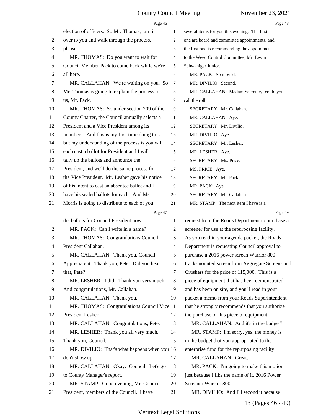<span id="page-13-0"></span>

|                | Page 46                                         |                | Page 48                                         |
|----------------|-------------------------------------------------|----------------|-------------------------------------------------|
| 1              | election of officers. So Mr. Thomas, turn it    | 1              | several items for you this evening. The first   |
| 2              | over to you and walk through the process,       | 2              | one are board and committee appointments, and   |
| 3              | please.                                         | 3              | the first one is recommending the appointment   |
| $\overline{4}$ | MR. THOMAS: Do you want to wait for             | $\overline{4}$ | to the Weed Control Committee, Mr. Levin        |
| 5              | Council Member Pack to come back while we're    | 5              | Schwaniger Junior.                              |
| 6              | all here.                                       | 6              | MR. PACK: So moved.                             |
| 7              | MR. CALLAHAN: We're waiting on you. So          | $\overline{7}$ | MR. DIVILIO: Second.                            |
| 8              | Mr. Thomas is going to explain the process to   | 8              | MR. CALLAHAN: Madam Secretary, could you        |
| 9              | us, Mr. Pack.                                   | 9              | call the roll.                                  |
| 10             | MR. THOMAS: So under section 209 of the         | 10             | SECRETARY: Mr. Callahan.                        |
| 11             | County Charter, the Council annually selects a  | 11             | MR. CALLAHAN: Aye.                              |
| 12             | President and a Vice President among its        | 12             | SECRETARY: Mr. Divilio.                         |
| 13             | members. And this is my first time doing this,  | 13             | MR. DIVILIO: Aye.                               |
| 14             | but my understanding of the process is you will | 14             | SECRETARY: Mr. Lesher.                          |
| 15             | each cast a ballot for President and I will     | 15             | MR. LESHER: Aye.                                |
| 16             | tally up the ballots and announce the           | 16             | SECRETARY: Ms. Price.                           |
| 17             | President, and we'll do the same process for    | 17             | MS. PRICE: Aye.                                 |
| 18             | the Vice President. Mr. Lesher gave his notice  | 18             | SECRETARY: Mr. Pack.                            |
| 19             | of his intent to cast an absentee ballot and I  | 19             | MR. PACK: Aye.                                  |
| 20             | have his sealed ballots for each. And Ms.       | 20             | SECRETARY: Mr. Callahan.                        |
| 21             | Morris is going to distribute to each of you    | 21             | MR. STAMP: The next item I have is a            |
|                | Page 47                                         |                | Page 49                                         |
| 1              | the ballots for Council President now.          | 1              | request from the Roads Department to purchase a |
| 2              | MR. PACK: Can I write in a name?                | $\overline{2}$ | screener for use at the repurposing facility.   |
| 3              | MR. THOMAS: Congratulations Council             | 3              | As you read in your agenda packet, the Roads    |
| 4              | President Callahan.                             | $\overline{4}$ | Department is requesting Council approval to    |
| 5              | MR. CALLAHAN: Thank you, Council.               | 5              | purchase a 2016 power screen Warrior 800        |
| 6              | Appreciate it. Thank you, Pete. Did you hear    | 6              | track-mounted screen from Aggregate Screens and |
| 7              | that, Pete?                                     | $\tau$         | Crushers for the price of 115,000. This is a    |
| 8              | MR. LESHER: I did. Thank you very much.         | 8              | piece of equipment that has been demonstrated   |
| 9              | And congratulations, Mr. Callahan.              | 9              | and has been on site, and you'll read in your   |
| 10             | MR. CALLAHAN: Thank you.                        | 10             | packet a memo from your Roads Superintendent    |
| 11             | MR. THOMAS: Congratulations Council Vice 11     |                | that he strongly recommends that you authorize  |
| 12             | President Lesher.                               | 12             | the purchase of this piece of equipment.        |
| 13             | MR. CALLAHAN: Congratulations, Pete.            | 13             | MR. CALLAHAN: And it's in the budget?           |
| 14             | MR. LESHER: Thank you all very much.            | 14             | MR. STAMP: I'm sorry, yes, the money is         |
| 15             | Thank you, Council.                             | 15             | in the budget that you appropriated to the      |
| 16             | MR. DIVILIO: That's what happens when you 16    |                | enterprise fund for the repurposing facility.   |
| 17             | don't show up.                                  | 17             | MR. CALLAHAN: Great.                            |
| 18             | MR. CALLAHAN: Okay. Council. Let's go           | 18             | MR. PACK: I'm going to make this motion         |
| 19             | to County Manager's report.                     | 19             | just because I like the name of it, 2016 Power  |
| 20             | MR. STAMP: Good evening, Mr. Council            | 20             | Screener Warrior 800.                           |
| 21             | President, members of the Council. I have       | 21             | MR. DIVILIO: And I'll second it because         |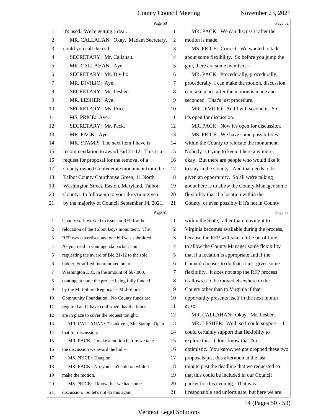<span id="page-14-0"></span>

|                | Page 50                                        |                | Page 52                                         |
|----------------|------------------------------------------------|----------------|-------------------------------------------------|
| 1              | it's used. We're getting a deal.               | 1              | MR. PACK: We can discuss it after the           |
| $\overline{c}$ | MR. CALLAHAN: Okay. Madam Secretary,           | $\overline{2}$ | motion is made.                                 |
| 3              | could you call the roll.                       | 3              | MS. PRICE: Correct. We wanted to talk           |
| 4              | SECRETARY: Mr. Callahan.                       | 4              | about some flexibility. So before you jump the  |
| 5              | MR. CALLAHAN: Aye.                             | 5              | gun, there are some members --                  |
| 6              | SECRETARY: Mr. Divilio.                        | 6              | MR. PACK: Procedurally, procedurally,           |
| 7              | MR. DIVILIO: Aye.                              | 7              | procedurally, I can make the motion, discussion |
| 8              | SECRETARY: Mr. Lesher.                         | 8              | can take place after the motion is made and     |
| 9              | MR. LESHER: Aye.                               | 9              | seconded. That's just procedure.                |
| 10             | SECRETARY: Ms. Price.                          | 10             | MR. DIVILIO: And I will second it. So           |
| 11             | MS. PRICE: Aye.                                | 11             | it's open for discussion.                       |
| 12             | SECRETARY: Mr. Pack.                           | 12             | MR. PACK: Now it's open for discussion.         |
| 13             | MR. PACK: Aye.                                 | 13             | MS. PRICE: We have some possibilities           |
| 14             | MR. STAMP: The next item I have is             | 14             | within the County to relocate the monument.     |
| 15             | recommendation to award Bid 21-12. This is a   | 15             | Nobody is trying to keep it here any more,      |
| 16             | request for proposal for the removal of a      | 16             | okay. But there are people who would like it    |
| 17             | County owned Confederate monument from the     | 17             | to stay in the County. And that needs to be     |
| 18             | Talbot County Courthouse Green, 11 North       | 18             | given an opportunity. So all we're talking      |
| 19             | Washington Street, Easton, Maryland, Talbot    | 19             | about here is to allow the County Manager some  |
| 20             | County. In follow-up to your direction given   | 20             | flexibility that if a location within the       |
| 21             | by the majority of Council September 14, 2021, | 21             | County, or even possibly if it's not in County  |
|                |                                                |                |                                                 |
|                | Page 51                                        |                | Page 53                                         |
| $\mathbf{1}$   | County staff worked to issue an RFP for the    | 1              | within the State, rather than moving it to      |
| 2              | relocation of the Talbot Boys monument. The    | 2              | Virginia becomes available during the process,  |
| 3              | RFP was advertised and one bid was submitted.  | 3              | because the RFP will take a little bit of time, |
| 4              | As you read in your agenda packet, I am        | $\overline{4}$ | to allow the County Manager some flexibility    |
| 5              | requesting the award of Bid 21-12 to the sole  | 5              | that if a location is appropriate and if the    |
| 6              | bidder, Stratified Incorporated out of         | 6              | Council chooses to do that, it just gives some  |
| 7              | Washington D.C. in the amount of \$67,000,     | 7              | flexibility. It does not stop the RFP process   |
| 8              | contingent upon the project being fully funded | 8              | it allows it to be moved elsewhere in the       |
| 9              | by the Mid-Shore Regional -- Mid-Shore         | 9              | County other than to Virginia if that           |
| 10             | Community Foundation. No County funds are      | 10             | opportunity presents itself in the next month   |
| 11             | required and I have confirmed that the funds   | 11             | or so.                                          |
| 12             | are in place to cover the request tonight.     | 12             | MR. CALLAHAN: Okay. Mr. Lesher.                 |
| 13             | MR. CALLAHAN: Thank you, Mr. Stamp. Open       | 13             | MR. LESHER: Well, so I could support -- I       |
| 14             | that for discussion.                           | 14             | could certainly support that flexibility to     |
| 15             | MR. PACK: I make a motion before we take       | 15             | explore this. I don't know that I'm             |
| 16             | the discussion we award the bid --             | 16             | optimistic. You know, we got dropped these two  |
| 17             | MS. PRICE: Hang on.                            | 17             | proposals just this afternoon at the last       |
| 18             | MR. PACK: No, you can't hold on while I        | 18             | minute past the deadline that we requested so   |
| 19             | make the motion.                               | 19             | that this could be included in our Council      |
| 20             | MS. PRICE: I know, but we had some             | 20             | packet for this evening. That was               |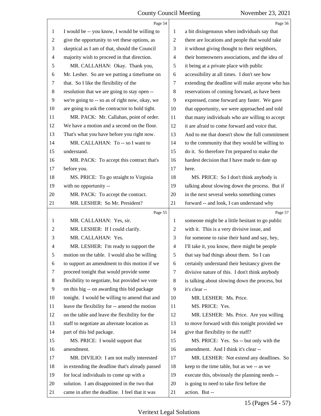<span id="page-15-0"></span>

|                | Page 54                                         |                          | Page 56                                         |
|----------------|-------------------------------------------------|--------------------------|-------------------------------------------------|
| $\mathbf{1}$   | I would be -- you know, I would be willing to   | 1                        | a bit disingenuous when individuals say that    |
| $\overline{c}$ | give the opportunity to vet these options, as   | $\mathbf{2}$             | there are locations and people that would take  |
| 3              | skeptical as I am of that, should the Council   | 3                        | it without giving thought to their neighbors,   |
| $\overline{4}$ | majority wish to proceed in that direction.     | $\overline{\mathcal{A}}$ | their homeowners associations, and the idea of  |
| 5              | MR. CALLAHAN: Okay. Thank you,                  | 5                        | it being at a private place with public         |
| 6              | Mr. Lesher. So are we putting a timeframe on    | 6                        | accessibility at all times. I don't see how     |
| 7              | that. So I like the flexibility of the          | 7                        | extending the deadline will make anyone who has |
| $8\,$          | resolution that we are going to stay open --    | $\,8\,$                  | reservations of coming forward, as have been    |
| $\overline{9}$ | we're going to -- so as of right now, okay, we  | 9                        | expressed, come forward any faster. We gave     |
| 10             | are going to ask the contractor to hold tight.  | 10                       | that opportunity, we were approached and told   |
| 11             | MR. PACK: Mr. Callahan, point of order.         | 11                       | that many individuals who are willing to accept |
| 12             | We have a motion and a second on the floor.     | 12                       | it are afraid to come forward and voice that.   |
| 13             | That's what you have before you right now.      | 13                       | And to me that doesn't show the full commitment |
| 14             | MR. CALLAHAN: To -- so I want to                | 14                       | to the community that they would be willing to  |
| 15             | understand.                                     | 15                       | do it. So therefore I'm prepared to make the    |
| 16             | MR. PACK: To accept this contract that's        | 16                       | hardest decision that I have made to date up    |
| 17             | before you.                                     | 17                       | here.                                           |
| 18             | MS. PRICE: To go straight to Virginia           | 18                       | MS. PRICE: So I don't think anybody is          |
| 19             | with no opportunity --                          | 19                       | talking about slowing down the process. But if  |
| 20             | MR. PACK: To accept the contract.               | 20                       | in the next several weeks something comes       |
| 21             | MR. LESHER: So Mr. President?                   | 21                       | forward -- and look, I can understand why       |
|                | Page 55                                         |                          | Page 57                                         |
| $\mathbf{1}$   | MR. CALLAHAN: Yes, sir.                         | $\mathbf{1}$             | someone might be a little hesitant to go public |
| 2              | MR. LESHER: If I could clarify.                 | $\overline{c}$           | with it. This is a very divisive issue, and     |
| 3              | MR. CALLAHAN: Yes.                              | 3                        | for someone to raise their hand and say, hey,   |
| 4              | MR. LESHER: I'm ready to support the            | $\overline{4}$           | I'll take it, you know, there might be people   |
| 5              | motion on the table. I would also be willing    | 5                        | that say bad things about them. So I can        |
| 6              | to support an amendment to this motion if we    | 6                        | certainly understand their hesitancy given the  |
| 7              | proceed tonight that would provide some         | $\tau$                   | divisive nature of this. I don't think anybody  |
| 8              | flexibility to negotiate, but provided we vote  | 8                        | is talking about slowing down the process, but  |
| 9              | on this big -- on awarding this bid package     | 9                        | it's clear --                                   |
| 10             | tonight. I would be willing to amend that and   | 10                       | MR. LESHER: Ms. Price.                          |
| 11             | leave the flexibility for -- amend the motion   | 11                       | MS. PRICE: Yes.                                 |
| 12             | on the table and leave the flexibility for the  | 12                       | MR. LESHER: Ms. Price. Are you willing          |
| 13             | staff to negotiate an alternate location as     | 13                       | to move forward with this tonight provided we   |
| 14             | part of this bid package.                       | 14                       | give that flexibility to the staff?             |
| 15             | MS. PRICE: I would support that                 | 15                       | MS. PRICE: Yes. So -- but only with the         |
| 16             | amendment.                                      | 16                       | amendment. And I think it's clear --            |
| 17             | MR. DIVILIO: I am not really interested         | 17                       | MR. LESHER: Not extend any deadlines. So        |
| 18             |                                                 |                          |                                                 |
|                | in extending the deadline that's already passed | 18                       | keep to the time table, but as we -- as we      |
| 19             | for local individuals to come up with a         | 19                       | execute this, obviously the planning needs --   |
| 20             | solution. I am disappointed in the two that     | 20                       | is going to need to take first before the       |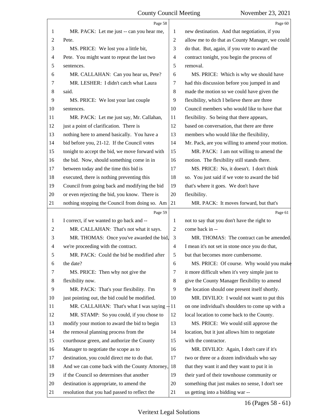<span id="page-16-0"></span>

|                | Page 58                                         |                | Page 60                                         |
|----------------|-------------------------------------------------|----------------|-------------------------------------------------|
| 1              | MR. PACK: Let me just -- can you hear me,       | 1              | new destination. And that negotiation, if you   |
| $\overline{c}$ | Pete.                                           | 2              | allow me to do that as County Manager, we could |
| 3              | MS. PRICE: We lost you a little bit,            | 3              | do that. But, again, if you vote to award the   |
| 4              | Pete. You might want to repeat the last two     | $\overline{4}$ | contract tonight, you begin the process of      |
| 5              | sentences.                                      | 5              | removal.                                        |
| 6              | MR. CALLAHAN: Can you hear us, Pete?            | 6              | MS. PRICE: Which is why we should have          |
| 7              | MR. LESHER: I didn't catch what Laura           | 7              | had this discussion before you jumped in and    |
| 8              | said.                                           | 8              | made the motion so we could have given the      |
| 9              | MS. PRICE: We lost your last couple             | 9              | flexibility, which I believe there are three    |
| 10             | sentences.                                      | 10             | Council members who would like to have that     |
| 11             | MR. PACK: Let me just say, Mr. Callahan,        | 11             | flexibility. So being that there appears,       |
| 12             | just a point of clarification. There is         | 12             | based on conversation, that there are three     |
| 13             | nothing here to amend basically. You have a     | 13             | members who would like the flexibility,         |
| 14             | bid before you, 21-12. If the Council votes     | 14             | Mr. Pack, are you willing to amend your motion. |
| 15             | tonight to accept the bid, we move forward with | 15             | MR. PACK: I am not willing to amend the         |
| 16             | the bid. Now, should something come in in       | 16             | motion. The flexibility still stands there.     |
| 17             | between today and the time this bid is          | 17             | MS. PRICE: No, it doesn't. I don't think        |
| 18             | executed, there is nothing preventing this      | 18             | so. You just said if we vote to award the bid   |
| 19             | Council from going back and modifying the bid   | 19             | that's where it goes. We don't have             |
| 20             | or even rejecting the bid, you know. There is   | 20             | flexibility.                                    |
| 21             | nothing stopping the Council from doing so. Am  | 21             | MR. PACK: It moves forward, but that's          |
|                | Page 59                                         |                | Page 61                                         |
| 1              | I correct, if we wanted to go back and --       | 1              | not to say that you don't have the right to     |
| $\overline{c}$ | MR. CALLAHAN: That's not what it says.          | 2              | come back in --                                 |
| 3              | MR. THOMAS: Once you've awarded the bid,        | 3              | MR. THOMAS: The contract can be amended.        |
| 4              | we're proceeding with the contract.             | $\overline{4}$ | I mean it's not set in stone once you do that,  |
| 5              | MR. PACK: Could the bid be modified after       | 5              | but that becomes more cumbersome.               |
| 6              | the date?                                       | 6              | MS. PRICE: Of course. Why would you make        |
| 7              | MS. PRICE: Then why not give the                | 7              | it more difficult when it's very simple just to |
| 8              | flexibility now.                                | 8              | give the County Manager flexibility to amend    |
| 9              | MR. PACK: That's your flexibility. I'm          | 9              | the location should one present itself shortly. |
| 10             |                                                 |                |                                                 |
| 11             | just pointing out, the bid could be modified.   | 10             | MR. DIVILIO: I would not want to put this       |
| 12             | MR. CALLAHAN: That's what I was saying $-11$    |                | on one individual's shoulders to come up with a |
|                | MR. STAMP: So you could, if you chose to        | 12             | local location to come back to the County.      |
| 13             | modify your motion to award the bid to begin    | 13             | MS. PRICE: We would still approve the           |
| 14             | the removal planning process from the           | 14             | location, but it just allows him to negotiate   |
| 15             | courthouse green, and authorize the County      | 15             | with the contractor.                            |
| 16             | Manager to negotiate the scope as to            | 16             | MR. DIVILIO: Again, I don't care if it's        |
| 17             | destination, you could direct me to do that.    | 17             | two or three or a dozen individuals who say     |
| 18             | And we can come back with the County Attorney,  | 18             | that they want it and they want to put it in    |
| 19             | if the Council so determines that another       | 19             | their yard of their townhouse community or      |
| 20             | destination is appropriate, to amend the        | 20             | something that just makes no sense, I don't see |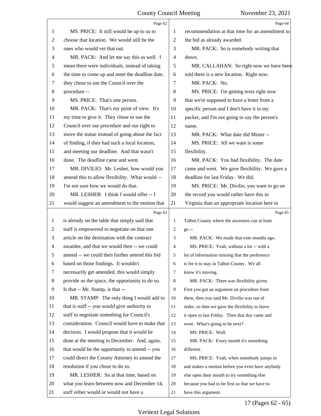<span id="page-17-0"></span>

|                | Page 62                                         |                | Page 64                                         |
|----------------|-------------------------------------------------|----------------|-------------------------------------------------|
| 1              | MS. PRICE: It still would be up to us to        | 1              | recommendation at that time for an amendment to |
| 2              | choose that location. We would still be the     | $\overline{2}$ | the bid as already awarded.                     |
| 3              | ones who would vet that out.                    | 3              | MR. PACK: So is somebody writing that           |
| 4              | MR. PACK: And let me say this as well. I        | $\overline{4}$ | down.                                           |
| 5              | mean there were individuals, instead of taking  | 5              | MR. CALLAHAN: So right now we have been         |
| 6              | the time to come up and meet the deadline date, | 6              | told there is a new location. Right now.        |
| 7              | they chose to sue the Council over the          | 7              | MR. PACK: No.                                   |
| 8              | procedure --                                    | 8              | MS. PRICE: I'm getting texts right now          |
| 9              | MS. PRICE: That's one person.                   | 9              | that we're supposed to have a letter from a     |
| 10             | MR. PACK: That's my point of view. It's         | 10             | specific person and I don't have it in my       |
| 11             | my time to give it. They chose to sue the       | 11             | packet, and I'm not going to say the person's   |
| 12             | Council over our procedure and our right to     | 12             | name.                                           |
| 13             | move the statue instead of going about the fact | 13             | MR. PACK: What date did Mister --               |
| 14             | of finding, if they had such a local location,  | 14             | MS. PRICE: All we want is some                  |
| 15             | and meeting our deadline. And that wasn't       | 15             | flexibility.                                    |
| 16             | done. The deadline came and went.               | 16             | MR. PACK: You had flexibility. The date         |
| 17             | MR. DIVILIO: Mr. Lesher, how would you          | 17             | came and went. We gave flexibility. We gave a   |
| 18             | amend this to allow flexibility. What would --  | 18             | deadline for last Friday. We did.               |
| 19             | I'm not sure how we would do that.              | 19             | MS. PRICE: Mr. Divilio, you want to go on       |
| 20             | MR. LESHER: I think I would offer -- I          | 20             | the record you would rather have this in        |
| 21             | would suggest an amendment to the motion that   | 21             | Virginia than an appropriate location here in   |
|                | Page 63                                         |                | Page 65                                         |
| $\mathbf{1}$   | is already on the table that simply said that   | 1              | Talbot County where the ancestors can at least  |
| 2              | staff is empowered to negotiate on that one     | 2              | go --                                           |
| 3              | article on the destination with the contract    | 3              | MR. PACK: We made that vote months ago.         |
| $\overline{4}$ | awardee, and that we would then -- we could     | $\overline{4}$ | MS. PRICE: Yeah, without a lot -- with a        |
| 5              |                                                 |                |                                                 |
|                | amend -- we could then further amend this bid   | 5 <sup>5</sup> | lot of information missing that the preference  |
| 6              | based on those findings. It wouldn't            | 6              | is for it to stay in Talbot County. We all      |
| 7              | necessarily get amended, this would simply      | 7              | know it's moving.                               |
| 8              | provide us the space, the opportunity to do so. | 8              | MR. PACK: There was flexibility given.          |
| 9              | Is that -- Mr. Stamp, is that --                | 9              | First you got an argument on procedure from     |
| 10             | MR. STAMP: The only thing I would add to        | 10             | them, then you said Mr. Divilio was out of      |
| 11             | that is staff -- you would give authority to    | 11             | order, so then we gave the flexibility to leave |
| 12             | staff to negotiate something for Council's      | 12             | it open to last Friday. Then that day came and  |
| 13             | consideration. Council would have to make that  | 13             | went. What's going to be next?                  |
| 14             | decision. I would propose that it would be      | 14             | MS. PRICE: Well.                                |
| 15             | done at the meeting in December. And, again,    | 15             | MR. PACK: Every month it's something            |
| 16             | that would be the opportunity to amend -- you   | 16             | different.                                      |
| 17             | could direct the County Attorney to amend the   | 17             | MS. PRICE: Yeah, when somebody jumps in         |
| 18             | resolution if you chose to do so.               | 18             | and makes a motion before you even have anybody |
| 19             | MR. LESHER: So at that time, based on           | 19             | else open their mouth to try something else     |
| 20             | what you learn between now and December 14,     | 20             | because you had to be first so that we have to  |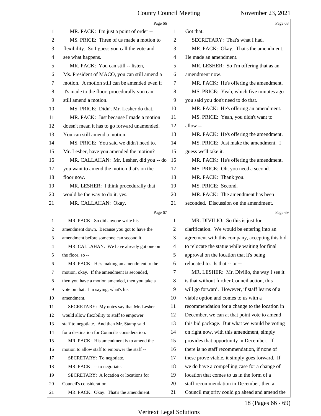<span id="page-18-0"></span>

|                | Page 66                                         |                | Page 68                                         |
|----------------|-------------------------------------------------|----------------|-------------------------------------------------|
| 1              | MR. PACK: I'm just a point of order --          | 1              | Got that.                                       |
| $\overline{2}$ | MS. PRICE: Three of us made a motion to         | $\overline{2}$ | SECRETARY: That's what I had.                   |
| 3              | flexibility. So I guess you call the vote and   | 3              | MR. PACK: Okay. That's the amendment.           |
| $\overline{4}$ | see what happens.                               | 4              | He made an amendment.                           |
| 5              | MR. PACK: You can still -- listen,              | 5              | MR. LESHER: So I'm offering that as an          |
| 6              | Ms. President of MACO, you can still amend a    | 6              | amendment now.                                  |
| 7              | motion. A motion still can be amended even if   | 7              | MR. PACK: He's offering the amendment.          |
| 8              | it's made to the floor, procedurally you can    | 8              | MS. PRICE: Yeah, which five minutes ago         |
| 9              | still amend a motion.                           | 9              | you said you don't need to do that.             |
| 10             | MS. PRICE: Didn't Mr. Lesher do that.           | 10             | MR. PACK: He's offering an amendment.           |
| 11             | MR. PACK: Just because I made a motion          | 11             | MS. PRICE: Yeah, you didn't want to             |
| 12             | doesn't mean it has to go forward unamended.    | 12             | allow --                                        |
| 13             | You can still amend a motion.                   | 13             | MR. PACK: He's offering the amendment.          |
| 14             | MS. PRICE: You said we didn't need to.          | 14             | MS. PRICE: Just make the amendment. I           |
| 15             | Mr. Lesher, have you amended the motion?        | 15             | guess we'll take it.                            |
| 16             | MR. CALLAHAN: Mr. Lesher, did you -- do         | 16             | MR. PACK: He's offering the amendment.          |
| 17             | you want to amend the motion that's on the      | 17             | MS. PRICE: Oh, you need a second.               |
| 18             | floor now.                                      | 18             | MR. PACK: Thank you.                            |
| 19             | MR. LESHER: I think procedurally that           | 19             | MS. PRICE: Second.                              |
| 20             | would be the way to do it, yes.                 | 20             | MR. PACK: The amendment has been                |
| 21             | MR. CALLAHAN: Okay.                             | 21             | seconded. Discussion on the amendment.          |
|                |                                                 |                |                                                 |
|                | Page 67                                         |                | Page 69                                         |
| 1              | MR. PACK: So did anyone write his               | 1              | MR. DIVILIO: So this is just for                |
| 2              | amendment down. Because you got to have the     | 2              | clarification. We would be entering into an     |
| 3              | amendment before someone can second it.         | 3              | agreement with this company, accepting this bid |
| 4              | MR. CALLAHAN: We have already got one on        | $\overline{4}$ | to relocate the statue while waiting for final  |
| 5              | the floor, so --                                | 5              | approval on the location that it's being        |
| 6              | MR. PACK: He's making an amendment to the       | 6              | relocated to. Is that -- or --                  |
| 7              | motion, okay. If the amendment is seconded,     | 7              | MR. LESHER: Mr. Divilio, the way I see it       |
| 8              | then you have a motion amended, then you take a | 8              | is that without further Council action, this    |
| 9              | vote on that. I'm saying, what's his            | 9              | will go forward. However, if staff learns of a  |
| 10             | amendment.                                      | 10             | viable option and comes to us with a            |
| 11             | SECRETARY: My notes say that Mr. Lesher         | 11             | recommendation for a change to the location in  |
| 12             | would allow flexibility to staff to empower     | 12             | December, we can at that point vote to amend    |
| 13             | staff to negotiate. And then Mr. Stamp said     | 13             | this bid package. But what we would be voting   |
| 14             | for a destination for Council's consideration.  | 14             | on right now, with this amendment, simply       |
| 15             | MR. PACK: His amendment is to amend the         | 15             | provides that opportunity in December. If       |
| 16             | motion to allow staff to empower the staff --   | 16             | there is no staff recommendation, if none of    |
| 17             | SECRETARY: To negotiate.                        | 17             | these prove viable, it simply goes forward. If  |
| 18             | MR. PACK: -- to negotiate.                      | 18             | we do have a compelling case for a change of    |
| 19             | SECRETARY: A location or locations for          | 19             | location that comes to us in the form of a      |
| 20             | Council's consideration.                        | 20             | staff recommendation in December, then a        |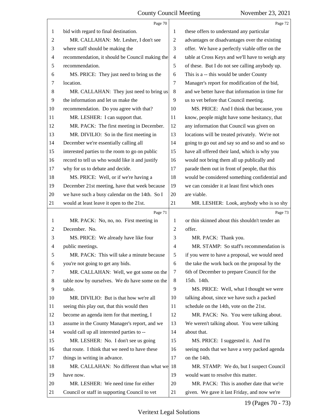<span id="page-19-0"></span>

|                | Page 70                                         |                | Page 72                                         |
|----------------|-------------------------------------------------|----------------|-------------------------------------------------|
| 1              | bid with regard to final destination.           | 1              | these offers to understand any particular       |
| $\overline{2}$ | MR. CALLAHAN: Mr. Lesher, I don't see           | 2              | advantages or disadvantages over the existing   |
| 3              | where staff should be making the                | 3              | offer. We have a perfectly viable offer on the  |
| $\overline{4}$ | recommendation, it should be Council making the | $\overline{4}$ | table at Cross Keys and we'll have to weigh any |
| 5              | recommendation.                                 | 5              | of these. But I do not see calling anybody up.  |
| 6              | MS. PRICE: They just need to bring us the       | 6              | This is a -- this would be under County         |
| 7              | location.                                       | 7              | Manager's report for modification of the bid,   |
| 8              | MR. CALLAHAN: They just need to bring us        | 8              | and we better have that information in time for |
| 9              | the information and let us make the             | 9              | us to vet before that Council meeting.          |
| 10             | recommendation. Do you agree with that?         | 10             | MS. PRICE: And I think that because, you        |
| 11             | MR. LESHER: I can support that.                 | 11             | know, people might have some hesitancy, that    |
| 12             | MR. PACK: The first meeting in December.        | 12             | any information that Council was given on       |
| 13             | MR. DIVILIO: So in the first meeting in         | 13             | locations will be treated privately. We're not  |
| 14             | December we're essentially calling all          | 14             | going to go out and say so and so and so and so |
| 15             | interested parties to the room to go on public  | 15             | have all offered their land, which is why you   |
| 16             | record to tell us who would like it and justify | 16             | would not bring them all up publically and      |
| 17             | why for us to debate and decide.                | 17             | parade them out in front of people, that this   |
| 18             | MS. PRICE: Well, or if we're having a           | 18             | would be considered something confidential and  |
| 19             | December 21st meeting, have that week because   | 19             | we can consider it at least first which ones    |
| 20             | we have such a busy calendar on the 14th. So I  | 20             | are viable.                                     |
| 21             | would at least leave it open to the 21st.       | 21             | MR. LESHER: Look, anybody who is so shy         |
|                |                                                 |                |                                                 |
|                | Page 71                                         |                | Page 73                                         |
| 1              | MR. PACK: No, no, no. First meeting in          | 1              | or thin skinned about this shouldn't tender an  |
| 2              | December. No.                                   | $\mathbf{2}$   | offer.                                          |
| 3              | MS. PRICE: We already have like four            | 3              | MR. PACK: Thank you.                            |
| 4              | public meetings.                                | $\overline{4}$ | MR. STAMP: So staff's recommendation is         |
| 5              | MR. PACK: This will take a minute because       | 5              | if you were to have a proposal, we would need   |
| 6              | you're not going to get any bids.               | 6              | the take the work back on the proposal by the   |
| 7              | MR. CALLAHAN: Well, we got some on the          | 7              | 6th of December to prepare Council for the      |
| 8              | table now by ourselves. We do have some on the  | 8              | 15th. 14th.                                     |
| 9              | table.                                          | 9              | MS. PRICE: Well, what I thought we were         |
| 10             | MR. DIVILIO: But is that how we're all          | 10             | talking about, since we have such a packed      |
| 11             | seeing this play out, that this would then      | 11             | schedule on the 14th, vote on the 21st.         |
| 12             | become an agenda item for that meeting, I       | 12             | MR. PACK: No. You were talking about.           |
| 13             | assume in the County Manager's report, and we   | 13             | We weren't talking about. You were talking      |
| 14             | would call up all interested parties to --      | 14             | about that.                                     |
| 15             | MR. LESHER: No. I don't see us going            | 15             | MS. PRICE: I suggested it. And I'm              |
| 16             | that route. I think that we need to have these  | 16             | seeing nods that we have a very packed agenda   |
| 17             | things in writing in advance.                   | 17             | on the 14th.                                    |
| 18             | MR. CALLAHAN: No different than what we         | 18             | MR. STAMP: We do, but I suspect Council         |
| 19             | have now.                                       | 19             | would want to resolve this matter.              |
| 20             | MR. LESHER: We need time for either             | 20             | MR. PACK: This is another date that we're       |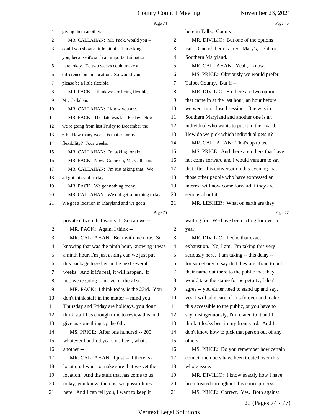<span id="page-20-0"></span>

|                | Page 74                                         |                | Page 76                                         |
|----------------|-------------------------------------------------|----------------|-------------------------------------------------|
| $\mathbf{1}$   | giving them another.                            | 1              | here in Talbot County.                          |
| 2              | MR. CALLAHAN: Mr. Pack, would you --            | $\overline{2}$ | MR. DIVILIO: But one of the options             |
| 3              | could you show a little bit of -- I'm asking    | 3              | isn't. One of them is in St. Mary's, right, or  |
| 4              | you, because it's such an important situation   | $\overline{4}$ | Southern Maryland.                              |
| 5              | here, okay. To two weeks could make a           | 5              | MR. CALLAHAN: Yeah, I know.                     |
| 6              | difference on the location. So would you        | 6              | MS. PRICE: Obviously we would prefer            |
| 7              | please be a little flexible.                    | 7              | Talbot County. But if --                        |
| 8              | MR. PACK: I think we are being flexible,        | 8              | MR. DIVILIO: So there are two options           |
| 9              | Mr. Callahan.                                   | 9              | that came in at the last hour, an hour before   |
| 10             | MR. CALLAHAN: I know you are.                   | 10             | we went into closed session. One was in         |
| 11             | MR. PACK: The date was last Friday. Now         | 11             | Southern Maryland and another one is an         |
| 12             | we're going from last Friday to December the    | 12             | individual who wants to put it in their yard.   |
| 13             | 6th. How many weeks is that as far as           | 13             | How do we pick which individual gets it?        |
| 14             | flexibility? Four weeks.                        | 14             | MR. CALLAHAN: That's up to us.                  |
| 15             | MR. CALLAHAN: I'm asking for six.               | 15             | MS. PRICE: And there are others that have       |
| 16             | MR. PACK: Now. Come on, Mr. Callahan.           | 16             | not come forward and I would venture to say     |
| 17             | MR. CALLAHAN: I'm just asking that. We          | 17             | that after this conversation this evening that  |
| 18             | all got this stuff today.                       | 18             | those other people who have expressed an        |
| 19             | MR. PACK: We got nothing today.                 | 19             | interest will now come forward if they are      |
| 20             | MR. CALLAHAN: We did get something today.       | 20             | serious about it.                               |
| 21             | We got a location in Maryland and we got a      | 21             | MR. LESHER: What on earth are they              |
|                |                                                 |                |                                                 |
|                | Page 75                                         |                | Page 77                                         |
| 1              | private citizen that wants it. So can we --     | 1              | waiting for. We have been acting for over a     |
| $\overline{c}$ | MR. PACK: Again, I think --                     | $\overline{c}$ | year.                                           |
| 3              | MR. CALLAHAN: Bear with me now. So              | 3              | MR. DIVILIO: I echo that exact                  |
| 4              | knowing that was the ninth hour, knowing it was | $\overline{4}$ | exhaustion. No, I am. I'm taking this very      |
| 5              | a ninth hour, I'm just asking can we just put   | 5              | seriously here. I am taking -- this delay --    |
| 6              | this package together in the next several       | 6              | for somebody to say that they are afraid to put |
| 7              | weeks. And if it's real, it will happen. If     | 7              | their name out there to the public that they    |
| 8              | not, we're going to move on the 21st.           | 8              | would take the statue for perpetuity, I don't   |
| 9              | MR. PACK: I think today is the 23rd. You        | 9              | agree -- you either need to stand up and say,   |
| 10             | don't think staff in the matter -- mind you     | 10             | yes, I will take care of this forever and make  |
| 11             | Thursday and Friday are holidays, you don't     | 11             | this accessible to the public, or you have to   |
| 12             | think staff has enough time to review this and  | 12             | say, disingenuously, I'm related to it and I    |
| 13             | give us something by the 6th.                   | 13             | think it looks best in my front yard. And I     |
| 14             | MS. PRICE: After one hundred -- 200,            | 14             | don't know how to pick that person out of any   |
| 15             | whatever hundred years it's been, what's        | 15             | others.                                         |
| 16             | another-                                        | 16             | MS. PRICE: Do you remember how certain          |
| 17             | MR. CALLAHAN: I just -- if there is a           | 17             | council members have been treated over this     |
| 18             | location, I want to make sure that we vet the   | 18             | whole issue.                                    |
| 19             | location. And the stuff that has come to us     | 19             | MR. DIVILIO: I know exactly how I have          |
| 20             | today, you know, there is two possibilities     | 20             | been treated throughout this entire process.    |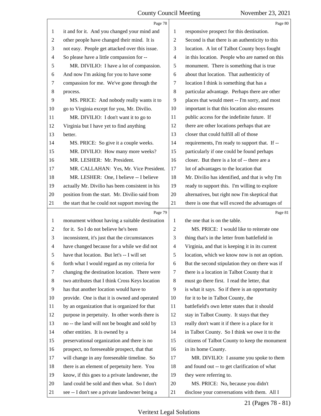#### County Council Meeting November 23, 2021  $\overline{1}$

5

<span id="page-21-0"></span>

|                | Page 78                                         |                          | Page 80                                         |
|----------------|-------------------------------------------------|--------------------------|-------------------------------------------------|
| 1              | it and for it. And you changed your mind and    | 1                        | responsive prospect for this destination.       |
| 2              | other people have changed their mind. It is     | $\mathbf{2}$             | Second is that there is an authenticity to this |
| 3              | not easy. People get attacked over this issue.  | 3                        | location. A lot of Talbot County boys fought    |
| 4              | So please have a little compassion for --       | $\overline{\mathcal{A}}$ | in this location. People who are named on this  |
| 5              | MR. DIVILIO: I have a lot of compassion.        | 5                        | monument. There is something that is true       |
| 6              | And now I'm asking for you to have some         | 6                        | about that location. That authenticity of       |
| 7              | compassion for me. We've gone through the       | 7                        | location I think is something that has a        |
| 8              | process.                                        | $8\,$                    | particular advantage. Perhaps there are other   |
| 9              | MS. PRICE: And nobody really wants it to        | 9                        | places that would meet -- I'm sorry, and most   |
| 10             | go to Virginia except for you, Mr. Divilio.     | 10                       | important is that this location also ensures    |
| 11             | MR. DIVILIO: I don't want it to go to           | 11                       | public access for the indefinite future. If     |
| 12             | Virginia but I have yet to find anything        | 12                       | there are other locations perhaps that are      |
| 13             | better.                                         | 13                       | closer that could fulfill all of those          |
| 14             | MS. PRICE: So give it a couple weeks.           | 14                       | requirements, I'm ready to support that. If --  |
| 15             | MR. DIVILIO: How many more weeks?               | 15                       | particularly if one could be found perhaps      |
| 16             | MR. LESHER: Mr. President.                      | 16                       | closer. But there is a lot of -- there are a    |
| 17             | MR. CALLAHAN: Yes, Mr. Vice President.          | 17                       | lot of advantages to the location that          |
| 18             | MR. LESHER: One, I believe -- I believe         | 18                       | Mr. Divilio has identified, and that is why I'm |
| 19             | actually Mr. Divilio has been consistent in his | 19                       | ready to support this. I'm willing to explore   |
| 20             | position from the start. Mr. Divilio said from  | 20                       | alternatives, but right now I'm skeptical that  |
| 21             | the start that he could not support moving the  | 21                       | there is one that will exceed the advantages of |
|                |                                                 |                          |                                                 |
|                | Page 79                                         |                          | Page 81                                         |
| $\mathbf{1}$   | monument without having a suitable destination  | 1                        | the one that is on the table.                   |
| 2              | for it. So I do not believe he's been           | $\overline{2}$           | MS. PRICE: I would like to reiterate one        |
| 3              | inconsistent, it's just that the circumstances  | 3                        | thing that's in the letter from battlefield in  |
| $\overline{4}$ | have changed because for a while we did not     | $\overline{4}$           | Virginia, and that is keeping it in its current |
| 5              | have that location. But let's -- I will set     | 5                        | location, which we know now is not an option.   |
| 6              | forth what I would regard as my criteria for    | 6                        | But the second stipulation they on there was if |
| 7              | changing the destination location. There were   | 7                        | there is a location in Talbot County that it    |
| 8              | two attributes that I think Cross Keys location | 8                        | must go there first. I read the letter, that    |
| 9              | has that another location would have to         | 9                        | is what it says. So if there is an opportunity  |
| 10             | provide. One is that it is owned and operated   | 10                       | for it to be in Talbot County, the              |
| 11             | by an organization that is organized for that   | 11                       | battlefield's own letter states that it should  |
| 12             | purpose in perpetuity. In other words there is  | 12                       | stay in Talbot County. It stays that they       |
| 13             | no -- the land will not be bought and sold by   | 13                       | really don't want it if there is a place for it |
| 14             | other entities. It is owned by a                | 14                       | in Talbot County. So I think we owe it to the   |
| 15             | preservational organization and there is no     | 15                       | citizens of Talbot County to keep the monument  |
| 16             | prospect, no foreseeable prospect, that that    | 16                       | in its home County.                             |
| 17             | will change in any foreseeable timeline. So     | 17                       | MR. DIVILIO: I assume you spoke to them         |
| 18             | there is an element of perpetuity here. You     | 18                       | and found out -- to get clarification of what   |
| 19             | know, if this goes to a private landowner, the  | 19                       | they were referring to.                         |
| 20             | land could be sold and then what. So I don't    | 20                       | MS. PRICE: No, because you didn't               |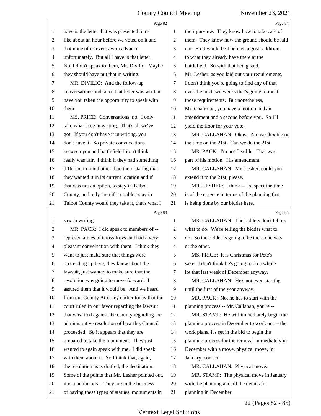<span id="page-22-0"></span>

|                          | Page 82                                         |    | Page 84                                         |
|--------------------------|-------------------------------------------------|----|-------------------------------------------------|
| 1                        | have is the letter that was presented to us     | 1  | their purview. They know how to take care of    |
| 2                        | like about an hour before we voted on it and    | 2  | them. They know how the ground should be laid   |
| 3                        | that none of us ever saw in advance             | 3  | out. So it would be I believe a great addition  |
| $\overline{\mathcal{A}}$ | unfortunately. But all I have is that letter.   | 4  | to what they already have there at the          |
| 5                        | No, I didn't speak to them, Mr. Divilio. Maybe  | 5  | battlefield. So with that being said,           |
| 6                        | they should have put that in writing.           | 6  | Mr. Lesher, as you laid out your requirements,  |
| 7                        | MR. DIVILIO: And the follow-up                  | 7  | I don't think you're going to find any of that  |
| 8                        | conversations and since that letter was written | 8  | over the next two weeks that's going to meet    |
| 9                        | have you taken the opportunity to speak with    | 9  | those requirements. But nonetheless,            |
| 10                       | them.                                           | 10 | Mr. Chairman, you have a motion and an          |
| 11                       | MS. PRICE: Conversations, no. I only            | 11 | amendment and a second before you. So I'll      |
| 12                       | take what I see in writing. That's all we've    | 12 | yield the floor for your vote.                  |
| 13                       | got. If you don't have it in writing, you       | 13 | MR. CALLAHAN: Okay. Are we flexible on          |
| 14                       | don't have it. So private conversations         | 14 | the time on the 21st. Can we do the 21st.       |
| 15                       | between you and battlefield I don't think       | 15 | MR. PACK: I'm not flexible. That was            |
| 16                       | really was fair. I think if they had something  | 16 | part of his motion. His amendment.              |
| 17                       | different in mind other than them stating that  | 17 | MR. CALLAHAN: Mr. Lesher, could you             |
| 18                       | they wanted it in its current location and if   | 18 | extend it to the 21st, please.                  |
| 19                       | that was not an option, to stay in Talbot       | 19 | MR. LESHER: I think -- I suspect the time       |
| 20                       | County, and only then if it couldn't stay in    | 20 | is of the essence in terms of the planning that |
| 21                       | Talbot County would they take it, that's what I | 21 | is being done by our bidder here.               |
|                          | Page 83                                         |    | Page 85                                         |
| 1                        | saw in writing.                                 | 1  | MR. CALLAHAN: The bidders don't tell us         |
| 2                        | MR. PACK: I did speak to members of --          | 2  | what to do. We're telling the bidder what to    |
| 3                        | representatives of Cross Keys and had a very    | 3  | do. So the bidder is going to be there one way  |
| 4                        | pleasant conversation with them. I think they   | 4  | or the other.                                   |
| 5                        | want to just make sure that things were         | 5  | MS. PRICE: It is Christmas for Pete's           |
| 6                        | proceeding up here, they knew about the         | 6  | sake. I don't think he's going to do a whole    |
| 7                        | lawsuit, just wanted to make sure that the      | 7  | lot that last week of December anyway.          |
| 8                        |                                                 |    |                                                 |
| 9                        | resolution was going to move forward. I         | 8  | MR. CALLAHAN: He's not even starting            |
| 10                       | assured them that it would be. And we heard     | 9  | until the first of the year anyway.             |
|                          | from our County Attorney earlier today that the | 10 | MR. PACK: No, he has to start with the          |
| 11                       | court ruled in our favor regarding the lawsuit  | 11 | planning process -- Mr. Callahan, you're --     |
| 12                       | that was filed against the County regarding the | 12 | MR. STAMP: He will immediately begin the        |
| 13                       | administrative resolution of how this Council   | 13 | planning process in December to work out -- the |
| 14                       | proceeded. So it appears that they are          | 14 | work plans, it's set in the bid to begin the    |
| 15                       | prepared to take the monument. They just        | 15 | planning process for the removal immediately in |
| 16                       | wanted to again speak with me. I did speak      | 16 | December with a move, physical move, in         |
| 17                       | with them about it. So I think that, again,     | 17 | January, correct.                               |
| 18                       | the resolution as is drafted, the destination.  | 18 | MR. CALLAHAN: Physical move.                    |
| 19                       | Some of the points that Mr. Lesher pointed out, | 19 | MR. STAMP: The physical move in January         |
| 20                       | it is a public area. They are in the business   | 20 | with the planning and all the details for       |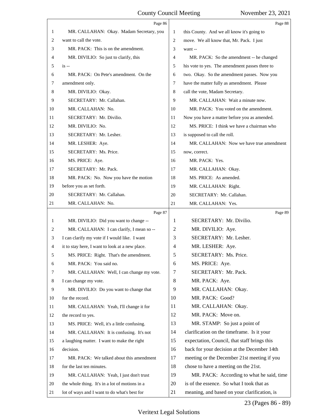<span id="page-23-0"></span>

|    | Page 86                                         |    | Page 88                                        |
|----|-------------------------------------------------|----|------------------------------------------------|
| 1  | MR. CALLAHAN: Okay. Madam Secretary, you        | 1  | this County. And we all know it's going to     |
| 2  | want to call the vote.                          | 2  | move. We all know that, Mr. Pack. I just       |
| 3  | MR. PACK: This is on the amendment.             | 3  | want --                                        |
| 4  | MR. DIVILIO: So just to clarify, this           | 4  | MR. PACK: So the amendment -- he changed       |
| 5  | $is -$                                          | 5  | his vote to yes. The amendment passes three to |
| 6  | MR. PACK: On Pete's amendment. On the           | 6  | two. Okay. So the amendment passes. Now you    |
| 7  | amendment only.                                 | 7  | have the matter fully as amendment. Please     |
| 8  | MR. DIVILIO: Okay.                              | 8  | call the vote, Madam Secretary.                |
| 9  | SECRETARY: Mr. Callahan.                        | 9  | MR. CALLAHAN: Wait a minute now.               |
| 10 | MR. CALLAHAN: No.                               | 10 | MR. PACK: You voted on the amendment.          |
| 11 | SECRETARY: Mr. Divilio.                         | 11 | Now you have a matter before you as amended.   |
| 12 | MR. DIVILIO: No.                                | 12 | MS. PRICE: I think we have a chairman who      |
| 13 | SECRETARY: Mr. Lesher.                          | 13 | is supposed to call the roll.                  |
| 14 | MR. LESHER: Aye.                                | 14 | MR. CALLAHAN: Now we have true amendment       |
| 15 | SECRETARY: Ms. Price.                           | 15 | now, correct.                                  |
| 16 | MS. PRICE: Aye.                                 | 16 | MR. PACK: Yes.                                 |
| 17 | SECRETARY: Mr. Pack.                            | 17 | MR. CALLAHAN: Okay.                            |
| 18 | MR. PACK: No. Now you have the motion           | 18 | MS. PRICE: As amended.                         |
| 19 | before you as set forth.                        | 19 | MR. CALLAHAN: Right.                           |
| 20 | SECRETARY: Mr. Callahan.                        | 20 | SECRETARY: Mr. Callahan.                       |
| 21 | MR. CALLAHAN: No.                               | 21 | MR. CALLAHAN: Yes.                             |
|    | Page 87                                         |    | Page 89                                        |
|    |                                                 |    |                                                |
| 1  | MR. DIVILIO: Did you want to change --          | 1  | SECRETARY: Mr. Divilio.                        |
| 2  | MR. CALLAHAN: I can clarify, I mean so --       | 2  | MR. DIVILIO: Aye.                              |
| 3  | I can clarify my vote if I would like. I want   | 3  | SECRETARY: Mr. Lesher.                         |
| 4  | it to stay here, I want to look at a new place. | 4  | MR. LESHER: Aye.                               |
| 5  | MS. PRICE: Right. That's the amendment.         | 5  | SECRETARY: Ms. Price.                          |
| 6  | MR. PACK: You said no.                          | 6  | MS. PRICE: Aye.                                |
| 7  | MR. CALLAHAN: Well, I can change my vote.       | 7  | SECRETARY: Mr. Pack.                           |
| 8  | I can change my vote.                           | 8  | MR. PACK: Aye.                                 |
| 9  | MR. DIVILIO: Do you want to change that         | 9  | MR. CALLAHAN: Okay.                            |
| 10 | for the record.                                 | 10 | MR. PACK: Good?                                |
| 11 | MR. CALLAHAN: Yeah, I'll change it for          | 11 | MR. CALLAHAN: Okay.                            |
| 12 | the record to yes.                              | 12 | MR. PACK: Move on.                             |
| 13 | MS. PRICE: Well, it's a little confusing.       | 13 | MR. STAMP: So just a point of                  |
| 14 | MR. CALLAHAN: It is confusing. It's not         | 14 | clarification on the timeframe. Is it your     |
| 15 | a laughing matter. I want to make the right     | 15 | expectation, Council, that staff brings this   |
| 16 | decision.                                       | 16 | back for your decision at the December 14th    |
| 17 | MR. PACK: We talked about this amendment        | 17 | meeting or the December 21st meeting if you    |
| 18 | for the last ten minutes.                       | 18 | chose to have a meeting on the 21st.           |
| 19 | MR. CALLAHAN: Yeah, I just don't trust          | 19 | MR. PACK: According to what he said, time      |
| 20 | the whole thing. It's in a lot of motions in a  | 20 | is of the essence. So what I took that as      |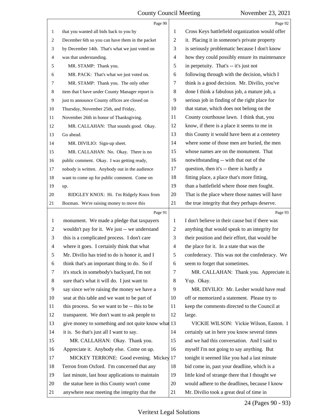<span id="page-24-0"></span>

|                | Page 90                                            |                | Page 92                                         |
|----------------|----------------------------------------------------|----------------|-------------------------------------------------|
| 1              | that you wanted all bids back to you by            | 1              | Cross Keys battlefield organization would offer |
| 2              | December 6th so you can have them in the packet    | 2              | it. Placing it in someone's private property    |
| 3              | by December 14th. That's what we just voted on     | 3              | is seriously problematic because I don't know   |
| 4              | was that understanding.                            | 4              | how they could possibly ensure its maintenance  |
| 5              | MR. STAMP: Thank you.                              | 5              | in perpetuity. That's -- it's just not          |
| 6              | MR. PACK: That's what we just voted on.            | 6              | following through with the decision, which I    |
| 7              | MR. STAMP: Thank you. The only other               | 7              | think is a good decision. Mr. Divilio, you've   |
| 8              | item that I have under County Manager report is    | 8              | done I think a fabulous job, a mature job, a    |
| $\overline{9}$ | just to announce County offices are closed on      | 9              | serious job in finding of the right place for   |
| 10             | Thursday, November 25th, and Friday,               | 10             | that statue, which does not belong on the       |
| 11             | November 26th in honor of Thanksgiving.            | 11             | County courthouse lawn. I think that, you       |
| 12             | MR. CALLAHAN: That sounds good. Okay.              | 12             | know, if there is a place it seems to me in     |
| 13             | Go ahead.                                          | 13             | this County it would have been at a cemetery    |
| 14             | MR. DIVILIO: Sign-up sheet.                        | 14             | where some of those men are buried, the men     |
| 15             | MR. CALLAHAN: No. Okay. There is no                | 15             | whose names are on the monument. That           |
| 16             | public comment. Okay. I was getting ready,         | 16             | notwithstanding -- with that out of the         |
| 17             | nobody is written. Anybody out in the audience     | 17             | question, then it's -- there is hardly a        |
| 18             | want to come up for public comment. Come on        | 18             | fitting place, a place that's more fitting,     |
| 19             | up.                                                | 19             | than a battlefield where those men fought.      |
| 20             | RIDGLEY KNOX: Hi. I'm Ridgely Knox from            | 20             | That is the place where those names will have   |
| 21             | Bozman. We're raising money to move this           | 21             | the true integrity that they perhaps deserve.   |
|                |                                                    |                |                                                 |
|                | Page 91                                            |                | Page 93                                         |
| $\mathbf{1}$   | monument. We made a pledge that taxpayers          | 1              | I don't believe in their cause but if there was |
| 2              | wouldn't pay for it. We just -- we understand      | 2              | anything that would speak to an integrity for   |
| 3              | this is a complicated process. I don't care        | 3              | their position and their effort, that would be  |
| $\overline{4}$ | where it goes. I certainly think that what         | $\overline{4}$ | the place for it. In a state that was the       |
| 5              | Mr. Divilio has tried to do is honor it, and I     | 5              | confederacy. This was not the confederacy. We   |
| 6              | think that's an important thing to do. So if       | 6              | seem to forget that sometimes.                  |
| 7              | it's stuck in somebody's backyard, I'm not         | 7              | MR. CALLAHAN: Thank you. Appreciate it.         |
| 8              | sure that's what it will do. I just want to        | 8              | Yup. Okay.                                      |
| 9              | say since we're raising the money we have a        | 9              | MR. DIVILIO: Mr. Lesher would have read         |
| 10             | seat at this table and we want to be part of       | 10             | off or memorized a statement. Please try to     |
| 11             | this process. So we want to be -- this to be       | 11             | keep the comments directed to the Council at    |
| 12             | transparent. We don't want to ask people to        | 12             | large.                                          |
| 13             | give money to something and not quite know what 13 |                | VICKIE WILSON: Vickie Wilson, Easton. I         |
| 14             | it is. So that's just all I want to say.           | 14             | certainly sat in here you know several times    |
| 15             | MR. CALLAHAN: Okay. Thank you.                     | 15             | and we had this conversation. And I said to     |
| 16             | Appreciate it. Anybody else. Come on up.           | 16             | myself I'm not going to say anything. But       |
| 17             | MICKEY TERRONE: Good evening. Mickey 17            |                | tonight it seemed like you had a last minute    |
| 18             | Terron from Oxford. I'm concerned that any         | 18             | bid come in, past your deadline, which is a     |
| 19             | last minute, last hour applications to maintain    | 19             | little kind of strange there that I thought we  |
| 20             | the statue here in this County won't come          | 20             | would adhere to the deadlines, because I know   |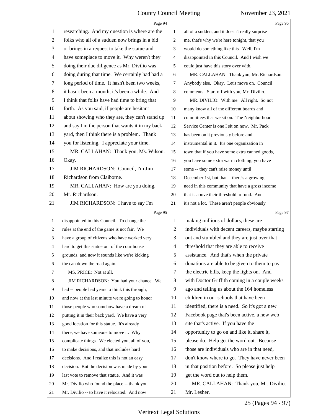<span id="page-25-0"></span>

|                | Page 94                                         |                          | Page 96                                         |
|----------------|-------------------------------------------------|--------------------------|-------------------------------------------------|
| $\mathbf{1}$   | researching. And my question is where are the   | 1                        | all of a sudden, and it doesn't really surprise |
| $\overline{2}$ | folks who all of a sudden now brings in a bid   | 2                        | me, that's why we're here tonight, that you     |
| 3              | or brings in a request to take the statue and   | 3                        | would do something like this. Well, I'm         |
| $\overline{4}$ | have someplace to move it. Why weren't they     | 4                        | disappointed in this Council. And I wish we     |
| 5              | doing their due diligence as Mr. Divilio was    | 5                        | could just have this story over with.           |
| 6              | doing during that time. We certainly had had a  | 6                        | MR. CALLAHAN: Thank you, Mr. Richardson.        |
| 7              | long period of time. It hasn't been two weeks,  | $\tau$                   | Anybody else. Okay. Let's move on. Council      |
| $8\,$          | it hasn't been a month, it's been a while. And  | 8                        | comments. Start off with you, Mr. Divilio.      |
| 9              | I think that folks have had time to bring that  | 9                        | MR. DIVILIO: With me. All right. So not         |
| 10             | forth. As you said, if people are hesitant      | 10                       | many know all of the different boards and       |
| 11             | about showing who they are, they can't stand up | 11                       | committees that we sit on. The Neighborhood     |
| 12             | and say I'm the person that wants it in my back | 12                       | Service Center is one I sit on now. Mr. Pack    |
| 13             | yard, then I think there is a problem. Thank    | 13                       | has been on it previously before and            |
| 14             | you for listening. I appreciate your time.      | 14                       | instrumental in it. It's one organization in    |
| 15             | MR. CALLAHAN: Thank you, Ms. Wilson.            | 15                       | town that if you have some extra canned goods,  |
| 16             | Okay.                                           | 16                       | you have some extra warm clothing, you have     |
| 17             | JIM RICHARDSON: Council, I'm Jim                | 17                       | some -- they can't raise money until            |
| 18             | Richardson from Claiborne.                      | 18                       | December 1st, but that -- there's a growing     |
| 19             | MR. CALLAHAN: How are you doing,                | 19                       | need in this community that have a gross income |
| 20             | Mr. Richardson.                                 | 20                       | that is above their threshold to fund. And      |
| 21             | JIM RICHARDSON: I have to say I'm               | 21                       | it's not a lot. These aren't people obviously   |
|                |                                                 |                          |                                                 |
|                | Page 95                                         |                          | Page 97                                         |
| 1              | disappointed in this Council. To change the     | 1                        | making millions of dollars, these are           |
| 2              | rules at the end of the game is not fair. We    | $\overline{c}$           | individuals with decent careers, maybe starting |
| 3              | have a group of citizens who have worked very   | 3                        | out and stumbled and they are just over that    |
| 4              | hard to get this statue out of the courthouse   | $\overline{\mathcal{A}}$ | threshold that they are able to receive         |
| 5              | grounds, and now it sounds like we're kicking   | 5                        | assistance. And that's when the private         |
| 6              | the can down the road again.                    | 6                        | donations are able to be given to them to pay   |
| 7              | MS. PRICE: Not at all.                          | $\tau$                   | the electric bills, keep the lights on. And     |
| 8              | JIM RICHARDSON: You had your chance. We         | 8                        | with Doctor Griffith coming in a couple weeks   |
| 9              | had -- people had years to think this through,  | 9                        | ago and telling us about the 164 homeless       |
| 10             | and now at the last minute we're going to honor | 10                       | children in our schools that have been          |
| 11             | those people who somehow have a dream of        | 11                       | identified, there is a need. So it's got a new  |
| 12             | putting it in their back yard. We have a very   | 12                       | Facebook page that's been active, a new web     |
| 13             | good location for this statue. It's already     | 13                       | site that's active. If you have the             |
| 14             | there, we have someone to move it. Why          | 14                       | opportunity to go on and like it, share it,     |
| 15             | complicate things. We elected you, all of you,  | 15                       | please do. Help get the word out. Because       |
| 16             | to make decisions, and that includes hard       | 16                       | those are individuals who are in that need,     |
| 17             | decisions. And I realize this is not an easy    | 17                       | don't know where to go. They have never been    |
| 18             | decision. But the decision was made by your     | 18                       | in that position before. So please just help    |
| 19             | last vote to remove that statue. And it was     | 19                       | get the word out to help them.                  |
| 20             | Mr. Divilio who found the place -- thank you    | 20                       | MR. CALLAHAN: Thank you, Mr. Divilio.           |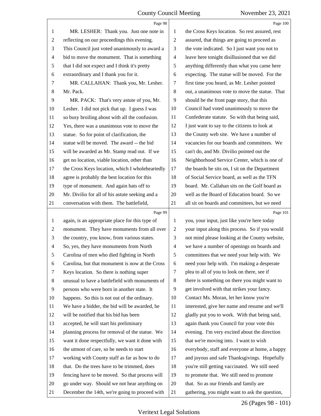<span id="page-26-0"></span>

|                | Page 98                                         |                          | Page 100                                       |
|----------------|-------------------------------------------------|--------------------------|------------------------------------------------|
| 1              | MR. LESHER: Thank you. Just one note in         | 1                        | the Cross Keys location. So rest assured, rest |
| $\overline{c}$ | reflecting on our proceedings this evening.     | $\sqrt{2}$               | assured, that things are going to proceed as   |
| 3              | This Council just voted unanimously to award a  | 3                        | the vote indicated. So I just want you not to  |
| 4              | bid to move the monument. That is something     | $\overline{\mathcal{A}}$ | leave here tonight disillusioned that we did   |
| 5              | that I did not expect and I think it's pretty   | 5                        | anything differently than what you came here   |
| 6              | extraordinary and I thank you for it.           | 6                        | expecting. The statue will be moved. For the   |
| 7              | MR. CALLAHAN: Thank you, Mr. Lesher.            | 7                        | first time you heard, as Mr. Lesher pointed    |
| 8              | Mr. Pack.                                       | $\,8\,$                  | out, a unanimous vote to move the statue. That |
| 9              | MR. PACK: That's very astute of you, Mr.        | 9                        | should be the front page story, that this      |
| 10             | Lesher. I did not pick that up. I guess I was   | 10                       | Council had voted unanimously to move the      |
| 11             | so busy broiling about with all the confusion.  | 11                       | Confederate statute. So with that being said,  |
| 12             | Yes, there was a unanimous vote to move the     | 12                       | I just want to say to the citizens to look at  |
| 13             | statue. So for point of clarification, the      | 13                       | the County web site. We have a number of       |
| 14             | statue will be moved. The award -- the bid      | 14                       | vacancies for our boards and committees. We    |
| 15             | will be awarded as Mr. Stamp read out. If we    | 15                       | can't do, and Mr. Divilio pointed out the      |
| 16             | get no location, viable location, other than    | 16                       | Neighborhood Service Center, which is one of   |
| 17             | the Cross Keys location, which I wholeheartedly | 17                       | the boards he sits on, I sit on the Department |
| 18             | agree is probably the best location for this    | 18                       | of Social Service board, as well as the TFN    |
| 19             | type of monument. And again hats off to         | 19                       | board. Mr. Callahan sits on the Golf board as  |
| 20             | Mr. Divilio for all of his astute seeking and a | 20                       | well as the Board of Education board. So we    |
| 21             | conversation with them. The battlefield,        | 21                       | all sit on boards and committees, but we need  |
|                |                                                 |                          |                                                |
|                | Page 99                                         |                          | Page 101                                       |
| $\mathbf{1}$   | again, is an appropriate place for this type of | $\mathbf{1}$             | you, your input, just like you're here today   |
| $\overline{c}$ | monument. They have monuments from all over     | $\sqrt{2}$               | your input along this process. So if you would |
| 3              | the country, you know, from various states.     | 3                        | not mind please looking at the County website, |
| 4              | So, yes, they have monuments from North         | $\overline{4}$           | we have a number of openings on boards and     |
| 5              | Carolina of men who died fighting in North      | 5                        | committees that we need your help with. We     |
| 6              | Carolina, but that monument is now at the Cross | 6                        | need your help with. I'm making a desperate    |
| 7              | Keys location. So there is nothing super        | $\tau$                   | plea to all of you to look on there, see if    |
| 8              | unusual to have a battlefield with monuments of | 8                        | there is something on there you might want to  |
| 9              | persons who were born in another state. It      | 9                        | get involved with that strikes your fancy.     |
| 10             | happens. So this is not out of the ordinary.    | 10                       | Contact Ms. Moran, let her know you're         |
| 11             | We have a bidder, the bid will be awarded, he   | 11                       | interested, give her name and resume and we'll |
| 12             | will be notified that his bid has been          | 12                       | gladly put you to work. With that being said,  |
| 13             | accepted, he will start his preliminary         | 13                       | again thank you Council for your vote this     |
| 14             | planning process for removal of the statue. We  | 14                       | evening. I'm very excited about the direction  |
| 15             | want it done respectfully, we want it done with | 15                       | that we're moving into. I want to wish         |
| 16             | the utmost of care, so he needs to start        | 16                       | everybody, staff and everyone at home, a happy |
| 17             | working with County staff as far as how to do   | 17                       | and joyous and safe Thanksgivings. Hopefully   |
| 18             | that. Do the trees have to be trimmed, does     | 18                       | you're still getting vaccinated. We still need |
| 19             | fencing have to be moved. So that process will  | 19                       | to promote that. We still need to promote      |
| 20             | go under way. Should we not hear anything on    | 20                       | that. So as our friends and family are         |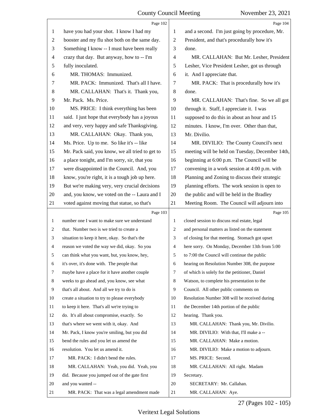<span id="page-27-0"></span>

|                          | Page 102                                        |                | Page 104                                        |
|--------------------------|-------------------------------------------------|----------------|-------------------------------------------------|
| $\mathbf{1}$             | have you had your shot. I know I had my         | 1              | and a second. I'm just going by procedure, Mr.  |
| $\mathbf{2}$             | booster and my flu shot both on the same day.   | $\overline{2}$ | President, and that's procedurally how it's     |
| 3                        | Something I know -- I must have been really     | 3              | done.                                           |
| $\overline{\mathcal{A}}$ | crazy that day. But anyway, how to -- I'm       | $\overline{4}$ | MR. CALLAHAN: But Mr. Lesher, President         |
| 5                        | fully inoculated.                               | 5              | Lesher, Vice President Lesher, got us through   |
| 6                        | MR. THOMAS: Immunized.                          | 6              | it. And I appreciate that.                      |
| 7                        | MR. PACK: Immunized. That's all I have.         | $\tau$         | MR. PACK: That is procedurally how it's         |
| $\,8\,$                  | MR. CALLAHAN: That's it. Thank you,             | 8              | done.                                           |
| 9                        | Mr. Pack. Ms. Price.                            | 9              | MR. CALLAHAN: That's fine. So we all got        |
| 10                       | MS. PRICE: I think everything has been          | 10             | through it. Staff, I appreciate it. I was       |
| 11                       | said. I just hope that everybody has a joyous   | 11             | supposed to do this in about an hour and 15     |
| 12                       | and very, very happy and safe Thanksgiving.     | 12             | minutes. I know, I'm over. Other than that,     |
| 13                       | MR. CALLAHAN: Okay. Thank you,                  | 13             | Mr. Divilio.                                    |
| 14                       | Ms. Price. Up to me. So like it's -- like       | 14             | MR. DIVILIO: The County Council's next          |
| 15                       | Mr. Pack said, you know, we all tried to get to | 15             | meeting will be held on Tuesday, December 14th, |
| 16                       | a place tonight, and I'm sorry, sir, that you   | 16             | beginning at 6:00 p.m. The Council will be      |
| 17                       | were disappointed in the Council. And, you      | 17             | convening in a work session at 4:00 p.m. with   |
| 18                       | know, you're right, it is a tough job up here.  | 18             | Planning and Zoning to discuss their strategic  |
| 19                       | But we're making very, very crucial decisions   | 19             | planning efforts. The work session is open to   |
| 20                       | and, you know, we voted on the -- Laura and I   | 20             | the public and will be held in the Bradley      |
| 21                       | voted against moving that statue, so that's     | 21             | Meeting Room. The Council will adjourn into     |
|                          |                                                 |                |                                                 |
|                          | Page 103                                        |                | Page 105                                        |
| $\mathbf{1}$             | number one I want to make sure we understand    | 1              | closed session to discuss real estate, legal    |
| $\overline{c}$           | that. Number two is we tried to create a        | 2              | and personal matters as listed on the statement |
| 3                        | situation to keep it here, okay. So that's the  | 3              | of closing for that meeting. Stomach got upset  |
| 4                        | reason we voted the way we did, okay. So you    | 4              | here sorry. On Monday, December 13th from 5:00  |
| 5                        | can think what you want, but, you know, hey,    | 5              | to 7:00 the Council will continue the public    |
| 6                        | it's over, it's done with. The people that      | 6              | hearing on Resolution Number 308, the purpose   |
| 7                        | maybe have a place for it have another couple   | 7              | of which is solely for the petitioner, Daniel   |
| 8                        | weeks to go ahead and, you know, see what       | 8              | Watson, to complete his presentation to the     |
| 9                        | that's all about. And all we try to do is       | 9              | Council. All other public comments on           |
| 10                       | create a situation to try to please everybody   | 10             | Resolution Number 308 will be received during   |
| 11                       | to keep it here. That's all we're trying to     | 11             | the December 14th portion of the public         |
| 12                       | do. It's all about compromise, exactly. So      | 12             | hearing. Thank you.                             |
| 13                       | that's where we went with it, okay. And         | 13             | MR. CALLAHAN: Thank you, Mr. Divilio.           |
| 14                       | Mr. Pack, I know you're smiling, but you did    | 14             | MR. DIVILIO: With that, I'll make a --          |
| 15                       | bend the rules and you let us amend the         | 15             | MR. CALLAHAN: Make a motion.                    |
| 16                       | resolution. You let us amend it.                | 16             | MR. DIVILIO: Make a motion to adjourn.          |
| 17                       | MR. PACK: I didn't bend the rules.              | 17             | MS. PRICE: Second.                              |
| 18                       | MR. CALLAHAN: Yeah, you did. Yeah, you          | 18             | MR. CALLAHAN: All right. Madam                  |
| 19                       | did. Because you jumped out of the gate first   | 19             | Secretary.                                      |
| 20                       | and you wanted --                               | 20             | SECRETARY: Mr. Callahan.                        |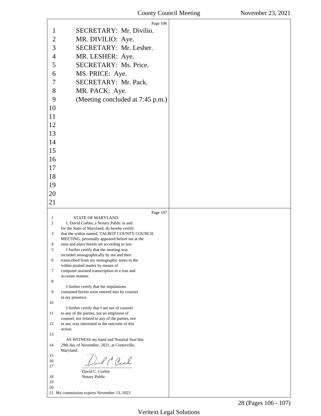<span id="page-28-0"></span>

|                   | Page 106                                                                                      |  |
|-------------------|-----------------------------------------------------------------------------------------------|--|
| 1                 | SECRETARY: Mr. Divilio.                                                                       |  |
| $\overline{c}$    | MR. DIVILIO: Aye.                                                                             |  |
| 3                 | SECRETARY: Mr. Lesher.                                                                        |  |
| $\overline{4}$    | MR. LESHER: Aye.                                                                              |  |
| 5                 | SECRETARY: Ms. Price.                                                                         |  |
| 6                 | MS. PRICE: Aye.                                                                               |  |
| 7                 | SECRETARY: Mr. Pack.                                                                          |  |
| 8                 | MR. PACK: Aye.                                                                                |  |
| 9                 | (Meeting concluded at 7:45 p.m.)                                                              |  |
| 10                |                                                                                               |  |
| 11                |                                                                                               |  |
| 12                |                                                                                               |  |
| 13                |                                                                                               |  |
| 14                |                                                                                               |  |
| 15                |                                                                                               |  |
| 16                |                                                                                               |  |
| 17                |                                                                                               |  |
|                   |                                                                                               |  |
| 18                |                                                                                               |  |
| 19                |                                                                                               |  |
| 20                |                                                                                               |  |
| 21                |                                                                                               |  |
|                   |                                                                                               |  |
|                   | Page 107                                                                                      |  |
| $\mathbf{1}$<br>2 | <b>STATE OF MARYLAND</b><br>I, David Corbin, a Notary Public in and                           |  |
|                   | for the State of Maryland, do hereby certify                                                  |  |
| 3                 | that the within named, TALBOT COUNTY COUNCIL<br>MEETING, personally appeared before me at the |  |
| 4<br>5            | time and place herein set according to law.                                                   |  |
|                   | I further certify that the meeting was<br>recorded stenographically by me and then            |  |
| 6                 | transcribed from my stenographic notes to the                                                 |  |
| 7                 | within printed matter by means of<br>computer-assisted transcription in a true and            |  |
| 8                 | accurate manner.                                                                              |  |
|                   | I further certify that the stipulations                                                       |  |
| 9                 | contained herein were entered into by counsel<br>in my presence.                              |  |
| 10                |                                                                                               |  |
| 11                | I further certify that I am not of counsel<br>to any of the parties, not an employee of       |  |
| 12                | counsel, nor related to any of the parties, nor                                               |  |
|                   | in any way interested in the outcome of this<br>action.                                       |  |
| 13                | AS WITNESS my hand and Notarial Seal this                                                     |  |
| 14                | 29th day of November, 2021, at Centerville,                                                   |  |
| 15                | Maryland.                                                                                     |  |
| 16                | Darl C. Cech                                                                                  |  |
| 17                | David C. Corbin                                                                               |  |
| 18                | Notary Public                                                                                 |  |
| 19<br>20          | 21 My commission expires November 13, 2023                                                    |  |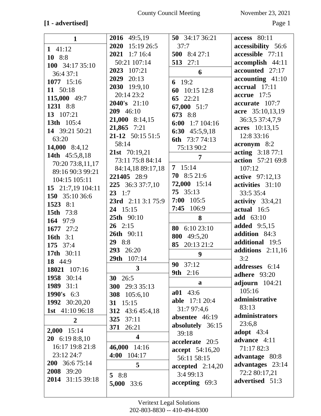# **[1 - advertised]** Page 1

| $\mathbf{1}$           | 2016 49:5,19            | 50 34:17 36:21           | access 80:11               |
|------------------------|-------------------------|--------------------------|----------------------------|
|                        | 2020<br>15:19 26:5      | 37:7                     | accessibility 56:6         |
| $1 \t41:12$            | 2021 1:7 16:4           | 500 8:4 27:1             | accessible 77:11           |
| 10 8:8                 | 50:21 107:14            | 513 27:1                 | accomplish 44:11           |
| 100 34:17 35:10        | 2023 107:21             |                          | accounted 27:17            |
| 36:4 37:1              | 2029 20:13              | 6                        | $accounding$ 41:10         |
| 1077 15:16             | 2030 19:9,10            | 6 $19:2$                 | accrual 17:11              |
| 11 50:18               | 20:14 23:2              | 60 10:15 12:8            | $\textbf{accur}$ 17:5      |
| 115,000 49:7           | $2040's$ 21:10          | 65 22:21                 |                            |
| 1231 8:8               |                         | 67,000 51:7              | accurate 107:7             |
| 13 107:21              | 209 46:10               | 673 8:8                  | acre 35:10,13,19           |
| 13th 105:4             | $21,000$ 8:14,15        | 6:00 $1:7104:16$         | 36:3,5 37:4,7,9            |
| 14 39:21 50:21         | 21,865 7:21             | 6:30 $45:5,9,18$         | acres 10:13,15             |
| 63:20                  | $21-12$ 50:15 51:5      | 6th 73:7 74:13           | 12:8 33:16                 |
| 14,000 8:4,12          | 58:14                   | 75:13 90:2               | $\arcsin 8:2$              |
| 14th 45:5,8,18         | 21st 70:19,21           | $\overline{7}$           | acting 3:18 77:1           |
| 70:20 73:8,11,17       | 73:11 75:8 84:14        |                          | action 57:21 69:8          |
| 89:16 90:3 99:21       | 84:14,18 89:17,18       | $7 \quad 15:14$          | 107:12                     |
| 104:15 105:11          | 221405 28:9             | $70$ 8:5 21:6            | <b>active</b> 97:12,13     |
| 15 21:7,19 104:11      | 225 36:3 37:7,10        | 72,000 15:14             | activities 31:10           |
| 150 35:10 36:6         | $23 \t1:7$              | 75 35:13                 | 33:5 35:4                  |
| 1523 8:1               | 23rd 2:11 3:1 75:9      | $7:00$ 105:5             | activity $33:4,21$         |
| <b>15th</b> 73:8       | 24 15:15                | 106:9<br>7:45            | actual 16:5                |
|                        |                         |                          |                            |
|                        | 25th 90:10              | 8                        | <b>add</b> 63:10           |
| 164 97:9               | $26 \quad 2:15$         |                          | <b>added</b> 9:5,15        |
| 1677 27:2              | 26th 90:11              | 6:10 23:10<br>80         | addition 84:3              |
| <b>16th</b> 3:1        | 29 8:8                  | 800 49:5,20              | additional 19:5            |
| 175 37:4               | 293 26:20               | 85 20:13 21:2            |                            |
| 17th 30:11             |                         | 9                        | additions $2:11,16$<br>3:2 |
| 18 44:9                | 29th 107:14             | 90<br>37:12              |                            |
| 18021 107:16           | $\overline{\mathbf{3}}$ | 9th 2:16                 | addresses 6:14             |
| 1958 30:14             | 30 26:5                 |                          | <b>adhere</b> 93:20        |
| 1989 31:1              | 300 29:3 35:13          | a                        | adjourn $104:21$           |
| 1990's $6:3$           | 308 105:6,10            | $a01$ 43:6               | 105:16                     |
| 1992 30:20,20          | 31 $15:15$              | <b>able</b> 17:1 20:4    | administrative             |
| <b>1st</b> 41:10 96:18 | 312 43:6 45:4,18        | 31:7 97:4,6              | 83:13                      |
| $\overline{2}$         | 37:11<br>325            | absentee 46:19           | administrators             |
|                        | 371 26:21               | absolutely 36:15         | 23:6,8                     |
| 2,000 15:14            | $\overline{\mathbf{4}}$ | 39:18                    | adopt $43:4$               |
| $20 \quad 6:198:.810$  |                         | accelerate 20:5          | advance 4:11               |
| 16:17 19:8 21:8        | 46,000 14:16            | accept 54:16,20          | 71:17 82:3                 |
| 23:12 24:7             | 4:00 104:17             | 56:11 58:15              | advantage 80:8             |
| 200 36:6 75:14         | 5                       | $accepted \quad 2:14,20$ | advantages 23:14           |
| 2008 39:20             | 58:8                    | 3:4 99:13                | 72:2 80:17,21              |
| 2014 31:15 39:18       | 5,000 33:6              | accepting 69:3           | advertised 51:3            |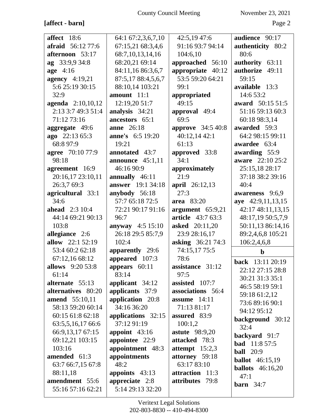# **[affect - barn]** Page 2

| affect 18:6                         | 64:1 67:2,3,6,7,10       | 42:5,19 47:6             | audience 90:17          |
|-------------------------------------|--------------------------|--------------------------|-------------------------|
| <b>afraid</b> 56:12 77:6            | 67:15,21 68:3,4,6        | 91:16 93:7 94:14         | authenticity 80:2       |
| afternoon 53:17                     | 68:7,10,13,14,16         | 104:6,10                 | 80:6                    |
| ag 33:9,9 34:8                      | 68:20,21 69:14           | approached 56:10         | authority 63:11         |
| age 4:16                            | 84:11,16 86:3,6,7        | appropriate 40:12        | authorize 49:11         |
| <b>agency</b> 4:19,21               | 87:5,17 88:4,5,6,7       | 53:5 59:20 64:21         | 59:15                   |
| 5:6 25:19 30:15                     | 88:10,14 103:21          | 99:1                     | available 13:3          |
| 32:9                                | amount $11:1$            |                          | 14:6 53:2               |
|                                     |                          | appropriated             |                         |
| agenda 2:10,10,12                   | 12:19,20 51:7            | 49:15                    | award 50:15 51:5        |
| 2:13 3:7 49:3 51:4                  | analysis 34:21           | approval 49:4            | 51:16 59:13 60:3        |
| 71:12 73:16                         | ancestors 65:1           | 69:5                     | 60:18 98:3,14           |
| aggregate 49:6                      | anne 26:18               | approve 34:5 40:8        | awarded 59:3            |
| ago 22:13 65:3                      | anne's 6:5 19:20         | 40:12,14 42:1            | 64:2 98:15 99:11        |
| 68:8 97:9                           | 19:21                    | 61:13                    | awardee 63:4            |
| agree 70:10 77:9                    | annotated 43:7           | approved 33:8            | awarding 55:9           |
| 98:18                               | announce $45:1,11$       | 34:1                     | aware 22:10 25:2        |
| agreement 16:9                      | 46:16 90:9               | approximately            | 25:15,18 28:17          |
| 20:16,17 23:10,11                   | annually 46:11           | 21:9                     | 37:18 38:2 39:16        |
| 26:3,7 69:3                         | <b>answer</b> 19:1 34:18 | april 26:12,13           | 40:4                    |
| agricultural 33:1                   | anybody 56:18            | 27:3                     | awareness 9:6,9         |
| 34:6                                | 57:7 65:18 72:5          | area 83:20               | aye 42:9,11,13,15       |
| <b>ahead</b> 2:3 10:4               | 72:21 90:17 91:16        | argument 65:9,21         | 42:17 48:11,13,15       |
| 44:14 69:21 90:13                   | 96:7                     | <b>article</b> 43:7 63:3 | 48:17,19 50:5,7,9       |
| 103:8                               | anyway $4:5 15:10$       | <b>asked</b> 20:11,20    | 50:11,13 86:14,16       |
| allegiance 2:6                      | 26:18 29:5 85:7,9        | 23:9 28:16,17            | 89:2,4,6,8 105:21       |
| allow 22:1 52:19                    | 102:4                    | <b>asking</b> 36:21 74:3 | 106:2,4,6,8             |
| 53:4 60:2 62:18                     | apparently 29:6          | 74:15,17 75:5            | $\mathbf b$             |
| 67:12,16 68:12                      | appeared 107:3           | 78:6                     |                         |
| allows 9:20 53:8                    | appears $60:11$          | assistance 31:12         | back 13:11 20:19        |
| 61:14                               | 83:14                    | 97:5                     | 22:12 27:15 28:8        |
| alternate 55:13                     | applicant $34:12$        | assisted 107:7           | 30:21 31:3 35:1         |
| alternatives 80:20                  | applicants 37:9          | associations 56:4        | 46:5 58:19 59:1         |
| <b>amend</b> 55:10,11               | application 20:8         | assume $14:11$           | 59:18 61:2,12           |
| 58:13 59:20 60:14                   | 34:16 36:20              | 71:13 81:17              | 73:6 89:16 90:1         |
| 60:15 61:8 62:18                    | applications 32:15       | assured 83:9             | 94:12 95:12             |
| 63:5,5,16,17 66:6                   | 37:12 91:19              | 100:1,2                  | background 30:12        |
| 66:9,13,17 67:15                    | appoint $43:16$          | <b>astute</b> 98:9,20    | 32:4                    |
| 69:12,21 103:15                     | appointee 22:9           | attacked 78:3            | backyard 91:7           |
|                                     |                          |                          | <b>bad</b> $11:857:5$   |
| 103:16                              | appointment 48:3         | attempt $15:2,3$         | <b>ball</b> 20:9        |
| amended 61:3                        | appointments             | attorney 59:18           | <b>ballot</b> 46:15,19  |
| 63:7 66:7,15 67:8                   | 48:2                     | 63:17 83:10              | <b>ballots</b> 46:16,20 |
| 88:11,18                            | appoints $43:13$         | attraction 11:3          | 47:1                    |
| amendment 55:6<br>55:16 57:16 62:21 | appreciate 2:8           | attributes 79:8          | <b>barn</b> $34:7$      |
|                                     | 5:14 29:13 32:20         |                          |                         |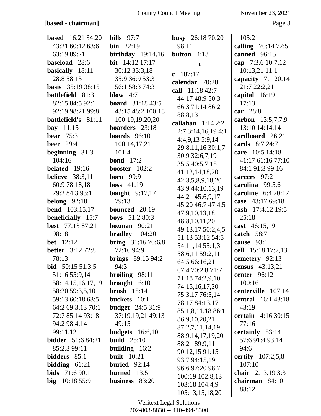## **[based - chairman]** Page 3

| <b>based</b> 16:21 34:20             | bills $97:7$                       | <b>busy</b> 26:18 70:20 | 105:21                            |
|--------------------------------------|------------------------------------|-------------------------|-----------------------------------|
| 43:21 60:12 63:6                     | $\binom{1}{2}$                     | 98:11                   | calling 70:14 72:5                |
| 63:19 89:21                          | birthday $19:14,16$                | <b>button</b> $4:13$    | canned 96:15                      |
| baseload 28:6                        | bit 14:12 17:17                    | $\mathbf c$             | cap 7:3,6 10:7,12                 |
| basically 18:11                      | 30:12 33:3,18                      | $c$ 107:17              | 10:13,21 11:1                     |
| 28:8 58:13                           | 35:9 36:9 53:3                     | calendar 70:20          | capacity $7:120:14$               |
| <b>basis</b> 35:19 38:15             | 56:1 58:3 74:3                     | call 11:18 42:7         | 21:7 22:2,21                      |
| <b>battlefield</b> 81:3              | blow $4:7$                         | 44:17 48:9 50:3         | capital 16:19                     |
| 82:15 84:5 92:1                      | <b>board</b> $31:1843:5$           | 66:3 71:14 86:2         | 17:13                             |
| 92:19 98:21 99:8                     | 43:15 48:2 100:18                  | 88:8,13                 | car 28:8                          |
| battlefield's 81:11                  | 100:19,19,20,20                    | callahan $1:142:2$      | carbon 13:5,7,7,9                 |
| bay $11:15$                          | boarders 23:18                     | 2:73:14,16,194:1        | 13:10 14:14,14                    |
| bear $75:3$                          | <b>boards</b> $96:10$              | 4:4,9,13 5:9,14         | cardboard 26:21                   |
| <b>beer</b> 29:4                     | 100:14,17,21                       | 29:8,11,16 30:1,7       | cards 8:7 24:7                    |
| beginning $31:3$                     | 101:4                              | 30:9 32:6,7,19          | care 10:5 14:18                   |
| 104:16                               | <b>bond</b> $17:2$                 | 35:5 40:5,7,15          | 41:17 61:16 77:10                 |
| belated 19:16                        | booster $102:2$                    | 41:12,14,18,20          | 84:1 91:3 99:16                   |
| <b>believe</b> 38:3,11               | <b>born</b> 99:9                   | 42:3,5,8,9,18,20        | careers 97:2                      |
| 60:9 78:18,18                        | <b>boss</b> $41:19$                | 43:9 44:10,13,19        | carolina 99:5,6                   |
| 79:2 84:3 93:1                       | bought $9:17,17$                   | 44:21 45:6,9,17         | caroline $6:420:17$               |
| belong $92:10$                       | 79:13                              | 45:20 46:7 47:4,5       | case 43:17 69:18                  |
| <b>bend</b> 103:15,17                | bounced 20:19                      | 47:9,10,13,18           | cash 17:4,12 19:5                 |
| beneficially 15:7                    | <b>boys</b> 51:2 80:3              | 48:8,10,11,20           | 25:18                             |
| <b>best</b> 77:13 87:21              | bozman $90:21$                     | 49:13,17 50:2,4,5       | cast 46:15,19                     |
| 98:18                                | bradley $104:20$                   | 51:13 53:12 54:5        | catch 58:7                        |
| <b>bet</b> 12:12                     | <b>bring</b> $31:1670:6,8$         | 54:11,14 55:1,3         | cause 93:1                        |
| <b>better</b> 3:12 72:8              | 72:16 94:9                         | 58:6,11 59:2,11         | cell 15:18 17:7,13                |
| 78:13                                | <b>brings</b> $89:1594:2$          | 64:5 66:16,21           | cemetery 92:13                    |
| <b>bid</b> 50:15 51:3,5              | 94:3                               | 67:4 70:2,8 71:7        | census 43:13,21<br>center $96:12$ |
| 51:16 55:9,14                        | broiling $98:11$<br>brought $6:10$ | 71:18 74:2,9,10         | 100:16                            |
| 58:14,15,16,17,19<br>58:20 59:3,5,10 | brush $15:14$                      | 74:15,16,17,20          | centerville 107:14                |
| 59:13 60:18 63:5                     | buckets 10:1                       | 75:3,17 76:5,14         | <b>central</b> 16:1 43:18         |
| 64:2 69:3,13 70:1                    | <b>budget</b> 24:5 31:9            | 78:17 84:13,17          | 43:19                             |
| 72:7 85:14 93:18                     | 37:19,19,21 49:13                  | 85:1,8,11,18 86:1       | <b>certain</b> 4:16 30:15         |
| 94:2 98:4,14                         | 49:15                              | 86:9,10,20,21           | 77:16                             |
| 99:11,12                             | budgets $16:6,10$                  | 87:2,7,11,14,19         | certainly 53:14                   |
| <b>bidder</b> 51:6 84:21             | build $25:10$                      | 88:9,14,17,19,20        | 57:691:493:14                     |
| 85:2,3 99:11                         | building $16:2$                    | 88:21 89:9,11           | 94:6                              |
| bidders 85:1                         | <b>built</b> 10:21                 | 90:12,15 91:15          | <b>certify</b> $107:2,5,8$        |
| bidding $61:21$                      | buried $92:14$                     | 93:7 94:15,19           | 107:10                            |
| <b>bids</b> $71:690:1$               | burned 13:5                        | 96:6 97:20 98:7         | chair 2:13,19 3:3                 |
| $big$ 10:18 55:9                     | business 83:20                     | 100:19 102:8,13         | chairman 84:10                    |
|                                      |                                    | 103:18 104:4,9          | 88:12                             |
|                                      |                                    | 105:13,15,18,20         |                                   |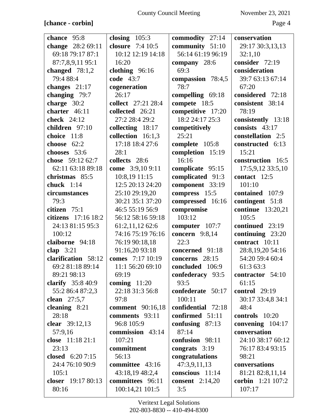# **[chance - corbin]** Page 4

| chance 95:8           | closing $105:3$    | commodity 27:14        | conservation             |
|-----------------------|--------------------|------------------------|--------------------------|
| change 28:2 69:11     | closure 7:4 10:5   | community 51:10        | 29:17 30:3,13,13         |
| 69:18 79:17 87:1      | 10:12 12:19 14:18  | 56:14 61:19 96:19      | 32:1,10                  |
| 87:7,8,9,11 95:1      | 16:20              | company 28:6           | consider 72:19           |
| changed $78:1,2$      | clothing $96:16$   | 69:3                   | consideration            |
| 79:4 88:4             | code 43:7          | compassion 78:4,5      | 39:7 63:13 67:14         |
| changes $21:17$       | cogeneration       | 78:7                   | 67:20                    |
| changing 79:7         | 26:17              | compelling 69:18       | considered 72:18         |
| charge 30:2           | collect 27:21 28:4 | compete 18:5           | consistent 38:14         |
| charter 46:11         | collected 26:21    | competitive 17:20      | 78:19                    |
| check 24:12           | 27:2 28:4 29:2     | 18:2 24:17 25:3        | consistently 13:18       |
| children 97:10        | collecting 18:17   | competitively          | consists $43:17$         |
| choice 11:8           | collection 16:1,3  | 25:21                  | constellation 2:5        |
| choose $62:2$         | 17:18 18:4 27:6    | complete 105:8         | constructed 6:13         |
| chooses 53:6          | 28:1               | completion 15:19       | 15:21                    |
| chose 59:12 62:7      | collects 28:6      | 16:16                  | construction 16:5        |
| 62:11 63:18 89:18     | come 3:9,10 9:11   | complicate 95:15       | 17:5,9,12 33:5,10        |
| christmas 85:5        | 10:8,19 11:15      | complicated 91:3       | contact 12:5             |
| chuck $1:14$          | 12:5 20:13 24:20   | component 33:19        | 101:10                   |
| circumstances         | 25:10 29:19,20     | compress 15:5          | contained 107:9          |
| 79:3                  | 30:21 35:1 37:20   | compressed 16:16       | contingent 51:8          |
| citizen 75:1          | 46:5 55:19 56:9    | compromise             | <b>continue</b> 13:20,21 |
| citizens $17:16$ 18:2 | 56:12 58:16 59:18  | 103:12                 | 105:5                    |
| 24:13 81:15 95:3      | 61:2,11,12 62:6    | computer 107:7         | continued 23:19          |
| 100:12                | 74:16 75:19 76:16  | concern 9:8,14         | continuing 23:20         |
| claiborne 94:18       | 76:19 90:18,18     | 22:3                   | contract 10:11           |
| clap $3:21$           | 91:16,20 93:18     | concerned 91:18        | 28:8,19,20 54:16         |
| clarification 58:12   | comes 7:17 10:19   | concerns 28:15         | 54:20 59:4 60:4          |
| 69:2 81:18 89:14      | 11:1 56:20 69:10   | concluded 106:9        | 61:3 63:3                |
| 89:21 98:13           | 69:19              | confederacy 93:5       | contractor 54:10         |
| clarify $35:840:9$    | coming $11:20$     | 93:5                   | 61:15                    |
| 55:2 86:4 87:2,3      | 22:18 31:3 56:8    | confederate 50:17      | <b>control</b> 29:19     |
| clean $27:5,7$        | 97:8               | 100:11                 | 30:17 33:4,8 34:1        |
| cleaning $8:21$       | comment 90:16,18   | confidential 72:18     | 48:4                     |
| 28:18                 | comments 93:11     | confirmed 51:11        | controls 10:20           |
| clear 39:12,13        | 96:8 105:9         | confusing $87:13$      | convening $104:17$       |
| 57:9,16               | commission 43:14   | 87:14                  | conversation             |
| close 11:18 21:1      | 107:21             | confusion 98:11        | 24:10 38:17 60:12        |
| 23:13                 | commitment         | congrats 3:19          | 76:17 83:4 93:15         |
| closed $6:207:15$     | 56:13              | congratulations        | 98:21                    |
| 24:4 76:10 90:9       | committee 43:16    | 47:3,9,11,13           | conversations            |
| 105:1                 | 43:18,19 48:2,4    | conscious 11:14        | 81:21 82:8,11,14         |
| closer 19:17 80:13    | committees 96:11   | <b>consent</b> 2:14,20 | corbin 1:21 107:2        |
| 80:16                 |                    | 3:5                    | 107:17                   |
|                       | 100:14,21 101:5    |                        |                          |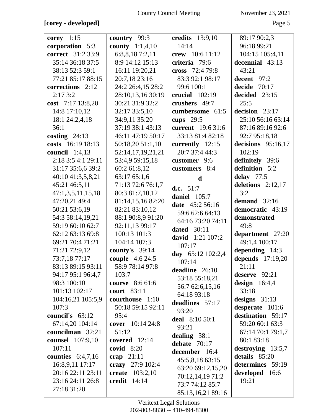# **[corey - developed]** Page 5

| corey $1:15$            | country $99:3$           | <b>credits</b> 13:9,10 | 89:17 90:2,3         |
|-------------------------|--------------------------|------------------------|----------------------|
| corporation 5:3         | <b>county</b> $1:1,4,10$ | 14:14                  | 96:18 99:21          |
| correct 31:2 33:9       | 6:8,8,187:2,11           | crew 10:6 11:12        | 104:15 105:4,11      |
| 35:14 36:18 37:5        | 8:9 14:12 15:13          | criteria 79:6          | decennial 43:13      |
| 38:13 52:3 59:1         | 16:11 19:20,21           | cross 72:4 79:8        | 43:21                |
| 77:21 85:17 88:15       | 20:7,18 23:16            | 83:3 92:1 98:17        | decent 97:2          |
| corrections 2:12        | 24:2 26:4,15 28:2        | 99:6 100:1             | decide $70:17$       |
| 2:173:2                 | 28:10,13,16 30:19        | crucial $102:19$       | decided 23:15        |
| cost 7:17 13:8,20       | 30:21 31:9 32:2          | crushers 49:7          | 25:5                 |
| 14:8 17:10,12           | 32:17 33:5,10            | cumbersome 61:5        | decision 23:17       |
| 18:1 24:2,4,18          | 34:9,11 35:20            | cups $29:5$            | 25:10 56:16 63:14    |
| 36:1                    | 37:19 38:1 43:13         | current 19:6 31:6      | 87:16 89:16 92:6     |
| costing $24:13$         | 46:11 47:19 50:17        | 33:13 81:4 82:18       | 92:7 95:18,18        |
| costs 16:19 18:13       | 50:18,20 51:1,10         | currently 12:15        | decisions $95:16,17$ |
| council $1:4,13$        | 52:14,17,19,21,21        | 20:7 37:4 44:3         | 102:19               |
| 2:18 3:5 4:1 29:11      | 53:4,9 59:15,18          | customer 9:6           | definitely 39:6      |
| 31:17 35:6,6 39:2       | 60:2 61:8,12             | customers 8:4          | definition 5:2       |
| 40:10 41:3,5,8,21       | 63:17 65:1,6             | $\mathbf d$            | delay $77:5$         |
| 45:21 46:5,11           | 71:13 72:6 76:1,7        |                        | deletions $2:12,17$  |
| 47:1,3,5,11,15,18       | 80:3 81:7,10,12          | d.c. $51:7$            | 3:2                  |
| 47:20,21 49:4           | 81:14,15,16 82:20        | daniel 105:7           | demand $32:16$       |
| 50:21 53:6,19           | 82:21 83:10,12           | date 45:2 56:16        | democratic 43:19     |
| 54:3 58:14,19,21        | 88:1 90:8,9 91:20        | 59:6 62:6 64:13        | demonstrated         |
| 59:19 60:10 62:7        | 92:11,13 99:17           | 64:16 73:20 74:11      | 49:8                 |
| 62:12 63:13 69:8        | 100:13 101:3             | <b>dated</b> 30:11     | department 27:20     |
| 69:21 70:4 71:21        | 104:14 107:3             | david 1:21 107:2       | 49:1,4 100:17        |
| 71:21 72:9,12           | county's $39:14$         | 107:17                 | depending $14:3$     |
| 73:7,18 77:17           | couple 4:6 24:5          | day 65:12 102:2,4      | depends 17:19,20     |
| 83:13 89:15 93:11       | 58:9 78:14 97:8          | 107:14                 | 21:11                |
| 94:17 95:1 96:4,7       | 103:7                    | deadline 26:10         | deserve $92:21$      |
| 98:3 100:10             | <b>course</b> 8:6 61:6   | 53:18 55:18,21         | design $16:4,4$      |
| 101:13 102:17           | court 83:11              | 56:7 62:6,15,16        | 33:18                |
| 104:16,21 105:5,9       | courthouse 1:10          | 64:18 93:18            | designs $31:13$      |
| 107:3                   | 50:18 59:15 92:11        | deadlines 57:17        | desperate 101:6      |
| council's $63:12$       | 95:4                     | 93:20                  | destination 59:17    |
| 67:14,20 104:14         | cover $10:14\,24:8$      | deal 8:10 50:1         | 59:20 60:1 63:3      |
| councilman 32:21        | 51:12                    | 93:21                  | 67:14 70:1 79:1,7    |
| <b>counsel</b> 107:9,10 | covered 12:14            | dealing $38:1$         | 80:1 83:18           |
| 107:11                  | covid $8:20$             | debate $70:17$         | destroying $13:5,7$  |
| counties $6:4,7,16$     | crap $21:11$             | december 16:4          | details 85:20        |
| 16:8,9,11 17:17         | crazy 27:9 102:4         | 45:5,8,18 63:15        | determines 59:19     |
| 20:16 22:11 23:11       | <b>create</b> 103:2,10   | 63:20 69:12,15,20      | developed 16:6       |
| 23:16 24:11 26:8        | credit $14:14$           | 70:12,14,19 71:2       | 19:21                |
| 27:18 31:20             |                          | 73:7 74:12 85:7        |                      |
|                         |                          | 85:13,16,21 89:16      |                      |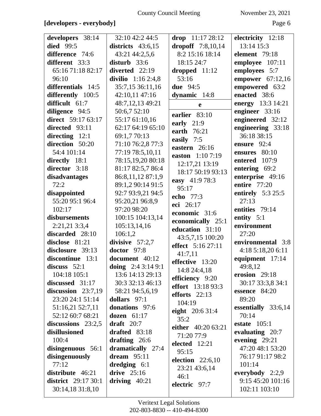## **[developers - everybody]** Page 6

| developers 38:14                               | 32:10 42:2 44:5     | drop $11:1728:12$   | electricity 12:18                  |
|------------------------------------------------|---------------------|---------------------|------------------------------------|
| <b>died</b> 99:5                               | districts $43:6,15$ | dropoff $7:8,10,14$ | 13:14 15:3                         |
| difference 74:6                                | 43:21 44:2,5,6      | 8:2 15:16 18:14     | element 79:18                      |
| different 33:3                                 | disturb $33:6$      | 18:15 24:7          | employee 107:11                    |
| 65:16 71:18 82:17                              | diverted 22:19      | dropped $11:12$     | employees 5:7                      |
| 96:10                                          |                     | 53:16               |                                    |
|                                                | divilio $1:162:4,8$ |                     | empower $67:12,16$                 |
| differentials 14:5                             | 35:7,15 36:11,16    | <b>due</b> 94:5     | empowered 63:2                     |
| differently 100:5                              | 42:10,11 47:16      | dynamic 14:8        | enacted 38:6                       |
| difficult 61:7                                 | 48:7,12,13 49:21    | e                   | energy 13:3 14:21                  |
| diligence 94:5                                 | 50:6,7 52:10        | earlier 83:10       | engineer 33:16                     |
| direct 59:17 63:17                             | 55:17 61:10,16      | early $21:9$        | engineered 32:12                   |
| directed 93:11                                 | 62:17 64:19 65:10   | earth 76:21         | engineering 33:18                  |
| directing $12:1$                               | 69:1,7 70:13        | easily 7:5          | 36:18 38:15                        |
| direction 50:20                                | 71:10 76:2,8 77:3   | eastern 26:16       | ensure 92:4                        |
| 54:4 101:14                                    | 77:19 78:5,10,11    |                     | ensures 80:10                      |
| directly 18:1                                  | 78:15,19,20 80:18   | easton 1:10 7:19    | entered 107:9                      |
| director 3:18                                  | 81:17 82:5,7 86:4   | 12:17,21 13:19      | entering 69:2                      |
| disadvantages                                  | 86:8,11,12 87:1,9   | 18:17 50:19 93:13   | enterprise 49:16                   |
| 72:2                                           | 89:1,2 90:14 91:5   | easy 41:9 78:3      | entire 77:20                       |
| disappointed                                   | 92:7 93:9,21 94:5   | 95:17               | entirely $5:325:5$                 |
| 55:20 95:1 96:4                                | 95:20,21 96:8,9     | echo 77:3           | 27:13                              |
| 102:17                                         | 97:20 98:20         | eci 26:17           | entities 79:14                     |
| disbursements                                  |                     | economic 31:6       |                                    |
|                                                | 100:15 104:13,14    |                     | entity $5:1$                       |
|                                                |                     | economically 25:1   |                                    |
| 2:21,213:3,4                                   | 105:13,14,16        | education 31:10     | environment                        |
| discarded 28:10                                | 106:1,2             | 43:5,7,15 100:20    | 27:20                              |
| disclose 81:21                                 | divisive $57:2,7$   | effect 5:16 27:11   | environmental 3:8                  |
| disclosure 39:13                               | doctor 97:8         |                     | 4:18 5:18,20 6:11                  |
| discontinue 13:1                               | document 40:12      | 41:7,11             | equipment 17:14                    |
| discuss $52:1$                                 | doing $2:43:149:1$  | effective 13:20     | 49:8,12                            |
| 104:18 105:1                                   | 13:6 14:13 29:13    | 14:8 24:4,18        | erosion 29:18                      |
| discussed 31:17                                | 30:3 32:13 46:13    | efficiency 9:20     | 30:17 33:3,8 34:1                  |
| discussion $23:7,19$                           | 58:21 94:5,6,19     | effort 13:18 93:3   | essence 84:20                      |
| 23:20 24:1 51:14                               | dollars $97:1$      | efforts $22:13$     | 89:20                              |
| 51:16,21 52:7,11                               | donations 97:6      | 104:19              | essentially 33:6,14                |
| 52:12 60:7 68:21                               | dozen $61:17$       | eight 20:6 31:4     | 70:14                              |
|                                                | draft $20:7$        | 35:2                |                                    |
| discussions $23:2,5$                           |                     | either 40:20 63:21  | estate $105:1$                     |
| disillusioned                                  | drafted 83:18       | 71:20 77:9          | evaluating 20:7                    |
| 100:4                                          | drafting $26:6$     | elected 12:21       | evening 29:21                      |
| disingenuous 56:1                              | dramatically 27:4   | 95:15               | 47:20 48:1 53:20                   |
| disingenuously                                 | dream $95:11$       | election $22:6,10$  | 76:17 91:17 98:2                   |
| 77:12                                          | dredging $6:1$      | 23:21 43:6,14       | 101:14                             |
| distribute 46:21                               | drive $25:16$       | 46:1                | everybody $2:2,9$                  |
| <b>district</b> 29:17 30:1<br>30:14,18 31:8,10 | driving $40:21$     | electric 97:7       | 9:15 45:20 101:16<br>102:11 103:10 |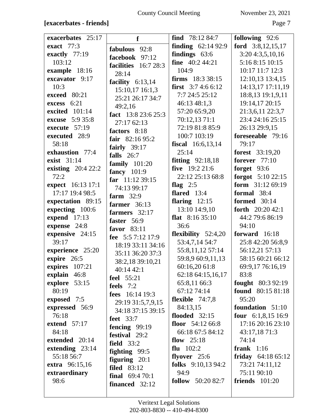## **[exacerbates - friends]** Page 7

| exacerbates 25:17<br>find $78:1284:7$<br>f<br>exact $77:3$<br><b>finding</b> $62:1492:9$<br>fabulous 92:8<br>findings $63:6$<br>exactly $77:19$<br>facebook 97:12<br>fine $40:244:21$<br>103:12<br>facilities $16:728:3$<br>example 18:16<br>104:9<br>28:14<br>excavator 9:17<br><b>firms</b> 18:3 38:15<br>facility $6:13,14$<br>10:3<br>first $3:74:66:12$<br>15:10,17 16:1,3<br>7:7 24:5 25:12<br>18:8,13 19:1,9,11<br>exceed 80:21<br>25:21 26:17 34:7<br>46:13 48:1,3<br>19:14,17 20:15<br>excess 6:21<br>49:2,16<br>57:20 65:9,20<br>21:3,6,11 22:3,7<br>excited 101:14<br>fact 13:8 23:6 25:3<br>70:12,13 71:1<br>23:4 24:16 25:15<br><b>excuse</b> 5:9 35:8<br>27:17 62:13<br>72:19 81:8 85:9<br>execute 57:19<br>26:13 29:9,15<br>factors 8:18<br>executed 28:9<br>100:7 103:19<br>foreseeable 79:16<br>fair $82:1695:2$<br>58:18<br><b>fiscal</b> 16:6,13,14<br>79:17<br>fairly $39:17$<br>exhaustion 77:4<br>25:14<br><b>forest</b> $33:19,20$<br>falls $26:7$<br><b>forever</b> 77:10<br>exist 31:14<br>fitting $92:18,18$<br>family $101:20$<br>five $19:221:6$<br>existing $20:422:2$<br>forget 93:6<br>fancy 101:9<br>22:12 25:13 68:8<br>72:2<br>far $11:1239:15$<br>expect 16:13 17:1<br>flag $2:5$<br>74:13 99:17<br>17:17 19:4 98:5<br>flared $13:4$<br>formal 38:4<br>farm $32:9$<br>flaring $12:15$<br>expectation 89:15<br><b>formed</b> 30:14<br>farmer $36:13$<br>expecting 100:6<br>13:10 14:9,10<br>farmers 32:17<br>flat $8:1635:10$<br>expend 17:13<br>faster 56:9<br>94:10<br>expense 24:8<br>36:6<br>favor 83:11<br>expensive 24:15<br>flexibility $52:4,20$<br>fee 5:57:12 17:9<br>39:17<br>53:4,7,14 54:7<br>18:19 33:11 34:16<br>experience 25:20<br>55:8,11,12 57:14<br>35:11 36:20 37:3<br>expire 26:5<br>59:8,9 60:9,11,13<br>38:2,18 39:10,21<br>expires 107:21<br>60:16,20 61:8<br>40:14 42:1<br>explain 46:8<br>62:18 64:15,16,17<br>83:8<br>feel 55:21<br>explore 53:15<br>65:8,11 66:3<br>feels $7:2$<br>80:19<br>67:12 74:14<br>fees 16:14 19:3<br>95:20<br>exposed 7:5<br>flexible $74:7,8$<br>29:19 31:5,7,9,15<br>84:13,15<br>expressed 56:9<br>34:18 37:15 39:15<br>flooded $32:15$<br>76:18<br><b>feet</b> 33:7<br>floor $54:1266:8$<br>extend $57:17$<br>fencing $99:19$<br>84:18<br>66:18 67:5 84:12<br>43:17,1871:3<br>festival 29:2<br>extended 20:14<br>flow $25:18$<br>74:14<br><b>field</b> 33:2<br>extending 23:14<br>flu $102:2$<br>frank $1:16$<br>fighting $99:5$<br>55:18 56:7<br>flyover $25:6$<br>figuring $20:1$<br>folks $9:10,1394:2$<br>73:21 74:11,12<br><b>extra</b> 96:15,16<br><b>filed</b> 83:12<br>94:9<br>75:11 90:10<br>extraordinary<br><b>final</b> $69:470:1$<br>follow 50:20 82:7<br><b>friends</b> 101:20<br>98:6 |                |                           |
|-------------------------------------------------------------------------------------------------------------------------------------------------------------------------------------------------------------------------------------------------------------------------------------------------------------------------------------------------------------------------------------------------------------------------------------------------------------------------------------------------------------------------------------------------------------------------------------------------------------------------------------------------------------------------------------------------------------------------------------------------------------------------------------------------------------------------------------------------------------------------------------------------------------------------------------------------------------------------------------------------------------------------------------------------------------------------------------------------------------------------------------------------------------------------------------------------------------------------------------------------------------------------------------------------------------------------------------------------------------------------------------------------------------------------------------------------------------------------------------------------------------------------------------------------------------------------------------------------------------------------------------------------------------------------------------------------------------------------------------------------------------------------------------------------------------------------------------------------------------------------------------------------------------------------------------------------------------------------------------------------------------------------------------------------------------------------------------------------------------------------------------------------------------------------------------------------------------------------------------------------------------------------------------------------------------------------------------------------------------------------------------------------------------------------------------------------------------------------------------------------------------------------------------------------------------------------------------------------------------------------------------------------------------------------------------------------|----------------|---------------------------|
|                                                                                                                                                                                                                                                                                                                                                                                                                                                                                                                                                                                                                                                                                                                                                                                                                                                                                                                                                                                                                                                                                                                                                                                                                                                                                                                                                                                                                                                                                                                                                                                                                                                                                                                                                                                                                                                                                                                                                                                                                                                                                                                                                                                                                                                                                                                                                                                                                                                                                                                                                                                                                                                                                                 |                | following 92:6            |
|                                                                                                                                                                                                                                                                                                                                                                                                                                                                                                                                                                                                                                                                                                                                                                                                                                                                                                                                                                                                                                                                                                                                                                                                                                                                                                                                                                                                                                                                                                                                                                                                                                                                                                                                                                                                                                                                                                                                                                                                                                                                                                                                                                                                                                                                                                                                                                                                                                                                                                                                                                                                                                                                                                 |                | ford 3:8,12,15,17         |
|                                                                                                                                                                                                                                                                                                                                                                                                                                                                                                                                                                                                                                                                                                                                                                                                                                                                                                                                                                                                                                                                                                                                                                                                                                                                                                                                                                                                                                                                                                                                                                                                                                                                                                                                                                                                                                                                                                                                                                                                                                                                                                                                                                                                                                                                                                                                                                                                                                                                                                                                                                                                                                                                                                 |                | 3:204:3,5,10,16           |
|                                                                                                                                                                                                                                                                                                                                                                                                                                                                                                                                                                                                                                                                                                                                                                                                                                                                                                                                                                                                                                                                                                                                                                                                                                                                                                                                                                                                                                                                                                                                                                                                                                                                                                                                                                                                                                                                                                                                                                                                                                                                                                                                                                                                                                                                                                                                                                                                                                                                                                                                                                                                                                                                                                 |                | 5:16 8:15 10:15           |
|                                                                                                                                                                                                                                                                                                                                                                                                                                                                                                                                                                                                                                                                                                                                                                                                                                                                                                                                                                                                                                                                                                                                                                                                                                                                                                                                                                                                                                                                                                                                                                                                                                                                                                                                                                                                                                                                                                                                                                                                                                                                                                                                                                                                                                                                                                                                                                                                                                                                                                                                                                                                                                                                                                 |                | 10:17 11:7 12:3           |
|                                                                                                                                                                                                                                                                                                                                                                                                                                                                                                                                                                                                                                                                                                                                                                                                                                                                                                                                                                                                                                                                                                                                                                                                                                                                                                                                                                                                                                                                                                                                                                                                                                                                                                                                                                                                                                                                                                                                                                                                                                                                                                                                                                                                                                                                                                                                                                                                                                                                                                                                                                                                                                                                                                 |                | 12:10,13 13:4,15          |
|                                                                                                                                                                                                                                                                                                                                                                                                                                                                                                                                                                                                                                                                                                                                                                                                                                                                                                                                                                                                                                                                                                                                                                                                                                                                                                                                                                                                                                                                                                                                                                                                                                                                                                                                                                                                                                                                                                                                                                                                                                                                                                                                                                                                                                                                                                                                                                                                                                                                                                                                                                                                                                                                                                 |                | 14:13,17 17:11,19         |
|                                                                                                                                                                                                                                                                                                                                                                                                                                                                                                                                                                                                                                                                                                                                                                                                                                                                                                                                                                                                                                                                                                                                                                                                                                                                                                                                                                                                                                                                                                                                                                                                                                                                                                                                                                                                                                                                                                                                                                                                                                                                                                                                                                                                                                                                                                                                                                                                                                                                                                                                                                                                                                                                                                 |                |                           |
|                                                                                                                                                                                                                                                                                                                                                                                                                                                                                                                                                                                                                                                                                                                                                                                                                                                                                                                                                                                                                                                                                                                                                                                                                                                                                                                                                                                                                                                                                                                                                                                                                                                                                                                                                                                                                                                                                                                                                                                                                                                                                                                                                                                                                                                                                                                                                                                                                                                                                                                                                                                                                                                                                                 |                |                           |
|                                                                                                                                                                                                                                                                                                                                                                                                                                                                                                                                                                                                                                                                                                                                                                                                                                                                                                                                                                                                                                                                                                                                                                                                                                                                                                                                                                                                                                                                                                                                                                                                                                                                                                                                                                                                                                                                                                                                                                                                                                                                                                                                                                                                                                                                                                                                                                                                                                                                                                                                                                                                                                                                                                 |                |                           |
|                                                                                                                                                                                                                                                                                                                                                                                                                                                                                                                                                                                                                                                                                                                                                                                                                                                                                                                                                                                                                                                                                                                                                                                                                                                                                                                                                                                                                                                                                                                                                                                                                                                                                                                                                                                                                                                                                                                                                                                                                                                                                                                                                                                                                                                                                                                                                                                                                                                                                                                                                                                                                                                                                                 |                |                           |
|                                                                                                                                                                                                                                                                                                                                                                                                                                                                                                                                                                                                                                                                                                                                                                                                                                                                                                                                                                                                                                                                                                                                                                                                                                                                                                                                                                                                                                                                                                                                                                                                                                                                                                                                                                                                                                                                                                                                                                                                                                                                                                                                                                                                                                                                                                                                                                                                                                                                                                                                                                                                                                                                                                 |                |                           |
|                                                                                                                                                                                                                                                                                                                                                                                                                                                                                                                                                                                                                                                                                                                                                                                                                                                                                                                                                                                                                                                                                                                                                                                                                                                                                                                                                                                                                                                                                                                                                                                                                                                                                                                                                                                                                                                                                                                                                                                                                                                                                                                                                                                                                                                                                                                                                                                                                                                                                                                                                                                                                                                                                                 |                |                           |
|                                                                                                                                                                                                                                                                                                                                                                                                                                                                                                                                                                                                                                                                                                                                                                                                                                                                                                                                                                                                                                                                                                                                                                                                                                                                                                                                                                                                                                                                                                                                                                                                                                                                                                                                                                                                                                                                                                                                                                                                                                                                                                                                                                                                                                                                                                                                                                                                                                                                                                                                                                                                                                                                                                 |                |                           |
|                                                                                                                                                                                                                                                                                                                                                                                                                                                                                                                                                                                                                                                                                                                                                                                                                                                                                                                                                                                                                                                                                                                                                                                                                                                                                                                                                                                                                                                                                                                                                                                                                                                                                                                                                                                                                                                                                                                                                                                                                                                                                                                                                                                                                                                                                                                                                                                                                                                                                                                                                                                                                                                                                                 |                |                           |
|                                                                                                                                                                                                                                                                                                                                                                                                                                                                                                                                                                                                                                                                                                                                                                                                                                                                                                                                                                                                                                                                                                                                                                                                                                                                                                                                                                                                                                                                                                                                                                                                                                                                                                                                                                                                                                                                                                                                                                                                                                                                                                                                                                                                                                                                                                                                                                                                                                                                                                                                                                                                                                                                                                 |                |                           |
|                                                                                                                                                                                                                                                                                                                                                                                                                                                                                                                                                                                                                                                                                                                                                                                                                                                                                                                                                                                                                                                                                                                                                                                                                                                                                                                                                                                                                                                                                                                                                                                                                                                                                                                                                                                                                                                                                                                                                                                                                                                                                                                                                                                                                                                                                                                                                                                                                                                                                                                                                                                                                                                                                                 |                |                           |
|                                                                                                                                                                                                                                                                                                                                                                                                                                                                                                                                                                                                                                                                                                                                                                                                                                                                                                                                                                                                                                                                                                                                                                                                                                                                                                                                                                                                                                                                                                                                                                                                                                                                                                                                                                                                                                                                                                                                                                                                                                                                                                                                                                                                                                                                                                                                                                                                                                                                                                                                                                                                                                                                                                 |                |                           |
|                                                                                                                                                                                                                                                                                                                                                                                                                                                                                                                                                                                                                                                                                                                                                                                                                                                                                                                                                                                                                                                                                                                                                                                                                                                                                                                                                                                                                                                                                                                                                                                                                                                                                                                                                                                                                                                                                                                                                                                                                                                                                                                                                                                                                                                                                                                                                                                                                                                                                                                                                                                                                                                                                                 |                | forgot 5:10 22:15         |
|                                                                                                                                                                                                                                                                                                                                                                                                                                                                                                                                                                                                                                                                                                                                                                                                                                                                                                                                                                                                                                                                                                                                                                                                                                                                                                                                                                                                                                                                                                                                                                                                                                                                                                                                                                                                                                                                                                                                                                                                                                                                                                                                                                                                                                                                                                                                                                                                                                                                                                                                                                                                                                                                                                 |                | form $31:1269:19$         |
|                                                                                                                                                                                                                                                                                                                                                                                                                                                                                                                                                                                                                                                                                                                                                                                                                                                                                                                                                                                                                                                                                                                                                                                                                                                                                                                                                                                                                                                                                                                                                                                                                                                                                                                                                                                                                                                                                                                                                                                                                                                                                                                                                                                                                                                                                                                                                                                                                                                                                                                                                                                                                                                                                                 |                |                           |
|                                                                                                                                                                                                                                                                                                                                                                                                                                                                                                                                                                                                                                                                                                                                                                                                                                                                                                                                                                                                                                                                                                                                                                                                                                                                                                                                                                                                                                                                                                                                                                                                                                                                                                                                                                                                                                                                                                                                                                                                                                                                                                                                                                                                                                                                                                                                                                                                                                                                                                                                                                                                                                                                                                 |                |                           |
|                                                                                                                                                                                                                                                                                                                                                                                                                                                                                                                                                                                                                                                                                                                                                                                                                                                                                                                                                                                                                                                                                                                                                                                                                                                                                                                                                                                                                                                                                                                                                                                                                                                                                                                                                                                                                                                                                                                                                                                                                                                                                                                                                                                                                                                                                                                                                                                                                                                                                                                                                                                                                                                                                                 |                | forth $20:2042:1$         |
|                                                                                                                                                                                                                                                                                                                                                                                                                                                                                                                                                                                                                                                                                                                                                                                                                                                                                                                                                                                                                                                                                                                                                                                                                                                                                                                                                                                                                                                                                                                                                                                                                                                                                                                                                                                                                                                                                                                                                                                                                                                                                                                                                                                                                                                                                                                                                                                                                                                                                                                                                                                                                                                                                                 |                | 44:2 79:6 86:19           |
|                                                                                                                                                                                                                                                                                                                                                                                                                                                                                                                                                                                                                                                                                                                                                                                                                                                                                                                                                                                                                                                                                                                                                                                                                                                                                                                                                                                                                                                                                                                                                                                                                                                                                                                                                                                                                                                                                                                                                                                                                                                                                                                                                                                                                                                                                                                                                                                                                                                                                                                                                                                                                                                                                                 |                |                           |
|                                                                                                                                                                                                                                                                                                                                                                                                                                                                                                                                                                                                                                                                                                                                                                                                                                                                                                                                                                                                                                                                                                                                                                                                                                                                                                                                                                                                                                                                                                                                                                                                                                                                                                                                                                                                                                                                                                                                                                                                                                                                                                                                                                                                                                                                                                                                                                                                                                                                                                                                                                                                                                                                                                 |                | forward 16:18             |
|                                                                                                                                                                                                                                                                                                                                                                                                                                                                                                                                                                                                                                                                                                                                                                                                                                                                                                                                                                                                                                                                                                                                                                                                                                                                                                                                                                                                                                                                                                                                                                                                                                                                                                                                                                                                                                                                                                                                                                                                                                                                                                                                                                                                                                                                                                                                                                                                                                                                                                                                                                                                                                                                                                 |                | 25:8 42:20 56:8,9         |
|                                                                                                                                                                                                                                                                                                                                                                                                                                                                                                                                                                                                                                                                                                                                                                                                                                                                                                                                                                                                                                                                                                                                                                                                                                                                                                                                                                                                                                                                                                                                                                                                                                                                                                                                                                                                                                                                                                                                                                                                                                                                                                                                                                                                                                                                                                                                                                                                                                                                                                                                                                                                                                                                                                 |                | 56:12,21 57:13            |
|                                                                                                                                                                                                                                                                                                                                                                                                                                                                                                                                                                                                                                                                                                                                                                                                                                                                                                                                                                                                                                                                                                                                                                                                                                                                                                                                                                                                                                                                                                                                                                                                                                                                                                                                                                                                                                                                                                                                                                                                                                                                                                                                                                                                                                                                                                                                                                                                                                                                                                                                                                                                                                                                                                 |                | 58:15 60:21 66:12         |
|                                                                                                                                                                                                                                                                                                                                                                                                                                                                                                                                                                                                                                                                                                                                                                                                                                                                                                                                                                                                                                                                                                                                                                                                                                                                                                                                                                                                                                                                                                                                                                                                                                                                                                                                                                                                                                                                                                                                                                                                                                                                                                                                                                                                                                                                                                                                                                                                                                                                                                                                                                                                                                                                                                 |                | 69:9,17 76:16,19          |
|                                                                                                                                                                                                                                                                                                                                                                                                                                                                                                                                                                                                                                                                                                                                                                                                                                                                                                                                                                                                                                                                                                                                                                                                                                                                                                                                                                                                                                                                                                                                                                                                                                                                                                                                                                                                                                                                                                                                                                                                                                                                                                                                                                                                                                                                                                                                                                                                                                                                                                                                                                                                                                                                                                 |                |                           |
|                                                                                                                                                                                                                                                                                                                                                                                                                                                                                                                                                                                                                                                                                                                                                                                                                                                                                                                                                                                                                                                                                                                                                                                                                                                                                                                                                                                                                                                                                                                                                                                                                                                                                                                                                                                                                                                                                                                                                                                                                                                                                                                                                                                                                                                                                                                                                                                                                                                                                                                                                                                                                                                                                                 |                | <b>fought</b> $80:392:19$ |
|                                                                                                                                                                                                                                                                                                                                                                                                                                                                                                                                                                                                                                                                                                                                                                                                                                                                                                                                                                                                                                                                                                                                                                                                                                                                                                                                                                                                                                                                                                                                                                                                                                                                                                                                                                                                                                                                                                                                                                                                                                                                                                                                                                                                                                                                                                                                                                                                                                                                                                                                                                                                                                                                                                 |                | <b>found</b> 80:15 81:18  |
|                                                                                                                                                                                                                                                                                                                                                                                                                                                                                                                                                                                                                                                                                                                                                                                                                                                                                                                                                                                                                                                                                                                                                                                                                                                                                                                                                                                                                                                                                                                                                                                                                                                                                                                                                                                                                                                                                                                                                                                                                                                                                                                                                                                                                                                                                                                                                                                                                                                                                                                                                                                                                                                                                                 |                |                           |
|                                                                                                                                                                                                                                                                                                                                                                                                                                                                                                                                                                                                                                                                                                                                                                                                                                                                                                                                                                                                                                                                                                                                                                                                                                                                                                                                                                                                                                                                                                                                                                                                                                                                                                                                                                                                                                                                                                                                                                                                                                                                                                                                                                                                                                                                                                                                                                                                                                                                                                                                                                                                                                                                                                 |                | foundation 51:10          |
|                                                                                                                                                                                                                                                                                                                                                                                                                                                                                                                                                                                                                                                                                                                                                                                                                                                                                                                                                                                                                                                                                                                                                                                                                                                                                                                                                                                                                                                                                                                                                                                                                                                                                                                                                                                                                                                                                                                                                                                                                                                                                                                                                                                                                                                                                                                                                                                                                                                                                                                                                                                                                                                                                                 |                | four $6:1,8,15$ 16:9      |
|                                                                                                                                                                                                                                                                                                                                                                                                                                                                                                                                                                                                                                                                                                                                                                                                                                                                                                                                                                                                                                                                                                                                                                                                                                                                                                                                                                                                                                                                                                                                                                                                                                                                                                                                                                                                                                                                                                                                                                                                                                                                                                                                                                                                                                                                                                                                                                                                                                                                                                                                                                                                                                                                                                 |                | 17:16 20:16 23:10         |
|                                                                                                                                                                                                                                                                                                                                                                                                                                                                                                                                                                                                                                                                                                                                                                                                                                                                                                                                                                                                                                                                                                                                                                                                                                                                                                                                                                                                                                                                                                                                                                                                                                                                                                                                                                                                                                                                                                                                                                                                                                                                                                                                                                                                                                                                                                                                                                                                                                                                                                                                                                                                                                                                                                 |                |                           |
|                                                                                                                                                                                                                                                                                                                                                                                                                                                                                                                                                                                                                                                                                                                                                                                                                                                                                                                                                                                                                                                                                                                                                                                                                                                                                                                                                                                                                                                                                                                                                                                                                                                                                                                                                                                                                                                                                                                                                                                                                                                                                                                                                                                                                                                                                                                                                                                                                                                                                                                                                                                                                                                                                                 |                |                           |
|                                                                                                                                                                                                                                                                                                                                                                                                                                                                                                                                                                                                                                                                                                                                                                                                                                                                                                                                                                                                                                                                                                                                                                                                                                                                                                                                                                                                                                                                                                                                                                                                                                                                                                                                                                                                                                                                                                                                                                                                                                                                                                                                                                                                                                                                                                                                                                                                                                                                                                                                                                                                                                                                                                 |                |                           |
|                                                                                                                                                                                                                                                                                                                                                                                                                                                                                                                                                                                                                                                                                                                                                                                                                                                                                                                                                                                                                                                                                                                                                                                                                                                                                                                                                                                                                                                                                                                                                                                                                                                                                                                                                                                                                                                                                                                                                                                                                                                                                                                                                                                                                                                                                                                                                                                                                                                                                                                                                                                                                                                                                                 |                | friday $64:1865:12$       |
|                                                                                                                                                                                                                                                                                                                                                                                                                                                                                                                                                                                                                                                                                                                                                                                                                                                                                                                                                                                                                                                                                                                                                                                                                                                                                                                                                                                                                                                                                                                                                                                                                                                                                                                                                                                                                                                                                                                                                                                                                                                                                                                                                                                                                                                                                                                                                                                                                                                                                                                                                                                                                                                                                                 |                |                           |
|                                                                                                                                                                                                                                                                                                                                                                                                                                                                                                                                                                                                                                                                                                                                                                                                                                                                                                                                                                                                                                                                                                                                                                                                                                                                                                                                                                                                                                                                                                                                                                                                                                                                                                                                                                                                                                                                                                                                                                                                                                                                                                                                                                                                                                                                                                                                                                                                                                                                                                                                                                                                                                                                                                 |                |                           |
|                                                                                                                                                                                                                                                                                                                                                                                                                                                                                                                                                                                                                                                                                                                                                                                                                                                                                                                                                                                                                                                                                                                                                                                                                                                                                                                                                                                                                                                                                                                                                                                                                                                                                                                                                                                                                                                                                                                                                                                                                                                                                                                                                                                                                                                                                                                                                                                                                                                                                                                                                                                                                                                                                                 |                |                           |
|                                                                                                                                                                                                                                                                                                                                                                                                                                                                                                                                                                                                                                                                                                                                                                                                                                                                                                                                                                                                                                                                                                                                                                                                                                                                                                                                                                                                                                                                                                                                                                                                                                                                                                                                                                                                                                                                                                                                                                                                                                                                                                                                                                                                                                                                                                                                                                                                                                                                                                                                                                                                                                                                                                 | financed 32:12 |                           |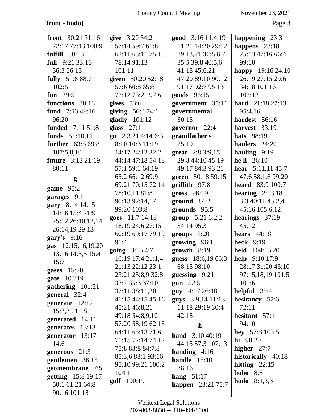# **[front - hodo]** Page 8

| front 30:21 31:16               | give 3:20 54:2               | good 3:16 11:4,19        | happening 23:3           |
|---------------------------------|------------------------------|--------------------------|--------------------------|
| 72:17 77:13 100:9               | 57:14 59:7 61:8              | 11:21 14:20 29:12        | happens $23:18$          |
| <b>fulfill</b> 80:13            | 62:11 63:11 75:13            | 29:13,21 30:5,6,7        | 25:13 47:16 66:4         |
| full 9:21 33:16                 | 78:14 91:13                  | 35:5 39:8 40:5,6         | 99:10                    |
| 36:3 56:13                      | 101:11                       | 41:18 45:6,21            | happy $19:1624:10$       |
| <b>fully</b> 51:8 88:7          | given 50:20 52:18            | 47:20 89:10 90:12        | 26:19 27:15 29:6         |
| 102:5                           | 57:6 60:8 65:8               | 91:17 92:7 95:13         | 34:18 101:16             |
| fun 29:5                        | 72:12 73:21 97:6             | goods 96:15              | 102:12                   |
| functions 30:18                 | gives $53:6$                 | government 35:11         | <b>hard</b> $21:1827:13$ |
| fund $7:1349:16$                | giving 56:3 74:1             | governmental             | 95:4,16                  |
| 96:20                           | $\boldsymbol{gladly}$ 101:12 | 30:15                    | hardest 56:16            |
| <b>funded</b> 7:11 51:8         | glass $27:1$                 | governor 22:4            | harvest 33:19            |
| funds 51:10,11                  | go $2:3,214:146:3$           | grandfather's            | <b>hats</b> 98:19        |
| <b>further</b> 63:5 69:8        | 8:10 10:3 11:19              | 25:19                    | haulers 24:20            |
| 107:5,8,10                      | 14:17 24:12 32:2             | great 2:8 3:9,15         | hauling $9:19$           |
| <b>future</b> 3:13 21:19        | 44:14 47:18 54:18            | 29:8 44:10 45:19         | he'll 26:10              |
| 80:11                           | 57:1 59:1 64:19              | 49:17 84:3 93:21         | hear $5:11,1145:7$       |
| g                               | 65:2 66:12 69:9              | green 50:18 59:15        | 47:6 58:1,6 99:20        |
|                                 | 69:21 70:15 72:14            | $griffith$ 97:8          | <b>heard</b> 83:9 100:7  |
| game 95:2                       | 78:10,11 81:8                | gross 96:19              | hearing $2:13,18$        |
| garages 9:1                     | 90:13 97:14,17               | $ground \quad 84:2$      | 3:3 40:11 45:2,4         |
| gary 8:14 14:15                 | 99:20 103:8                  | grounds 95:5             | 45:16 105:6,12           |
| 14:16 15:4 21:9                 | goes 11:7 14:18              | group $5:216:2,2$        | hearings $37:19$         |
| 25:12 26:10,12,14               | 18:19 24:6 27:15             | 34:14 95:3               | 45:12                    |
| 26:14,19 29:13                  | 60:19 69:17 79:19            | groups $5:20$            | hears $44:18$            |
| gary's $9:16$                   | 91:4                         | growing 96:18            | <b>heck</b> 9:19         |
| gas 12:15,16,19,20              | going 3:15 4:7               | $growth$ 8:19            | held 104:15,20           |
| 13:16 14:3,5 15:4               | 16:19 17:4 21:1,4            | guess 18:6,19 66:3       | help 9:10 17:9           |
| 15:7                            | 21:13 22:12 23:1             | 68:15 98:10              | 28:17 31:20 43:10        |
| gases 15:20                     | 23:21 25:8,9 32:8            | guessing $9:21$          | 97:15,18,19 101:5        |
| gate 103:19                     | 33:7 35:3 37:10              | gun $52:5$               | 101:6                    |
| gathering 101:21                | 37:11 38:11,20               | guy 4:17 26:18           | helpful 35:4             |
| general 32:4                    | 41:15 44:15 45:16            | guys 3:9,14 11:13        | hesitancy 57:6           |
| generate $12:17$                | 45:21 46:8,21                | 11:18 29:19 30:4         | 72:11                    |
| 15:2,3 21:18<br>generated 14:11 | 49:18 54:8,9,10              | 42:18                    | hesitant $57:1$          |
| generates 13:13                 | 57:20 58:19 62:13            | $\mathbf{h}$             | 94:10                    |
| generator 13:17                 | 64:11 65:13 71:6             | <b>hand</b> $3:1040:19$  | hey 57:3 103:5           |
| 14:6                            | 71:15 72:14 74:12            | 44:15 57:3 107:13        | $hi$ 90:20               |
| generous 21:3                   | 75:8 83:8 84:7,8             | handing $4:16$           | higher $27:7$            |
| gentlemen 36:18                 | 85:3,6 88:1 93:16            | handle $18:10$           | historically 40:18       |
| geomembrane 7:5                 | 95:10 99:21 100:2            | 38:16                    | hitting $22:15$          |
| getting 15:8 19:17              | 104:1                        | hang $51:17$             | hobo $8:3$               |
| 50:1 61:21 64:8                 | golf 100:19                  | <b>happen</b> 23:21 75:7 | <b>hodo</b> $8:1,3,3$    |
| 90:16 101:18                    |                              |                          |                          |
|                                 |                              |                          |                          |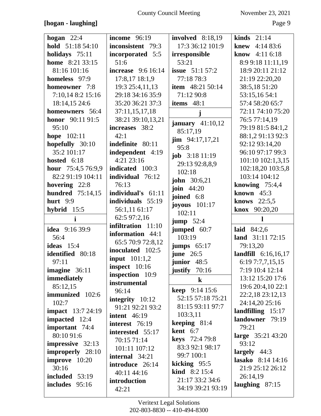## **[hogan - laughing]** Page 9

| hogan $22:4$             | <b>income</b> 96:19       | <b>involved</b> 8:18,19                  | kinds $21:14$          |
|--------------------------|---------------------------|------------------------------------------|------------------------|
| hold 51:18 54:10         | inconsistent 79:3         | 17:3 36:12 101:9                         | 4:1483:6<br>knew       |
| holidays 75:11           | incorporated 5:5          | irresponsible                            | <b>know</b> $4:116:18$ |
| home 8:21 33:15          | 51:6                      | 53:21                                    | 8:9 9:18 11:11,19      |
| 81:16 101:16             | <b>increase</b> 9:6 16:14 | <b>issue</b> 51:1 57:2                   | 18:9 20:11 21:12       |
| homeless 97:9            | 17:8,17 18:1,9            | 77:18 78:3                               | 21:19 22:20,20         |
| homeowner 7:8            | 19:3 25:4,11,13           | <b>item</b> 48:21 50:14                  | 38:5,18 51:20          |
| 7:10,14 8:2 15:16        | 29:18 34:16 35:9          | 71:12 90:8                               | 53:15,16 54:1          |
| 18:14,15 24:6            | 35:20 36:21 37:3          | items 48:1                               | 57:4 58:20 65:7        |
| homeowners 56:4          | 37:11,15,17,18            | j                                        | 72:11 74:10 75:20      |
| <b>honor</b> 90:11 91:5  | 38:21 39:10,13,21         |                                          | 76:5 77:14,19          |
| 95:10                    | increases 38:2            | january $41:10,12$                       | 79:19 81:5 84:1,2      |
| <b>hope</b> 102:11       | 42:1                      | 85:17,19                                 | 88:1,2 91:13 92:3      |
| hopefully 30:10          | indefinite 80:11          | $\lim$ 94:17,17,21<br>95:8               | 92:12 93:14,20         |
| 35:2 101:17              | independent 4:19          |                                          | 96:10 97:17 99:3       |
| hosted 6:18              | 4:21 23:16                | <b>job</b> $3:1811:19$<br>29:13 92:8,8,9 | 101:10 102:1,3,15      |
| hour 75:4,5 76:9,9       | <b>indicated</b> 100:3    | 102:18                                   | 102:18,20 103:5,8      |
| 82:2 91:19 104:11        | individual 76:12          |                                          | 103:14 104:12          |
| hovering 22:8            | 76:13                     | <b>john</b> 30:6,21<br>join $44:20$      | knowing $75:4,4$       |
| <b>hundred</b> 75:14,15  | individual's 61:11        |                                          | known $45:3$           |
| hurt $9:9$               | individuals 55:19         | joined 6:8                               | knows $22:5,5$         |
| hybrid 15:5              | 56:1,11 61:17             | joyous $101:17$<br>102:11                | <b>knox</b> $90:20,20$ |
|                          |                           |                                          |                        |
| i                        | 62:5 97:2,16              |                                          | 1                      |
|                          | infiltration 11:10        | jump $52:4$                              |                        |
| <b>idea</b> 9:16 39:9    | information 44:1          | jumped 60:7                              | laid $84:2,6$          |
| 56:4                     | 65:5 70:9 72:8,12         | 103:19                                   | land 31:11 72:15       |
| ideas $15:4$             | inoculated 102:5          | jumps $65:17$                            | 79:13,20               |
| identified 80:18         | <b>input</b> 101:1,2      | june $26:5$                              | landfill 6:16,16,17    |
| 97:11                    | inspect 10:16             | junior 48:5                              | 6:19 7:7,7,15,15       |
| imagine 36:11            | inspection 10:9           | justify $70:16$                          | 7:19 10:4 12:14        |
| immediately              | instrumental              | $\bf k$                                  | 13:12 15:20 17:6       |
| 85:12,15                 | 96:14                     | <b>keep</b> $9:14$ 15:6                  | 19:6 20:4,10 22:1      |
| immunized 102:6          | integrity $10:12$         | 52:15 57:18 75:21                        | 22:2,18 23:12,13       |
| 102:7                    | 91:21 92:21 93:2          | 81:15 93:11 97:7                         | 24:14,20 25:16         |
| <b>impact</b> 13:7 24:19 | intent $46:19$            | 103:3,11                                 | $landfilling$ 15:17    |
| <b>impacted</b> 12:4     | interest 76:19            | keeping $81:4$                           | landowner 79:19        |
| important 74:4           | interested 55:17          | kent 6:7                                 | 79:21                  |
| 80:10 91:6               | 70:15 71:14               | <b>keys</b> 72:4 79:8                    | large $35:21\,43:20$   |
| <b>impressive</b> 32:13  | 101:11 107:12             | 83:3 92:1 98:17                          | 93:12                  |
| improperly 28:10         | internal 34:21            | 99:7 100:1                               | largely $44:3$         |
| improve 10:20            | introduce 26:14           | kicking $95:5$                           | lasako 8:14 14:16      |
| 30:16                    | 40:11 44:16               | <b>kind</b> $8:2 15:4$                   | 21:9 25:12 26:12       |
| included 53:19           | introduction              | 21:17 33:2 34:6                          | 26:14,19               |
| includes $95:16$         | 42:21                     | 34:19 39:21 93:19                        | laughing $87:15$       |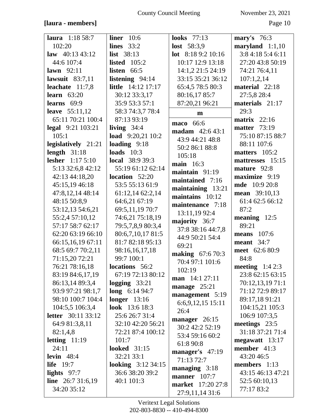# **[laura - members]** Page 10

| <b>laura</b> 1:18 58:7    | liner $10:6$              | looks $77:13$           | mary's $76:3$          |
|---------------------------|---------------------------|-------------------------|------------------------|
| 102:20                    | lines $33:2$              | <b>lost</b> $58:3,9$    | $maryland 1:1,10$      |
| law $40:13\,43:12$        | <b>list</b> 38:13         | lot $8:189:210:16$      | 3:8 4:18 5:4 6:11      |
| 44:6 107:4                | <b>listed</b> 105:2       | 10:17 12:9 13:18        | 27:20 43:8 50:19       |
| lawn $92:11$              | listen 66:5               | 14:1,2 21:5 24:19       | 74:21 76:4,11          |
| lawsuit $83:7,11$         | listening 94:14           | 33:15 35:21 36:12       | 107:1,2,14             |
| leachate $11:7,8$         | <b>little</b> 14:12 17:17 | 65:4,5 78:5 80:3        | material 22:18         |
| learn $63:20$             | 30:12 33:3,17             | 80:16,17 85:7           | 27:5,8 28:4            |
| learns $69:9$             | 35:9 53:3 57:1            | 87:20,21 96:21          | materials $21:17$      |
| leave $55:11,12$          | 58:3 74:3,7 78:4          | $\mathbf{m}$            | 29:3                   |
| 65:11 70:21 100:4         | 87:13 93:19               | maco 66:6               | matrix $22:16$         |
| legal 9:21 103:21         | living $34:4$             | <b>madam</b> 42:6 43:1  | <b>matter</b> 73:19    |
| 105:1                     | load $9:20,21$ 10:2       | 43:9 44:21 48:8         | 75:10 87:15 88:7       |
| legislatively 21:21       | loading $9:18$            | 50:2 86:1 88:8          | 88:11 107:6            |
| length $31:18$            | loads $10:3$              | 105:18                  | matters $105:2$        |
| <b>lesher</b> 1:17 5:10   | <b>local</b> 38:9 39:3    | main $16:3$             | mattresses 15:15       |
| 5:13 32:6,8 42:12         | 55:19 61:12 62:14         | maintain $91:19$        | mature 92:8            |
| 42:13 44:18,20            | location 52:20            | maintained 7:16         | maximize 9:19          |
| 45:15,19 46:18            | 53:5 55:13 61:9           | maintaining 13:21       | <b>mde</b> 10:9 20:8   |
| 47:8,12,14 48:14          | 61:12,14 62:2,14          | maintains 10:12         | mean 39:10,13          |
| 48:15 50:8,9              | 64:6,21 67:19             | maintenance 7:18        | 61:4 62:5 66:12        |
| 53:12,13 54:6,21          | 69:5,11,19 70:7           | 13:11,19 92:4           | 87:2                   |
| 55:2,4 57:10,12           | 74:6,21 75:18,19          | majority 36:7           | meaning 12:5           |
| 57:17 58:7 62:17          | 79:5,7,8,9 80:3,4         | 37:8 38:16 44:7,8       | 89:21                  |
| 62:20 63:19 66:10         | 80:6,7,10,17 81:5         | 44:9 50:21 54:4         | <b>means</b> 107:6     |
| 66:15,16,19 67:11         | 81:7 82:18 95:13          | 69:21                   | meant $34:7$           |
| 68:5 69:7 70:2,11         | 98:16,16,17,18            | <b>making</b> 67:6 70:3 | meet 62:6 80:9         |
| 71:15,20 72:21            | 99:7 100:1                | 70:4 97:1 101:6         | 84:8                   |
| 76:21 78:16,18            | locations 56:2            | 102:19                  | <b>meeting</b> 1:4 2:3 |
| 83:19 84:6,17,19          | 67:19 72:13 80:12         | man 14:1 27:11          | 23:8 62:15 63:15       |
| 86:13,14 89:3,4           | $\log$ ging 33:21         | manage $25:21$          | 70:12,13,1971:1        |
| 93:9 97:21 98:1,7         | $long \ 6:1494:7$         | management 5:19         | 71:12 72:9 89:17       |
| 98:10 100:7 104:4         | longer $13:16$            | $6:6,9,12,15$ 15:11     | 89:17,18 91:21         |
| 104:5,5 106:3,4           | <b>look</b> 13:6 18:3     | 26:4                    | 104:15,21 105:3        |
| <b>letter</b> 30:11 33:12 | 25:6 26:7 31:4            | manager 26:15           | 106:9 107:3,5          |
| 64:9 81:3,8,11            | 32:10 42:20 56:21         | 30:2 42:2 52:19         | meetings 23:5          |
| 82:1,4,8                  | 72:21 87:4 100:12         | 53:4 59:16 60:2         | 31:18 37:21 71:4       |
| letting $11:19$           | 101:7                     | 61:8 90:8               | megawatt 13:17         |
| 24:11                     | <b>looked</b> 31:15       | manager's 47:19         | member 41:3            |
| levin $48:4$              | 32:21 33:1                | 71:13 72:7              | 43:20 46:5             |
| life $19:7$               | <b>looking</b> 3:12 34:15 | managing $3:18$         | members $1:13$         |
| lights $97:7$             | 36:6 38:20 39:2           | manner $107:7$          | 43:15 46:13 47:21      |
| line $26:731:6,19$        | 40:1 101:3                | market 17:20 27:8       | 52:5 60:10,13          |
| 34:20 35:12               |                           | 27:9,11,14 31:6         | 77:17 83:2             |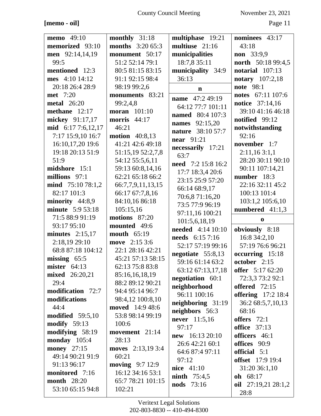# **[memo - oil]** Page 11

| memo 49:10              | monthly 31:18           | multiphase 19:21                     | nominees 43:17               |
|-------------------------|-------------------------|--------------------------------------|------------------------------|
| memorized 93:10         | <b>months</b> 3:20 65:3 | multiuse 21:16                       | 43:18                        |
| men 92:14,14,19         | monument 50:17          | municipalities                       | non 33:9,9                   |
| 99:5                    | 51:2 52:14 79:1         | 18:7,8 35:11                         | <b>north</b> 50:18 99:4,5    |
| mentioned 12:3          | 80:5 81:15 83:15        | municipality 34:9                    | notarial $107:13$            |
| mes 4:10 14:12          | 91:1 92:15 98:4         | 36:13                                | <b>notary</b> 107:2,18       |
| 20:18 26:4 28:9         | 98:19 99:2,6            | $\mathbf n$                          | <b>note</b> 98:1             |
| <b>met</b> 7:20         | monuments 83:21         | <b>name</b> 47:2 49:19               | notes 67:11 107:6            |
| <b>metal</b> 26:20      | 99:2,4,8                | 64:12 77:7 101:11                    | <b>notice</b> 37:14,16       |
| methane $12:17$         | <b>moran</b> 101:10     | named 80:4 107:3                     | 39:10 41:16 46:18            |
| mickey 91:17,17         | morris $44:17$          | <b>names</b> 92:15,20                | notified $99:12$             |
| mid 6:17 7:6,12,17      | 46:21                   | nature 38:10 57:7                    | notwithstanding              |
| 7:17 15:9,10 16:7       | <b>motion</b> 40:8,13   | <b>near</b> 91:21                    | 92:16                        |
| 16:10,17,20 19:6        | 41:21 42:6 49:18        |                                      | november 1:7                 |
| 19:18 20:13 51:9        | 51:15,19 52:2,7,8       | necessarily 17:21<br>63:7            | 2:11,163:1,1                 |
| 51:9                    | 54:12 55:5,6,11         | need 7:2 15:8 16:2                   | 28:20 30:11 90:10            |
| midshore 15:1           | 59:13 60:8,14,16        |                                      | 90:11 107:14,21              |
| millions 97:1           | 62:21 65:18 66:2        | 17:7 18:3,4 20:6<br>23:15 25:9 57:20 | number 18:3                  |
| $mid$ 75:10 78:1,2      | 66:7,7,9,11,13,15       | 66:14 68:9,17                        | 22:16 32:11 45:2             |
| 82:17 101:3             | 66:17 67:7,8,16         | 70:6,8 71:16,20                      | 100:13 101:4                 |
| minority 44:8,9         | 84:10,16 86:18          | 73:5 77:9 96:19                      | 103:1,2 105:6,10             |
| <b>minute</b> 5:9 53:18 | 105:15,16               | 97:11,16 100:21                      | numbered 41:1,3              |
| 71:5 88:9 91:19         |                         |                                      |                              |
|                         | motions 87:20           |                                      | $\bf{0}$                     |
| 93:17 95:10             | mounted 49:6            | 101:5,6,18,19                        |                              |
| minutes $2:15,17$       | mouth $65:19$           | needed 4:14 10:10                    | obviously 8:18               |
| 2:18,19 29:10           | move 2:15 3:6           | needs 6:15 7:16                      | 16:8 34:2,10                 |
| 68:8 87:18 104:12       | 22:1 28:16 42:21        | 52:17 57:19 99:16                    | 57:19 76:6 96:21             |
| missing $65:5$          | 45:21 57:13 58:15       | negotiate 55:8,13                    | occurring 15:18              |
| mister $64:13$          | 62:13 75:8 83:8         | 59:16 61:14 63:2                     | october 2:15                 |
| mixed 26:20,21          | 85:16,16,18,19          | 63:12 67:13,17,18                    | offer 5:17 62:20             |
| 29:4                    | 88:2 89:12 90:21        | negotiation 60:1                     | 72:3,3 73:2 92:1             |
| modification 72:7       | 94:4 95:14 96:7         | neighborhood                         | offered $72:15$              |
| modifications           | 98:4,12 100:8,10        | 96:11 100:16                         | <b>offering</b> 17:2 18:4    |
| 44:4                    | <b>moved</b> 14:9 48:6  | neighboring $31:19$                  | 36:2 68:5,7,10,13            |
| modified $59:5,10$      | 53:8 98:14 99:19        | neighbors 56:3                       | 68:16                        |
| modify 59:13            | 100:6                   | never 11:5,16                        | offers $72:1$                |
| modifying 58:19         | movement 21:14          | 97:17                                | <b>office</b> 37:13          |
| monday $105:4$          | 28:13                   | new 16:13 20:10                      | officers 46:1                |
| <b>money</b> 27:15      | moves 2:13,19 3:4       | 26:6 42:21 60:1                      | offices 90:9                 |
| 49:14 90:21 91:9        | 60:21                   | 64:6 87:4 97:11                      | official 5:1                 |
| 91:13 96:17             | <b>moving</b> 9:7 12:9  | 97:12                                | <b>offset</b> 17:9 19:4      |
| monitored 7:16          | 16:12 34:16 53:1        | nice $41:10$                         | 31:20 36:1,10                |
| <b>month</b> 28:20      | 65:7 78:21 101:15       | ninth $75:4,5$                       | oh 68:17                     |
| 53:10 65:15 94:8        | 102:21                  | nods 73:16                           | oil $27:19,2128:1,2$<br>28:8 |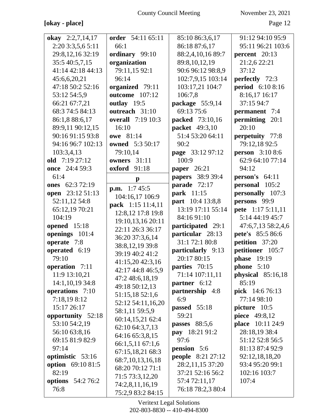# [okay - place] Page 12

| okay $2:2,7,14,17$       | order 54:11 65:11        | 85:10 86:3,6,17          | 91:12 94:10 95:9        |
|--------------------------|--------------------------|--------------------------|-------------------------|
| 2:20 3:3,5,6 5:11        | 66:1                     | 86:18 87:6,17            | 95:11 96:21 103:6       |
| 29:8,12,16 32:19         | ordinary 99:10           | 88:2,4,10,16 89:7        | percent 20:13           |
| 35:5 40:5,7,15           | organization             | 89:8,10,12,19            | 21:2,6 22:21            |
| 41:14 42:18 44:13        | 79:11,15 92:1            | 90:6 96:12 98:8,9        | 37:12                   |
| 45:6,6,20,21             | 96:14                    | 102:7,9,15 103:14        | <b>perfectly</b> 72:3   |
| 47:18 50:2 52:16         | organized 79:11          | 103:17,21 104:7          | period 6:10 8:16        |
| 53:12 54:5,9             | <b>outcome</b> 107:12    | 106:7,8                  | 8:16,17 16:17           |
| 66:21 67:7,21            | outlay 19:5              | package 55:9,14          | 37:15 94:7              |
| 68:3 74:5 84:13          | outreach 31:10           | 69:13 75:6               | <b>permanent</b> 7:4    |
| 86:1,8 88:6,17           | <b>overall</b> 7:19 10:3 | <b>packed</b> 73:10,16   | permitting 20:1         |
| 89:9,11 90:12,15         | 16:10                    | packet 49:3,10           | 20:10                   |
| 90:16 91:15 93:8         | <b>owe</b> 81:14         | 51:4 53:20 64:11         | perpetuity 77:8         |
| 94:16 96:7 102:13        | <b>owned</b> 5:3 50:17   | 90:2                     | 79:12,18 92:5           |
| 103:3,4,13               | 79:10,14                 | page 33:12 97:12         | <b>person</b> 3:10 8:6  |
| old 7:19 27:12           | owners 31:11             | 100:9                    | 62:9 64:10 77:14        |
| once 24:4 59:3           | <b>oxford</b> 91:18      | <b>paper</b> 26:21       | 94:12                   |
| 61:4                     | $\mathbf{p}$             | papers 38:9 39:4         | <b>person's</b> $64:11$ |
| ones 62:3 72:19          | <b>p.m.</b> $1:745:5$    | parade 72:17             | personal 105:2          |
| open 23:12 51:13         | 104:16,17 106:9          | park 11:15               | personally 107:3        |
| 52:11,12 54:8            | pack 1:15 11:4,11        | part 10:4 13:8,8         | persons 99:9            |
| 65:12,19 70:21           | 12:8,12 17:8 19:8        | 13:19 17:11 55:14        | pete 1:17 5:11,11       |
| 104:19                   | 19:10,13,16 20:11        | 84:16 91:10              | 5:14 44:19 45:7         |
| opened 15:18             | 22:11 26:3 36:17         | participated 29:1        | 47:6,7,13 58:2,4,6      |
| openings 101:4           | 36:20 37:3,6,14          | particular 28:13         | pete's 85:5 86:6        |
| operate 7:8              | 38:8,12,19 39:8          | 31:1 72:1 80:8           | petition 37:20          |
| operated 6:19            | 39:19 40:2 41:2          | particularly 9:13        | petitioner 105:7        |
| 79:10                    | 41:15,20 42:3,16         | 20:17 80:15              | <b>phase</b> 19:19      |
| operation 7:11           | 42:17 44:8 46:5,9        | parties 70:15            | phone $5:10$            |
| 11:9 13:10,21            | 47:2 48:6,18,19          | 71:14 107:11,11          | physical 85:16,18       |
| 14:1,10,19 34:8          | 49:18 50:12,13           | partner 6:12             | 85:19                   |
| operations 7:10          | 51:15,18 52:1,6          | partnership 4:8          | pick 14:6 76:13         |
| 7:18,198:12              | 52:12 54:11,16,20        | 6:9                      | 77:14 98:10             |
| 15:17 26:17              | 58:1,11 59:5,9           | passed $55:18$           | picture 10:5            |
| opportunity 52:18        | 60:14,15,21 62:4         | 59:21                    | piece 49:8,12           |
| 53:10 54:2,19            | 62:10 64:3,7,13          | passes 88:5,6            | place 10:11 24:9        |
| 56:10 63:8,16            | 64:16 65:3,8,15          | pay 18:21 91:2           | 28:18,19 38:4           |
| 69:15 81:9 82:9          | 66:1,5,11 67:1,6         | 97:6                     | 51:12 52:8 56:5         |
| 97:14                    | 67:15,18,21 68:3         | pension 5:6              | 81:13 87:4 92:9         |
| optimistic 53:16         | 68:7,10,13,16,18         | <b>people</b> 8:21 27:12 | 92:12,18,18,20          |
| option 69:10 81:5        | 68:20 70:12 71:1         | 28:2,11,15 37:20         | 93:4 95:20 99:1         |
| 82:19                    | 71:5 73:3,12,20          | 37:21 52:16 56:2         | 102:16 103:7            |
| <b>options</b> 54:2 76:2 | 74:2,8,11,16,19          | 57:4 72:11,17            | 107:4                   |
| 76:8                     | 75:2,9 83:2 84:15        | 76:18 78:2,3 80:4        |                         |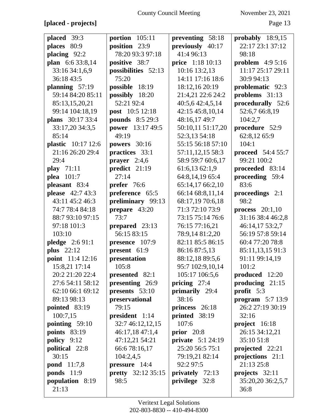**[placed - projects]** Page 13

| placed 39:3        | portion $105:11$          | preventing 58:18          | probably $18:9,15$       |
|--------------------|---------------------------|---------------------------|--------------------------|
| places 80:9        | position 23:9             | previously 40:17          | 22:17 23:1 37:12         |
| placing $92:2$     | 78:20 93:3 97:18          | 41:4 96:13                | 98:18                    |
| plan 6:6 33:8,14   | positive 38:7             | price 1:18 10:13          | problem $4:95:16$        |
| 33:16 34:1,6,9     | possibilities 52:13       | 10:16 13:2,13             | 11:17 25:17 29:11        |
| 36:18 43:5         | 75:20                     | 14:11 17:16 18:6          | 30:9 94:13               |
| planning $57:19$   | possible 18:19            | 18:12,16 20:19            | problematic 92:3         |
| 59:14 84:20 85:11  | possibly 18:20            | 21:4,21 22:6 24:2         | problems 31:13           |
| 85:13,15,20,21     | 52:21 92:4                | 40:5,6 42:4,5,14          | procedurally 52:6        |
| 99:14 104:18,19    | <b>post</b> 10:5 12:18    | 42:15 45:8,10,14          | 52:6,7 66:8,19           |
| plans 30:17 33:4   | <b>pounds</b> 8:5 29:3    | 48:16,17 49:7             | 104:2,7                  |
| 33:17,20 34:3,5    | <b>power</b> 13:17 49:5   | 50:10,11 51:17,20         | procedure 52:9           |
| 85:14              | 49:19                     | 52:3,13 54:18             | 62:8,12 65:9             |
| plastic 10:17 12:6 | <b>powers</b> 30:16       | 55:15 56:18 57:10         | 104:1                    |
| 21:16 26:20 29:4   | practices 33:1            | 57:11,12,15 58:3          | <b>proceed</b> 54:4 55:7 |
| 29:4               | <b>prayer</b> $2:4,6$     | 58:9 59:7 60:6,17         | 99:21 100:2              |
| play $71:11$       | predict 21:19             | 61:6,1362:1,9             | proceeded 83:14          |
| plea 101:7         | 27:14                     | 64:8,14,19 65:4           | proceeding 59:4          |
| pleasant 83:4      | prefer 76:6               | 65:14,17 66:2,10          | 83:6                     |
| please 42:7 43:3   | preference 65:5           | 66:14 68:8,11,14          | proceedings 2:1          |
| 43:11 45:2 46:3    | preliminary 99:13         | 68:17,19 70:6,18          | 98:2                     |
| 74:7 78:4 84:18    | prepare 43:20             | 71:3 72:10 73:9           | process $20:1,10$        |
| 88:7 93:10 97:15   | 73:7                      | 73:15 75:14 76:6          | 31:16 38:4 46:2,8        |
| 97:18 101:3        | prepared 23:13            | 76:15 77:16,21            | 46:14,17 53:2,7          |
| 103:10             | 56:15 83:15               | 78:9,14 81:2,20           | 56:19 57:8 59:14         |
| pledge 2:6 91:1    | presence 107:9            | 82:11 85:5 86:15          | 60:4 77:20 78:8          |
| <b>plus</b> 22:12  | present 61:9              | 86:16 87:5,13             | 85:11,13,15 91:3         |
| point 11:4 12:16   | presentation              | 88:12,18 89:5,6           | 91:11 99:14,19           |
| 15:8,21 17:14      | 105:8                     | 95:7 102:9,10,14          | 101:2                    |
| 20:2 21:20 22:4    | presented 82:1            | 105:17 106:5,6            | produced 12:20           |
| 27:6 54:11 58:12   | presenting 26:9           | pricing $27:4$            | producing $21:15$        |
| 62:10 66:1 69:12   | presents $53:10$          | primarily 29:4            | profit $5:3$             |
| 89:13 98:13        | preservational            | 38:16                     | program $5:713:9$        |
| pointed 83:19      | 79:15                     | princess 26:18            | 26:2 27:19 30:19         |
| 100:7,15           | president 1:14            | printed 38:19             | 32:16                    |
| pointing $59:10$   | 32:7 46:12,12,15          | 107:6                     | project $16:18$          |
| points $83:19$     | 46:17,18 47:1,4           | prior $20:8$              | 26:15 34:12,21           |
| policy 9:12        | 47:12,21 54:21            | <b>private</b> $5:124:19$ | 35:10 51:8               |
| political 22:8     | 66:6 78:16,17             | 25:20 56:5 75:1           | projected 22:21          |
| 30:15              | 104:2,4,5                 | 79:19,21 82:14            | projections 21:1         |
| <b>pond</b> 11:7,8 | <b>pressure</b> $14:4$    | 92:2 97:5                 | 21:13 25:8               |
| <b>ponds</b> 11:9  | <b>pretty</b> 32:12 35:15 | privately 72:13           | projects $32:11$         |
| population 8:19    | 98:5                      | privilege 32:8            | 35:20,20 36:2,5,7        |
| 21:13              |                           |                           | 36:8                     |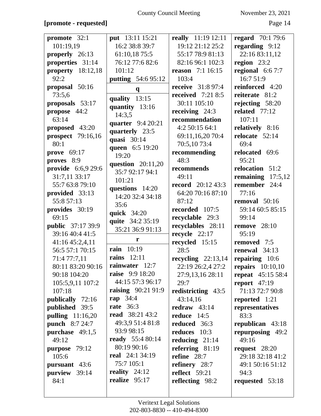## **[promote - requested]** Page 14

| promote 32:1             | put 13:11 15:21           | really 11:19 12:11        | <b>regard</b> 70:1 79:6 |
|--------------------------|---------------------------|---------------------------|-------------------------|
| 101:19,19                | 16:2 38:8 39:7            | 19:12 21:12 25:2          | regarding 9:12          |
| properly 26:13           | 61:10,18 75:5             | 55:17 78:9 81:13          | 22:16 83:11,12          |
| properties 31:14         | 76:12 77:6 82:6           | 82:16 96:1 102:3          | region $23:2$           |
| property 18:12,18        | 101:12                    | <b>reason</b> 7:1 16:15   | regional $6:67:7$       |
| 92:2                     | <b>putting</b> 54:6 95:12 | 103:4                     | 16:7 51:9               |
| proposal 50:16           | $\mathbf{q}$              | <b>receive</b> $31:897:4$ | reinforced 4:20         |
| 73:5,6                   | quality $13:15$           | <b>received</b> 7:21 8:5  | reiterate 81:2          |
| proposals 53:17          | quantity 13:16            | 30:11 105:10              | rejecting $58:20$       |
| propose 44:2             | 14:3,5                    | receiving $24:3$          | related $77:12$         |
| 63:14                    | quarter 9:4 20:21         | recommendation            | 107:11                  |
| proposed 43:20           | quarterly 23:5            | 4:2 50:15 64:1            | relatively 8:16         |
| <b>prospect</b> 79:16,16 | quasi 30:14               | 69:11,16,20 70:4          | relocate $52:14$        |
| 80:1                     | queen 6:5 19:20           | 70:5,10 73:4              | 69:4                    |
| <b>prove</b> 69:17       | 19:20                     | recommending              | relocated 69:6          |
| proves 8:9               | question 20:11,20         | 48:3                      | 95:21                   |
| provide 6:6,9 29:6       | 35:7 92:17 94:1           | recommends                | relocation 51:2         |
| 31:7,11 33:17            | 101:21                    | 49:11                     | remaining $17:5,12$     |
| 55:7 63:8 79:10          | questions 14:20           | <b>record</b> 20:12 43:3  | remember 24:4           |
| provided 33:13           | 14:20 32:4 34:18          | 64:20 70:16 87:10         | 77:16                   |
| 55:8 57:13               | 35:6                      | 87:12                     | removal 50:16           |
| provides 30:19           | quick 34:20               | recorded 107:5            | 59:14 60:5 85:15        |
| 69:15                    | quite 34:2 35:19          | recyclable 29:3           | 99:14                   |
| <b>public</b> 37:17 39:9 | 35:21 36:9 91:13          | recyclables 28:11         | <b>remove</b> 28:10     |
| 39:16 40:4 41:5          |                           | recycle 22:17             | 95:19                   |
| 41:16 45:2,4,11          | r                         | recycled 15:15            | removed 7:5             |
| 56:5 57:1 70:15          | <b>rain</b> 10:19         | 28:5                      | renewal 34:13           |
| 71:4 77:7,11             | <b>rains</b> 12:11        | recycling $22:13,14$      | repairing 10:6          |
| 80:11 83:20 90:16        | rainwater 12:7            | 22:19 26:2,4 27:2         | repairs $10:10,10$      |
| 90:18 104:20             | <b>raise</b> 9:9 18:20    | 27:9,13,16 28:11          | repeat 45:15 58:4       |
| 105:5,9,11 107:2         | 44:15 57:3 96:17          | 29:7                      | report $47:19$          |
| 107:18                   | <b>raising</b> 90:21 91:9 | redistricting 43:5        | 71:13 72:7 90:8         |
| publically 72:16         | rap $34:4$                | 43:14,16                  | reported 1:21           |
| published 39:5           | <b>rate</b> 36:3          | redraw $43:14$            | representatives         |
| pulling 11:16,20         | <b>read</b> 38:21 43:2    | reduce 14:5               | 83:3                    |
| <b>punch</b> 8:7 24:7    | 49:3,9 51:4 81:8          | reduced 36:3              | republican 43:18        |
| purchase 49:1,5          | 93:9 98:15                | reduces 10:3              | repurposing 49:2        |
| 49:12                    | <b>ready</b> 55:4 80:14   | reducing $21:14$          | 49:16                   |
| purpose 79:12            | 80:19 90:16               | referring $81:19$         | request $28:20$         |
| 105:6                    | <b>real</b> 24:1 34:19    | refine 28:7               | 29:18 32:18 41:2        |
| pursuant 43:6            | 75:7 105:1                | refinery 28:7             | 49:1 50:16 51:12        |
| purview 39:14            | reality $24:12$           | reflect $59:21$           | 94:3                    |
| 84:1                     | realize 95:17             | reflecting 98:2           | requested 53:18         |
|                          |                           |                           |                         |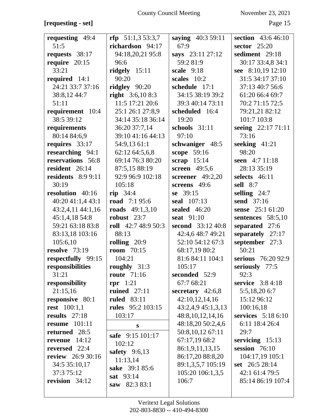# **[requesting - set]** Page 15

| requesting 49:4                | $rfp$ 51:1,3 53:3,7                | saying 40:3 59:11    | section $43:646:10$         |
|--------------------------------|------------------------------------|----------------------|-----------------------------|
| 51:5                           | richardson 94:17                   | 67:9                 | sector $25:20$              |
| requests 38:17                 | 94:18,20,21 95:8                   | says 23:11 27:12     | sediment 29:18              |
| require $20:15$                | 96:6                               | 59:2 81:9            | 30:17 33:4,8 34:1           |
| 33:21                          | ridgely $15:11$                    | scale $9:18$         | see 8:10,19 12:10           |
| required 14:1                  | 90:20                              | scales 10:2          | 31:5 34:17 37:10            |
| 24:21 33:7 37:16               | ridgley 90:20                      | schedule 17:1        | 37:13 40:7 56:6             |
| 38:8,12 44:7                   | right $3:6,108:3$                  | 34:15 38:19 39:2     | 61:20 66:4 69:7             |
| 51:11                          | 11:5 17:21 20:6                    | 39:3 40:14 73:11     | 70:2 71:15 72:5             |
|                                | 25:1 26:1 27:8,9                   | scheduled 16:4       | 79:21,21 82:12              |
| requirement 10:4<br>38:5 39:12 | 34:14 35:18 36:14                  | 19:20                | 101:7 103:8                 |
|                                |                                    | schools 31:11        |                             |
| requirements                   | 36:20 37:7,14<br>39:10 41:16 44:13 | 97:10                | seeing 22:17 71:11<br>73:16 |
| 80:14 84:6,9                   |                                    |                      |                             |
| requires 33:17                 | 54:9,13 61:1                       | schwaniger 48:5      | seeking $41:21$             |
| researching 94:1               | 62:12 64:5,6,8                     | scope 59:16          | 98:20                       |
| reservations 56:8              | 69:14 76:3 80:20                   | scrap $15:14$        | seen 4:7 11:18              |
| resident 26:14                 | 87:5,15 88:19                      | screen 49:5,6        | 28:13 35:19                 |
| <b>residents</b> 8:9 9:11      | 92:9 96:9 102:18                   | screener 49:2,20     | selects 46:11               |
| 30:19                          | 105:18                             | screens 49:6         | <b>sell</b> 8:7             |
| resolution 40:16               | rip $34:4$                         | se $39:15$           | selling $24:7$              |
| 40:20 41:1,4 43:1              | <b>road</b> 7:1 95:6               | seal 107:13          | send 37:16                  |
| 43:2,4,11 44:1,16              | roads $49:1,3,10$                  | sealed 46:20         | sense 25:1 61:20            |
| 45:1,4,18 54:8                 | robust $23:7$                      | seat 91:10           | sentences 58:5,10           |
| 59:21 63:18 83:8               | roll $42:748:950:3$                | second 33:12 40:8    | separated 27:6              |
| 83:13,18 103:16                | 88:13                              | 42:4,6 48:7 49:21    | separately 27:17            |
| 105:6,10                       | rolling $20:9$                     | 52:10 54:12 67:3     | september 27:3              |
| resolve $73:19$                | <b>room</b> 70:15                  | 68:17,19 80:2        | 50:21                       |
| respectfully 99:15             | 104:21                             | 81:6 84:11 104:1     | serious 76:20 92:9          |
| responsibilities               | roughly 31:3                       | 105:17               | seriously 77:5              |
| 31:21                          | <b>route</b> 71:16                 | seconded 52:9        | 92:3                        |
| responsibility                 | $rpr$ 1:21                         | 67:7 68:21           | service 3:8 4:18            |
| 21:15,16                       | ruined $27:11$                     | secretary $42:6,8$   | 5:5,18,20 6:7               |
| responsive 80:1                | <b>ruled</b> 83:11                 | 42:10,12,14,16       | 15:12 96:12                 |
| <b>rest</b> 100:1,1            | <b>rules</b> 95:2 103:15           | 43:2,4,9 45:1,3,13   | 100:16,18                   |
| results $27:18$                | 103:17                             | 48:8, 10, 12, 14, 16 | services 5:18 6:10          |
| <b>resume</b> 101:11           | ${\bf S}$                          | 48:18,20 50:2,4,6    | 6:11 18:4 26:4              |
| returned 28:5                  | safe 9:15 101:17                   | 50:8,10,12 67:11     | 29:7                        |
| revenue $14:12$                | 102:12                             | 67:17,19 68:2        | servicing $15:13$           |
| reversed 22:4                  | safety $9:6,13$                    | 86:1,9,11,13,15      | session 76:10               |
| <b>review</b> 26:9 30:16       | 11:13,14                           | 86:17,20 88:8,20     | 104:17,19 105:1             |
| 34:5 35:10,17                  | sake 39:1 85:6                     | 89:1,3,5,7 105:19    | set 26:5 28:14              |
| 37:3 75:12                     | sat 93:14                          | 105:20 106:1,3,5     | 42:1 61:4 79:5              |
| revision $34:12$               | saw 82:3 83:1                      | 106:7                | 85:14 86:19 107:4           |
|                                |                                    |                      |                             |
|                                |                                    |                      |                             |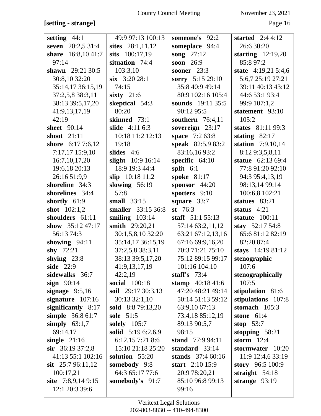| setting $44:1$      | 49:9 97:13 100:13  | someone's 92:2     | started $2:44:12$    |
|---------------------|--------------------|--------------------|----------------------|
| seven 20:2,5 31:4   | sites 28:1,11,12   | someplace 94:4     | 26:6 30:20           |
| share 16:8,1041:7   | sits 100:17,19     | song $27:12$       | starting $12:19,20$  |
| 97:14               | situation 74:4     | soon $26:9$        | 85:8 97:2            |
| shawn $29:2130:5$   | 103:3,10           | sooner 23:3        | state $4:19,215:4,6$ |
| 30:8,10 32:20       | $six$ 3:20 28:1    | sorry 5:15 29:10   | 5:6,7 25:19 27:21    |
| 35:14,17 36:15,19   | 74:15              | 35:8 40:9 49:14    | 39:11 40:13 43:12    |
| 37:2,5,8 38:3,11    | sixty $21:6$       | 80:9 102:16 105:4  | 44:6 53:1 93:4       |
| 38:13 39:5,17,20    | skeptical 54:3     | sounds 19:11 35:5  | 99:9 107:1,2         |
| 41:9,13,17,19       | 80:20              | 90:12 95:5         | statement 93:10      |
| 42:19               | skinned 73:1       | southern $76:4,11$ | 105:2                |
| <b>sheet</b> 90:14  | slide 4:11 6:3     | sovereign 23:17    | states 81:11 99:3    |
| shoot $21:11$       | 10:18 11:2 12:13   | space 7:2 63:8     | stating $82:17$      |
| shore 6:17 7:6,12   | 19:18              | speak 82:5,9 83:2  | station 7:9,10,14    |
| 7:17,17 15:9,10     | slides $4:6$       | 83:16,1693:2       | 8:12 9:3,5,8,11      |
| 16:7, 10, 17, 20    | slight 10:9 16:14  | specific $64:10$   | statue 62:13 69:4    |
| 19:6,18 20:13       | 18:9 19:3 44:4     | split $6:1$        | 77:8 91:20 92:10     |
| 26:16 51:9,9        | slip 10:18 11:2    | spoke 81:17        | 94:3 95:4,13,19      |
| shoreline 34:3      | slowing $56:19$    | sponsor $44:20$    | 98:13,14 99:14       |
| shorelines 34:4     | 57:8               | spotters 9:10      | 100:6,8 102:21       |
| shortly 61:9        | small 33:15        | square 33:7        | statues 83:21        |
| shot $102:1,2$      | smaller 33:15 36:8 | st $76:3$          | status $4:21$        |
| shoulders 61:11     | smiling $103:14$   | staff $51:1 55:13$ | statute 100:11       |
| show $35:1247:17$   | smith 29:20,21     | 57:14 63:2,11,12   | stay $52:1754:8$     |
| 56:13 74:3          | 30:1,5,8,10 32:20  | 63:21 67:12,13,16  | 65:681:1282:19       |
| showing $94:11$     | 35:14,17 36:15,19  | 67:16 69:9,16,20   | 82:20 87:4           |
| shy $72:21$         | 37:2,5,8 38:3,11   | 70:3 71:21 75:10   | stays 14:19 81:12    |
| shying $23:8$       | 38:13 39:5,17,20   | 75:12 89:15 99:17  | stenographic         |
| side 22:9           | 41:9,13,17,19      | 101:16 104:10      | 107:6                |
| sidewalks 36:7      | 42:2,19            | staff's $73:4$     | stenographically     |
| sign $90:14$        | social 100:18      | stamp $40:1841:6$  | 107:5                |
| signage $9:5,16$    | soil 29:17 30:3,13 | 47:20 48:21 49:14  | stipulation 81:6     |
| signature $107:16$  | 30:13 32:1,10      | 50:14 51:13 59:12  | stipulations 107:8   |
| significantly 8:17  | sold 8:8 79:13,20  | 63:9,10 67:13      | stomach $105:3$      |
| simple 36:8 61:7    | sole 51:5          | 73:4,18 85:12,19   | stone $61:4$         |
| simply $63:1,7$     | solely 105:7       | 89:13 90:5,7       | stop $53:7$          |
| 69:14,17            | solid 5:19 6:2,6,9 | 98:15              | stopping $58:21$     |
| single $21:16$      | 6:12,15 7:21 8:6   | stand 77:9 94:11   | storm $12:4$         |
| $\sin$ 36:19 37:2,8 | 15:10 21:18 25:20  | standard $33:14$   | stormwater 10:20     |
| 41:13 55:1 102:16   | solution $55:20$   | stands $37:460:16$ | 11:9 12:4,6 33:19    |
| sit $25:796:11,12$  | somebody 9:8       | start $2:10$ 15:9  | story 96:5 100:9     |
| 100:17,21           | 64:3 65:17 77:6    | 20:9 78:20,21      | straight $54:18$     |
| site $7:8,9,149:15$ | somebody's 91:7    | 85:10 96:8 99:13   | strange $93:19$      |
| 12:1 20:3 39:6      |                    | 99:16              |                      |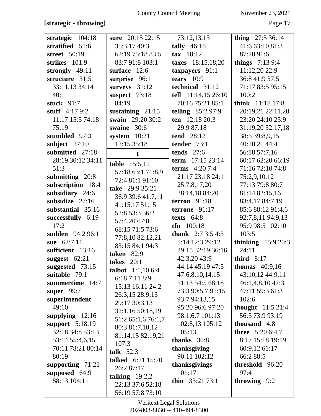## **[strategic - throwing]** Page 17

| strategic 104:18   | sure 20:15 22:15                     | 73:12,13,13               | thing $27:536:14$         |
|--------------------|--------------------------------------|---------------------------|---------------------------|
| stratified 51:6    | 35:3,17 40:3                         | tally $46:16$             | 41:6 63:10 81:3           |
| street 50:19       | 62:19 75:18 83:5                     | $\textbf{tax}$ 18:12      | 87:20 91:6                |
| strikes 101:9      | 83:7 91:8 103:1                      | taxes 18:15,18,20         | <b>things</b> $7:139:4$   |
| strongly $49:11$   | surface 12:6                         | taxpayers 91:1            | 11:12,20 22:9             |
| structure 31:5     | surprise 96:1                        | tears $10:9$              | 36:8 41:9 57:5            |
| 33:11,13 34:14     | surveys 31:12                        | technical 31:12           | 71:17 83:5 95:15          |
| 40:1               | suspect 73:18                        | tell 11:14,15 26:10       | 100:2                     |
| stuck $91:7$       | 84:19                                | 70:16 75:21 85:1          | think 11:18 17:8          |
| stuff $4:179:2$    | sustaining $21:15$                   | <b>telling</b> $85:297:9$ | 20:19,21 22:11,20         |
| 11:17 15:5 74:18   | swain 29:20 30:2                     | ten 12:18 20:3            | 23:20 24:10 25:9          |
| 75:19              | swaine 30:6                          | 29:9 87:18                | 31:19,20 32:17,18         |
| stumbled 97:3      | system $10:21$                       | <b>tend</b> 28:12         | 38:5 39:8,9,15            |
| subject $27:10$    | 12:15 35:18                          | tender 73:1               | 40:20,21 44:4             |
| submitted 27:18    | $\mathbf t$                          | tends $27:6$              | 56:18 57:7,16             |
| 28:19 30:12 34:11  | <b>table</b> $55:5,12$               | term 17:15 23:14          | 60:17 62:20 66:19         |
| 51:3               |                                      | <b>terms</b> $4:207:4$    | 71:16 72:10 74:8          |
| submitting 20:8    | 57:18 63:1 71:8,9<br>72:4 81:1 91:10 | 21:17 23:18 24:1          | 75:2,9,10,12              |
| subscription 18:4  | take 29:9 35:21                      | 25:7,8,17,20              | 77:13 79:8 80:7           |
| subsidiary $24:6$  |                                      | 28:14,18 84:20            | 81:14 82:15,16            |
| subsidize 27:16    | 36:9 39:6 41:7,11<br>41:15,17 51:15  | terron $91:18$            | 83:4,17 84:7,19           |
| substantial 35:16  | 52:8 53:3 56:2                       | terrone 91:17             | 85:6 88:12 91:4,6         |
| successfully 6:19  | 57:4,20 67:8                         | texts $64:8$              | 92:7,8,11 94:9,13         |
| 17:2               | 68:15 71:5 73:6                      | $tfn 100:18$              | 95:9 98:5 102:10          |
| sudden 94:2 96:1   | 77:8,10 82:12,21                     | <b>thank</b> $2:73:54:5$  | 103:5                     |
| sue 62:7,11        | 83:15 84:1 94:3                      | 5:14 12:3 29:12           | thinking $15:920:3$       |
| sufficient 13:16   | <b>taken</b> 82:9                    | 29:15 32:19 36:16         | 24:11                     |
| suggest $62:21$    | takes $20:1$                         | 42:3,20 43:9              | third $8:17$              |
| suggested 73:15    | talbot $1:1,106:4$                   | 44:14 45:19 47:5          | thomas $40:9,16$          |
| suitable 79:1      | 6:187:118:9                          | 47:6,8,10,14,15           | 43:10,12 44:9,11          |
| summertime 14:7    | 15:13 16:11 24:2                     | 51:13 54:5 68:18          | 46:1,4,8,10 47:3          |
| super $99:7$       | 26:3,15 28:9,13                      | 73:3 90:5,7 91:15         | 47:11 59:3 61:3           |
| superintendent     | 29:17 30:3,13                        | 93:7 94:13.15             | 102:6                     |
| 49:10              | 32:1,16 50:18,19                     | 95:20 96:6 97:20          | <b>thought</b> $11:521:4$ |
| supplying $12:16$  | 51:2 65:1,6 76:1,7                   | 98:1,6,7 101:13           | 56:3 73:9 93:19           |
| support 5:18,19    | 80:3 81:7,10,12                      | 102:8,13 105:12           | thousand 4:8              |
| 32:18 34:8 53:13   | 81:14,15 82:19,21                    | 105:13                    | <b>three</b> 5:20 6:4,7   |
| 53:14 55:4,6,15    | 107:3                                | thanks 30:8               | 8:17 15:18 19:19          |
| 70:11 78:21 80:14  | talk $52:3$                          | thanksgiving              | 60:9,12 61:17             |
| 80:19              | talked 6:21 15:20                    | 90:11 102:12              | 66:2 88:5                 |
| supporting $71:21$ | 26:2 87:17                           | thanksgivings             | threshold 96:20           |
| supposed 64:9      | talking $19:2,2$                     | 101:17                    | 97:4                      |
| 88:13 104:11       | 22:13 37:6 52:18                     | thin $33:2173:1$          | throwing 9:2              |
|                    | 56:19 57:8 73:10                     |                           |                           |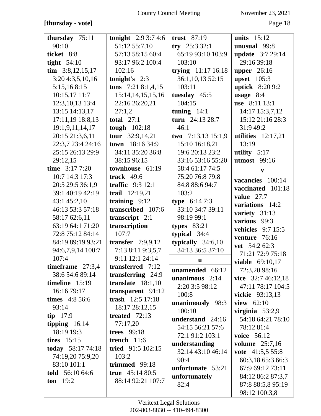## **[thursday - vote]** Page 18

| thursday 75:11             | <b>tonight</b> $2:93:74:6$ | trust $87:19$         | units $15:12$            |
|----------------------------|----------------------------|-----------------------|--------------------------|
| 90:10                      | 51:12 55:7,10              | $try$ 25:3 32:1       | unusual 99:8             |
| ticket 8:8                 | 57:13 58:15 60:4           | 65:19 93:10 103:9     | <b>update</b> 3:7 29:14  |
| tight $54:10$              | 93:17 96:2 100:4           | 103:10                | 29:16 39:18              |
| $\text{tim } 3:8,12,15,17$ | 102:16                     | trying 11:17 16:18    | upper 26:16              |
| 3:20 4:3,5,10,16           | tonight's $2:3$            | 36:1,10,13 52:15      | upset $105:3$            |
| 5:15,168:15                | tons $7:218:1,4,15$        | 103:11                | <b>uptick</b> 8:20 9:2   |
| 10:15,1711:7               | 15:14, 14, 15, 15, 16      | tuesday 45:5          | usage $8:4$              |
| 12:3, 10, 13 13:4          | 22:16 26:20,21             | 104:15                | use 8:11 13:1            |
| 13:15 14:13,17             | 27:1,2                     | tuning $14:1$         | 14:17 15:3,7,12          |
| 17:11,19 18:8,13           | total $27:1$               | turn 24:13 28:7       | 15:12 21:16 28:3         |
| 19:1,9,11,14,17            | tough 102:18               | 46:1                  | 31:9 49:2                |
| 20:15 21:3,6,11            | <b>tour</b> $32:9,14,21$   | two 7:13,13 15:1,9    | utilities $12:17,21$     |
| 22:3,7 23:4 24:16          | town 18:16 34:9            | 15:10 16:18,21        | 13:19                    |
| 25:15 26:13 29:9           | 34:11 35:20 36:8           | 19:6 20:13 23:2       | utility $5:17$           |
| 29:12,15                   | 38:15 96:15                | 33:16 53:16 55:20     | <b>utmost</b> 99:16      |
| time $3:177:20$            | townhouse 61:19            | 58:4 61:17 74:5       | $\mathbf v$              |
| 10:7 14:3 17:3             | track $49:6$               | 75:20 76:8 79:8       | vacancies 100:14         |
| 20:5 29:5 36:1,9           | traffic $9:312:1$          | 84:8 88:6 94:7        | vaccinated 101:18        |
| 39:1 40:19 42:19           | trail 12:19,21             | 103:2                 | value 27:7               |
| 43:1 45:2,10               | training $9:12$            | <b>type</b> $6:147:3$ | variations 14:2          |
| 46:13 53:3 57:18           | transcribed 107:6          | 33:10 34:7 39:11      | variety 31:13            |
| 58:17 62:6,11              | transcript 2:1             | 98:19 99:1            | various 99:3             |
| 63:19 64:1 71:20           | transcription              | types $83:21$         | <b>vehicles</b> 9:7 15:5 |
| 72:8 75:12 84:14           | 107:7                      | typical 34:4          | venture 76:16            |
| 84:19 89:19 93:21          | transfer $7:9,9,12$        | typically $34:6,10$   | vet 54:2 62:3            |
| 94:6,7,9,14 100:7          | 7:13 8:11 9:3,5,7          | 34:13 36:5 37:10      | 71:21 72:9 75:18         |
| 107:4                      | 9:11 12:1 24:14            | $\mathbf u$           | <b>viable</b> 69:10,17   |
| timeframe $27:3,4$         | transferred 7:12           | unamended 66:12       | 72:3,20 98:16            |
| 38:6 54:6 89:14            | transferring 24:9          | unanimous $2:14$      | vice $32:746:12,18$      |
| timeline $15:19$           | translate $18:1,10$        | 2:20 3:5 98:12        | 47:11 78:17 104:5        |
| 16:16 79:17                | transparent 91:12          | 100:8                 | <b>vickie</b> 93:13,13   |
| <b>times</b> $4:856:6$     | trash 12:5 17:18           | unanimously 98:3      | view 62:10               |
| 93:14                      | 18:17 28:12,15             | 100:10                | virginia $53:2.9$        |
| $tip$ 17:9                 | treated $72:13$            | understand 24:16      | 54:18 64:21 78:10        |
| tipping $16:14$            | 77:17,20                   | 54:15 56:21 57:6      | 78:12 81:4               |
| 18:19 19:3                 | <b>trees</b> 99:18         | 72:1 91:2 103:1       | <b>voice</b> 56:12       |
| tires $15:15$              | trench $11:6$              | understanding         | <b>volume</b> $25:7,16$  |
| today 58:17 74:18          | tried 91:5 102:15          | 32:14 43:10 46:14     | vote $41:5,55:8$         |
| 74:19,20 75:9,20           | 103:2                      | 90:4                  | 60:3,18 65:3 66:3        |
| 83:10 101:1                | trimmed 99:18              | unfortunate 53:21     | 67:9 69:12 73:11         |
| told $56:1064:6$           | true $45:1480:5$           | unfortunately         | 84:12 86:2 87:3,7        |
| ton $19:2$                 | 88:14 92:21 107:7          | 82:4                  | 87:8 88:5,8 95:19        |
|                            |                            |                       | 98:12 100:3,8            |